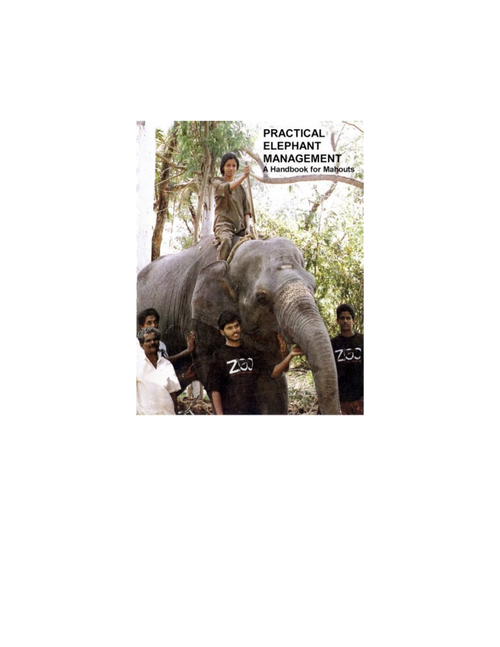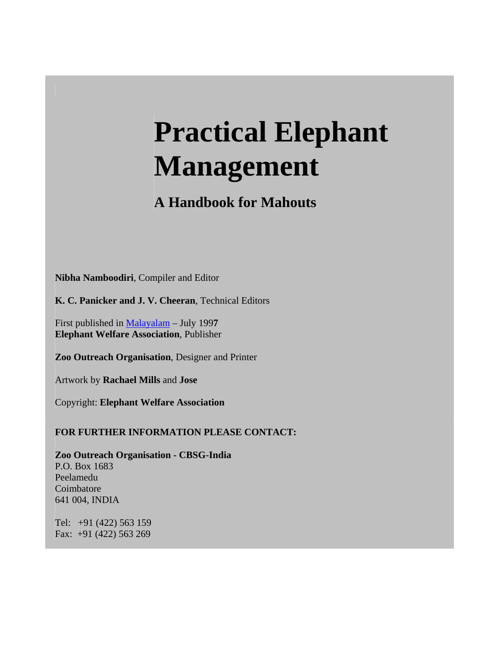# **Practical Elephant Management**

# **A Handbook for Mahouts**

**Nibha Namboodiri**, Compiler and Editor

**K. C. Panicker and J. V. Cheeran**, Technical Editors

First published in Malayalam – July 199**7 Elephant Welfare Association**, Publisher

**Zoo Outreach Organisation**, Designer and Printer

Artwork by **Rachael Mills** and **Jose**

Copyright: **Elephant Welfare Association**

**FOR FURTHER INFORMATION PLEASE CONTACT:**

**Zoo Outreach Organisation - CBSG-India**  P.O. Box 1683 Peelamedu Coimbatore 641 004, INDIA

Tel: +91 (422) 563 159 Fax: +91 (422) 563 269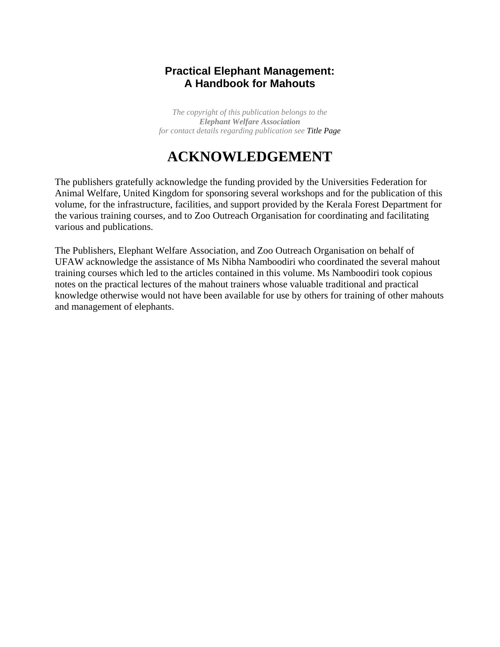## **Practical Elephant Management: A Handbook for Mahouts**

*The copyright of this publication belongs to the Elephant Welfare Association for contact details regarding publication see Title Page*

# **ACKNOWLEDGEMENT**

The publishers gratefully acknowledge the funding provided by the Universities Federation for Animal Welfare, United Kingdom for sponsoring several workshops and for the publication of this volume, for the infrastructure, facilities, and support provided by the Kerala Forest Department for the various training courses, and to Zoo Outreach Organisation for coordinating and facilitating various and publications.

The Publishers, Elephant Welfare Association, and Zoo Outreach Organisation on behalf of UFAW acknowledge the assistance of Ms Nibha Namboodiri who coordinated the several mahout training courses which led to the articles contained in this volume. Ms Namboodiri took copious notes on the practical lectures of the mahout trainers whose valuable traditional and practical knowledge otherwise would not have been available for use by others for training of other mahouts and management of elephants.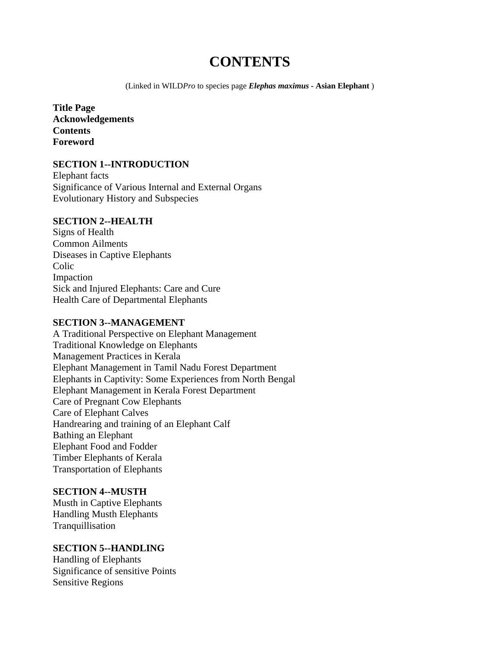# **CONTENTS**

(Linked in WILD*Pro* to species page *Elephas maximus* **- Asian Elephant** )

**Title Page Acknowledgements Contents Foreword**

#### **SECTION 1--INTRODUCTION**

Elephant facts Significance of Various Internal and External Organs Evolutionary History and Subspecies

#### **SECTION 2--HEALTH**

Signs of Health Common Ailments Diseases in Captive Elephants Colic Impaction Sick and Injured Elephants: Care and Cure Health Care of Departmental Elephants

#### **SECTION 3--MANAGEMENT**

A Traditional Perspective on Elephant Management Traditional Knowledge on Elephants Management Practices in Kerala Elephant Management in Tamil Nadu Forest Department Elephants in Captivity: Some Experiences from North Bengal Elephant Management in Kerala Forest Department Care of Pregnant Cow Elephants Care of Elephant Calves Handrearing and training of an Elephant Calf Bathing an Elephant Elephant Food and Fodder Timber Elephants of Kerala Transportation of Elephants

#### **SECTION 4--MUSTH**

Musth in Captive Elephants Handling Musth Elephants Tranquillisation

## **SECTION 5--HANDLING**

Handling of Elephants Significance of sensitive Points Sensitive Regions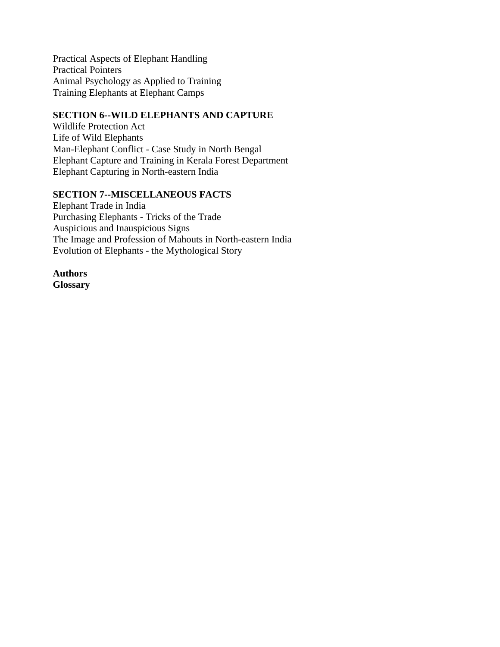Practical Aspects of Elephant Handling Practical Pointers Animal Psychology as Applied to Training Training Elephants at Elephant Camps

#### **SECTION 6--WILD ELEPHANTS AND CAPTURE**

Wildlife Protection Act Life of Wild Elephants Man-Elephant Conflict - Case Study in North Bengal Elephant Capture and Training in Kerala Forest Department Elephant Capturing in North-eastern India

#### **SECTION 7--MISCELLANEOUS FACTS**

Elephant Trade in India Purchasing Elephants - Tricks of the Trade Auspicious and Inauspicious Signs The Image and Profession of Mahouts in North-eastern India Evolution of Elephants - the Mythological Story

**Authors Glossary**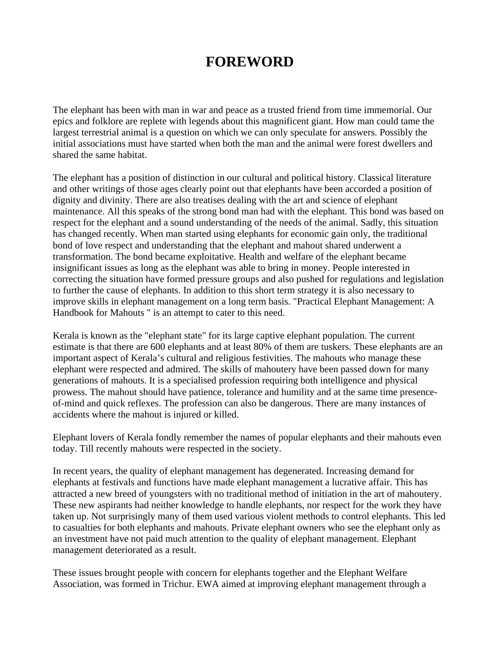# **FOREWORD**

The elephant has been with man in war and peace as a trusted friend from time immemorial. Our epics and folklore are replete with legends about this magnificent giant. How man could tame the largest terrestrial animal is a question on which we can only speculate for answers. Possibly the initial associations must have started when both the man and the animal were forest dwellers and shared the same habitat.

The elephant has a position of distinction in our cultural and political history. Classical literature and other writings of those ages clearly point out that elephants have been accorded a position of dignity and divinity. There are also treatises dealing with the art and science of elephant maintenance. All this speaks of the strong bond man had with the elephant. This bond was based on respect for the elephant and a sound understanding of the needs of the animal. Sadly, this situation has changed recently. When man started using elephants for economic gain only, the traditional bond of love respect and understanding that the elephant and mahout shared underwent a transformation. The bond became exploitative. Health and welfare of the elephant became insignificant issues as long as the elephant was able to bring in money. People interested in correcting the situation have formed pressure groups and also pushed for regulations and legislation to further the cause of elephants. In addition to this short term strategy it is also necessary to improve skills in elephant management on a long term basis. "Practical Elephant Management: A Handbook for Mahouts " is an attempt to cater to this need.

Kerala is known as the "elephant state" for its large captive elephant population. The current estimate is that there are 600 elephants and at least 80% of them are tuskers. These elephants are an important aspect of Kerala's cultural and religious festivities. The mahouts who manage these elephant were respected and admired. The skills of mahoutery have been passed down for many generations of mahouts. It is a specialised profession requiring both intelligence and physical prowess. The mahout should have patience, tolerance and humility and at the same time presenceof-mind and quick reflexes. The profession can also be dangerous. There are many instances of accidents where the mahout is injured or killed.

Elephant lovers of Kerala fondly remember the names of popular elephants and their mahouts even today. Till recently mahouts were respected in the society.

In recent years, the quality of elephant management has degenerated. Increasing demand for elephants at festivals and functions have made elephant management a lucrative affair. This has attracted a new breed of youngsters with no traditional method of initiation in the art of mahoutery. These new aspirants had neither knowledge to handle elephants, nor respect for the work they have taken up. Not surprisingly many of them used various violent methods to control elephants. This led to casualties for both elephants and mahouts. Private elephant owners who see the elephant only as an investment have not paid much attention to the quality of elephant management. Elephant management deteriorated as a result.

These issues brought people with concern for elephants together and the Elephant Welfare Association, was formed in Trichur. EWA aimed at improving elephant management through a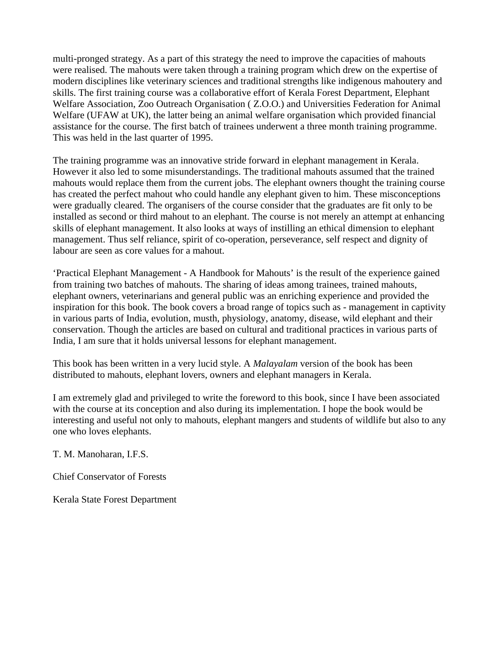multi-pronged strategy. As a part of this strategy the need to improve the capacities of mahouts were realised. The mahouts were taken through a training program which drew on the expertise of modern disciplines like veterinary sciences and traditional strengths like indigenous mahoutery and skills. The first training course was a collaborative effort of Kerala Forest Department, Elephant Welfare Association, Zoo Outreach Organisation ( Z.O.O.) and Universities Federation for Animal Welfare (UFAW at UK), the latter being an animal welfare organisation which provided financial assistance for the course. The first batch of trainees underwent a three month training programme. This was held in the last quarter of 1995.

The training programme was an innovative stride forward in elephant management in Kerala. However it also led to some misunderstandings. The traditional mahouts assumed that the trained mahouts would replace them from the current jobs. The elephant owners thought the training course has created the perfect mahout who could handle any elephant given to him. These misconceptions were gradually cleared. The organisers of the course consider that the graduates are fit only to be installed as second or third mahout to an elephant. The course is not merely an attempt at enhancing skills of elephant management. It also looks at ways of instilling an ethical dimension to elephant management. Thus self reliance, spirit of co-operation, perseverance, self respect and dignity of labour are seen as core values for a mahout.

'Practical Elephant Management - A Handbook for Mahouts' is the result of the experience gained from training two batches of mahouts. The sharing of ideas among trainees, trained mahouts, elephant owners, veterinarians and general public was an enriching experience and provided the inspiration for this book. The book covers a broad range of topics such as - management in captivity in various parts of India, evolution, musth, physiology, anatomy, disease, wild elephant and their conservation. Though the articles are based on cultural and traditional practices in various parts of India, I am sure that it holds universal lessons for elephant management.

This book has been written in a very lucid style. A *Malayalam* version of the book has been distributed to mahouts, elephant lovers, owners and elephant managers in Kerala.

I am extremely glad and privileged to write the foreword to this book, since I have been associated with the course at its conception and also during its implementation. I hope the book would be interesting and useful not only to mahouts, elephant mangers and students of wildlife but also to any one who loves elephants.

T. M. Manoharan, I.F.S.

Chief Conservator of Forests

Kerala State Forest Department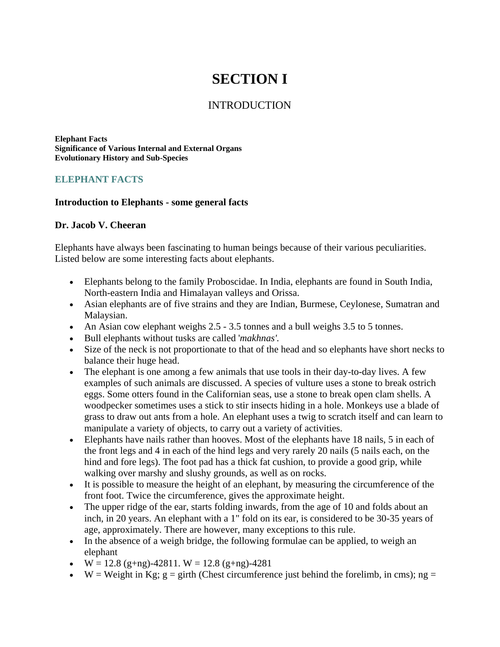# **SECTION I**

## INTRODUCTION

**Elephant Facts Significance of Various Internal and External Organs Evolutionary History and Sub-Species**

#### **ELEPHANT FACTS**

#### **Introduction to Elephants - some general facts**

#### **Dr. Jacob V. Cheeran**

Elephants have always been fascinating to human beings because of their various peculiarities. Listed below are some interesting facts about elephants.

- Elephants belong to the family Proboscidae. In India, elephants are found in South India, North-eastern India and Himalayan valleys and Orissa.
- Asian elephants are of five strains and they are Indian, Burmese, Ceylonese, Sumatran and Malaysian.
- An Asian cow elephant weighs 2.5 3.5 tonnes and a bull weighs 3.5 to 5 tonnes.
- Bull elephants without tusks are called '*makhnas'.*
- Size of the neck is not proportionate to that of the head and so elephants have short necks to balance their huge head.
- The elephant is one among a few animals that use tools in their day-to-day lives. A few examples of such animals are discussed. A species of vulture uses a stone to break ostrich eggs. Some otters found in the Californian seas, use a stone to break open clam shells. A woodpecker sometimes uses a stick to stir insects hiding in a hole. Monkeys use a blade of grass to draw out ants from a hole. An elephant uses a twig to scratch itself and can learn to manipulate a variety of objects, to carry out a variety of activities.
- Elephants have nails rather than hooves. Most of the elephants have 18 nails, 5 in each of the front legs and 4 in each of the hind legs and very rarely 20 nails (5 nails each, on the hind and fore legs). The foot pad has a thick fat cushion, to provide a good grip, while walking over marshy and slushy grounds, as well as on rocks.
- It is possible to measure the height of an elephant, by measuring the circumference of the front foot. Twice the circumference, gives the approximate height.
- The upper ridge of the ear, starts folding inwards, from the age of 10 and folds about an inch, in 20 years. An elephant with a 1" fold on its ear, is considered to be 30-35 years of age, approximately. There are however, many exceptions to this rule.
- In the absence of a weigh bridge, the following formulae can be applied, to weigh an elephant
- $W = 12.8$  (g+ng)-42811.  $W = 12.8$  (g+ng)-4281
- W = Weight in Kg;  $g = girth$  (Chest circumference just behind the forelimb, in cms); ng =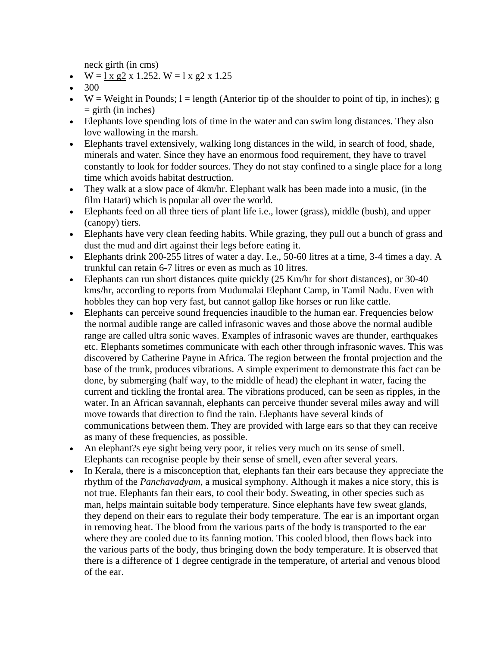neck girth (in cms)

- $W = \frac{1 \times g2}{1.252}$ .  $W = 1 \times g2 \times 1.25$
- 300
- W = Weight in Pounds;  $l =$  length (Anterior tip of the shoulder to point of tip, in inches); g  $=$  girth (in inches)
- Elephants love spending lots of time in the water and can swim long distances. They also love wallowing in the marsh.
- Elephants travel extensively, walking long distances in the wild, in search of food, shade, minerals and water. Since they have an enormous food requirement, they have to travel constantly to look for fodder sources. They do not stay confined to a single place for a long time which avoids habitat destruction.
- They walk at a slow pace of 4km/hr. Elephant walk has been made into a music, (in the film Hatari) which is popular all over the world.
- Elephants feed on all three tiers of plant life i.e., lower (grass), middle (bush), and upper (canopy) tiers.
- Elephants have very clean feeding habits. While grazing, they pull out a bunch of grass and dust the mud and dirt against their legs before eating it.
- Elephants drink 200-255 litres of water a day. I.e., 50-60 litres at a time, 3-4 times a day. A trunkful can retain 6-7 litres or even as much as 10 litres.
- Elephants can run short distances quite quickly (25 Km/hr for short distances), or 30-40 kms/hr, according to reports from Mudumalai Elephant Camp, in Tamil Nadu. Even with hobbles they can hop very fast, but cannot gallop like horses or run like cattle.
- Elephants can perceive sound frequencies inaudible to the human ear. Frequencies below the normal audible range are called infrasonic waves and those above the normal audible range are called ultra sonic waves. Examples of infrasonic waves are thunder, earthquakes etc. Elephants sometimes communicate with each other through infrasonic waves. This was discovered by Catherine Payne in Africa. The region between the frontal projection and the base of the trunk, produces vibrations. A simple experiment to demonstrate this fact can be done, by submerging (half way, to the middle of head) the elephant in water, facing the current and tickling the frontal area. The vibrations produced, can be seen as ripples, in the water. In an African savannah, elephants can perceive thunder several miles away and will move towards that direction to find the rain. Elephants have several kinds of communications between them. They are provided with large ears so that they can receive as many of these frequencies, as possible.
- An elephant?s eye sight being very poor, it relies very much on its sense of smell. Elephants can recognise people by their sense of smell, even after several years.
- In Kerala, there is a misconception that, elephants fan their ears because they appreciate the rhythm of the *Panchavadyam*, a musical symphony. Although it makes a nice story, this is not true. Elephants fan their ears, to cool their body. Sweating, in other species such as man, helps maintain suitable body temperature. Since elephants have few sweat glands, they depend on their ears to regulate their body temperature. The ear is an important organ in removing heat. The blood from the various parts of the body is transported to the ear where they are cooled due to its fanning motion. This cooled blood, then flows back into the various parts of the body, thus bringing down the body temperature. It is observed that there is a difference of 1 degree centigrade in the temperature, of arterial and venous blood of the ear.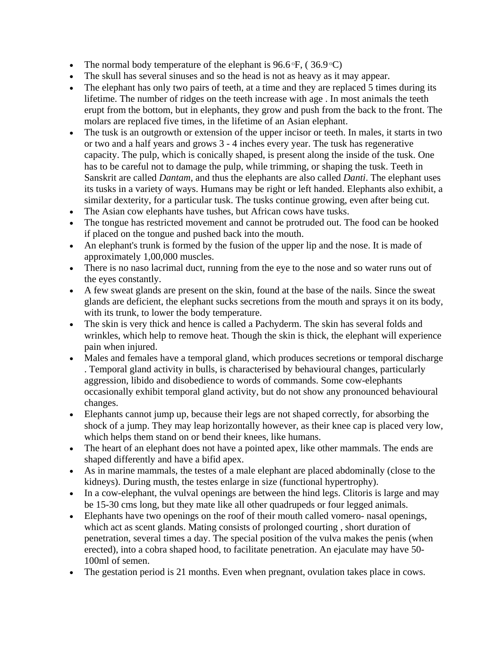- The normal body temperature of the elephant is  $96.6\text{°F}$ , ( $36.9\text{°C}$ )
- The skull has several sinuses and so the head is not as heavy as it may appear.
- The elephant has only two pairs of teeth, at a time and they are replaced 5 times during its lifetime. The number of ridges on the teeth increase with age . In most animals the teeth erupt from the bottom, but in elephants, they grow and push from the back to the front. The molars are replaced five times, in the lifetime of an Asian elephant.
- The tusk is an outgrowth or extension of the upper incisor or teeth. In males, it starts in two or two and a half years and grows 3 - 4 inches every year. The tusk has regenerative capacity. The pulp, which is conically shaped, is present along the inside of the tusk. One has to be careful not to damage the pulp, while trimming, or shaping the tusk. Teeth in Sanskrit are called *Dantam*, and thus the elephants are also called *Danti*. The elephant uses its tusks in a variety of ways. Humans may be right or left handed. Elephants also exhibit, a similar dexterity, for a particular tusk. The tusks continue growing, even after being cut.
- The Asian cow elephants have tushes, but African cows have tusks.
- The tongue has restricted movement and cannot be protruded out. The food can be hooked if placed on the tongue and pushed back into the mouth.
- An elephant's trunk is formed by the fusion of the upper lip and the nose. It is made of approximately 1,00,000 muscles.
- There is no naso lacrimal duct, running from the eye to the nose and so water runs out of the eyes constantly.
- A few sweat glands are present on the skin, found at the base of the nails. Since the sweat glands are deficient, the elephant sucks secretions from the mouth and sprays it on its body, with its trunk, to lower the body temperature.
- The skin is very thick and hence is called a Pachyderm. The skin has several folds and wrinkles, which help to remove heat. Though the skin is thick, the elephant will experience pain when injured.
- Males and females have a temporal gland, which produces secretions or temporal discharge . Temporal gland activity in bulls, is characterised by behavioural changes, particularly aggression, libido and disobedience to words of commands. Some cow-elephants occasionally exhibit temporal gland activity, but do not show any pronounced behavioural changes.
- Elephants cannot jump up, because their legs are not shaped correctly, for absorbing the shock of a jump. They may leap horizontally however, as their knee cap is placed very low, which helps them stand on or bend their knees, like humans.
- The heart of an elephant does not have a pointed apex, like other mammals. The ends are shaped differently and have a bifid apex.
- As in marine mammals, the testes of a male elephant are placed abdominally (close to the kidneys). During musth, the testes enlarge in size (functional hypertrophy).
- In a cow-elephant, the vulval openings are between the hind legs. Clitoris is large and may be 15-30 cms long, but they mate like all other quadrupeds or four legged animals.
- Elephants have two openings on the roof of their mouth called vomero- nasal openings, which act as scent glands. Mating consists of prolonged courting , short duration of penetration, several times a day. The special position of the vulva makes the penis (when erected), into a cobra shaped hood, to facilitate penetration. An ejaculate may have 50- 100ml of semen.
- The gestation period is 21 months. Even when pregnant, ovulation takes place in cows.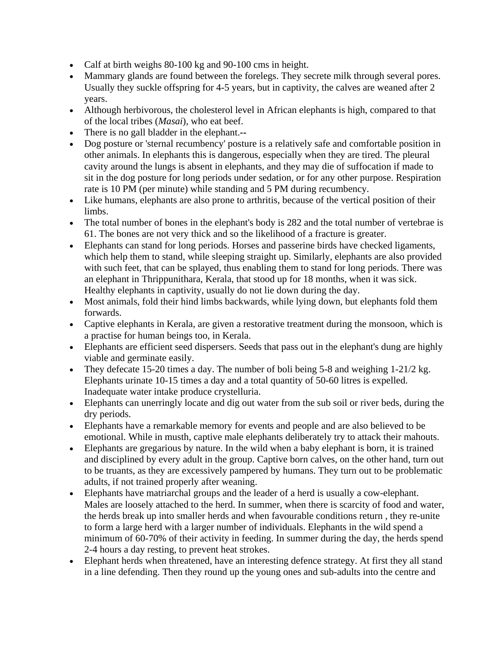- Calf at birth weighs 80-100 kg and 90-100 cms in height.
- Mammary glands are found between the forelegs. They secrete milk through several pores. Usually they suckle offspring for 4-5 years, but in captivity, the calves are weaned after 2 years.
- Although herbivorous, the cholesterol level in African elephants is high, compared to that of the local tribes (*Masai*), who eat beef.
- There is no gall bladder in the elephant.**--**
- Dog posture or 'sternal recumbency' posture is a relatively safe and comfortable position in other animals. In elephants this is dangerous, especially when they are tired. The pleural cavity around the lungs is absent in elephants, and they may die of suffocation if made to sit in the dog posture for long periods under sedation, or for any other purpose. Respiration rate is 10 PM (per minute) while standing and 5 PM during recumbency.
- Like humans, elephants are also prone to arthritis, because of the vertical position of their limbs.
- The total number of bones in the elephant's body is 282 and the total number of vertebrae is 61. The bones are not very thick and so the likelihood of a fracture is greater.
- Elephants can stand for long periods. Horses and passerine birds have checked ligaments, which help them to stand, while sleeping straight up. Similarly, elephants are also provided with such feet, that can be splayed, thus enabling them to stand for long periods. There was an elephant in Thrippunithara, Kerala, that stood up for 18 months, when it was sick. Healthy elephants in captivity, usually do not lie down during the day.
- Most animals, fold their hind limbs backwards, while lying down, but elephants fold them forwards.
- Captive elephants in Kerala, are given a restorative treatment during the monsoon, which is a practise for human beings too, in Kerala.
- Elephants are efficient seed dispersers. Seeds that pass out in the elephant's dung are highly viable and germinate easily.
- They defecate 15-20 times a day. The number of boli being 5-8 and weighing 1-21/2 kg. Elephants urinate 10-15 times a day and a total quantity of 50-60 litres is expelled. Inadequate water intake produce crystelluria.
- Elephants can unerringly locate and dig out water from the sub soil or river beds, during the dry periods.
- Elephants have a remarkable memory for events and people and are also believed to be emotional. While in musth, captive male elephants deliberately try to attack their mahouts.
- Elephants are gregarious by nature. In the wild when a baby elephant is born, it is trained and disciplined by every adult in the group. Captive born calves, on the other hand, turn out to be truants, as they are excessively pampered by humans. They turn out to be problematic adults, if not trained properly after weaning.
- Elephants have matriarchal groups and the leader of a herd is usually a cow-elephant. Males are loosely attached to the herd. In summer, when there is scarcity of food and water, the herds break up into smaller herds and when favourable conditions return , they re-unite to form a large herd with a larger number of individuals. Elephants in the wild spend a minimum of 60-70% of their activity in feeding. In summer during the day, the herds spend 2-4 hours a day resting, to prevent heat strokes.
- Elephant herds when threatened, have an interesting defence strategy. At first they all stand in a line defending. Then they round up the young ones and sub-adults into the centre and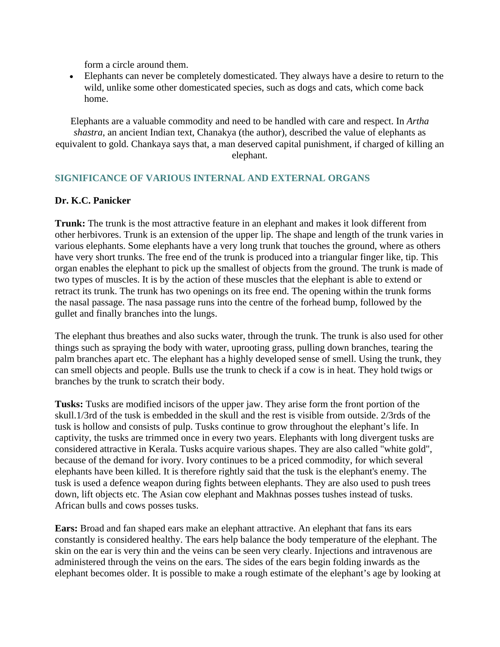form a circle around them.

• Elephants can never be completely domesticated. They always have a desire to return to the wild, unlike some other domesticated species, such as dogs and cats, which come back home.

Elephants are a valuable commodity and need to be handled with care and respect. In *Artha shastra*, an ancient Indian text, Chanakya (the author), described the value of elephants as equivalent to gold. Chankaya says that, a man deserved capital punishment, if charged of killing an elephant.

## **SIGNIFICANCE OF VARIOUS INTERNAL AND EXTERNAL ORGANS**

#### **Dr. K.C. Panicker**

**Trunk:** The trunk is the most attractive feature in an elephant and makes it look different from other herbivores. Trunk is an extension of the upper lip. The shape and length of the trunk varies in various elephants. Some elephants have a very long trunk that touches the ground, where as others have very short trunks. The free end of the trunk is produced into a triangular finger like, tip. This organ enables the elephant to pick up the smallest of objects from the ground. The trunk is made of two types of muscles. It is by the action of these muscles that the elephant is able to extend or retract its trunk. The trunk has two openings on its free end. The opening within the trunk forms the nasal passage. The nasa passage runs into the centre of the forhead bump, followed by the gullet and finally branches into the lungs.

The elephant thus breathes and also sucks water, through the trunk. The trunk is also used for other things such as spraying the body with water, uprooting grass, pulling down branches, tearing the palm branches apart etc. The elephant has a highly developed sense of smell. Using the trunk, they can smell objects and people. Bulls use the trunk to check if a cow is in heat. They hold twigs or branches by the trunk to scratch their body.

**Tusks:** Tusks are modified incisors of the upper jaw. They arise form the front portion of the skull.1/3rd of the tusk is embedded in the skull and the rest is visible from outside. 2/3rds of the tusk is hollow and consists of pulp. Tusks continue to grow throughout the elephant's life. In captivity, the tusks are trimmed once in every two years. Elephants with long divergent tusks are considered attractive in Kerala. Tusks acquire various shapes. They are also called "white gold", because of the demand for ivory. Ivory continues to be a priced commodity, for which several elephants have been killed. It is therefore rightly said that the tusk is the elephant's enemy. The tusk is used a defence weapon during fights between elephants. They are also used to push trees down, lift objects etc. The Asian cow elephant and Makhnas posses tushes instead of tusks. African bulls and cows posses tusks.

**Ears:** Broad and fan shaped ears make an elephant attractive. An elephant that fans its ears constantly is considered healthy. The ears help balance the body temperature of the elephant. The skin on the ear is very thin and the veins can be seen very clearly. Injections and intravenous are administered through the veins on the ears. The sides of the ears begin folding inwards as the elephant becomes older. It is possible to make a rough estimate of the elephant's age by looking at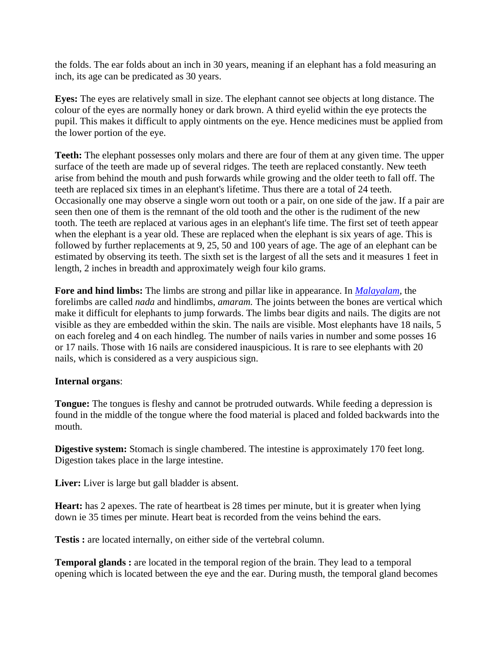the folds. The ear folds about an inch in 30 years, meaning if an elephant has a fold measuring an inch, its age can be predicated as 30 years.

**Eyes:** The eyes are relatively small in size. The elephant cannot see objects at long distance. The colour of the eyes are normally honey or dark brown. A third eyelid within the eye protects the pupil. This makes it difficult to apply ointments on the eye. Hence medicines must be applied from the lower portion of the eye.

**Teeth:** The elephant possesses only molars and there are four of them at any given time. The upper surface of the teeth are made up of several ridges. The teeth are replaced constantly. New teeth arise from behind the mouth and push forwards while growing and the older teeth to fall off. The teeth are replaced six times in an elephant's lifetime. Thus there are a total of 24 teeth. Occasionally one may observe a single worn out tooth or a pair, on one side of the jaw. If a pair are seen then one of them is the remnant of the old tooth and the other is the rudiment of the new tooth. The teeth are replaced at various ages in an elephant's life time. The first set of teeth appear when the elephant is a year old. These are replaced when the elephant is six years of age. This is followed by further replacements at 9, 25, 50 and 100 years of age. The age of an elephant can be estimated by observing its teeth. The sixth set is the largest of all the sets and it measures 1 feet in length, 2 inches in breadth and approximately weigh four kilo grams.

**Fore and hind limbs:** The limbs are strong and pillar like in appearance. In *Malayalam*, the forelimbs are called *nada* and hindlimbs, *amaram.* The joints between the bones are vertical which make it difficult for elephants to jump forwards. The limbs bear digits and nails. The digits are not visible as they are embedded within the skin. The nails are visible. Most elephants have 18 nails, 5 on each foreleg and 4 on each hindleg. The number of nails varies in number and some posses 16 or 17 nails. Those with 16 nails are considered inauspicious. It is rare to see elephants with 20 nails, which is considered as a very auspicious sign.

#### **Internal organs**:

**Tongue:** The tongues is fleshy and cannot be protruded outwards. While feeding a depression is found in the middle of the tongue where the food material is placed and folded backwards into the mouth.

**Digestive system:** Stomach is single chambered. The intestine is approximately 170 feet long. Digestion takes place in the large intestine.

**Liver:** Liver is large but gall bladder is absent.

**Heart:** has 2 apexes. The rate of heartbeat is 28 times per minute, but it is greater when lying down ie 35 times per minute. Heart beat is recorded from the veins behind the ears.

**Testis :** are located internally, on either side of the vertebral column.

**Temporal glands :** are located in the temporal region of the brain. They lead to a temporal opening which is located between the eye and the ear. During musth, the temporal gland becomes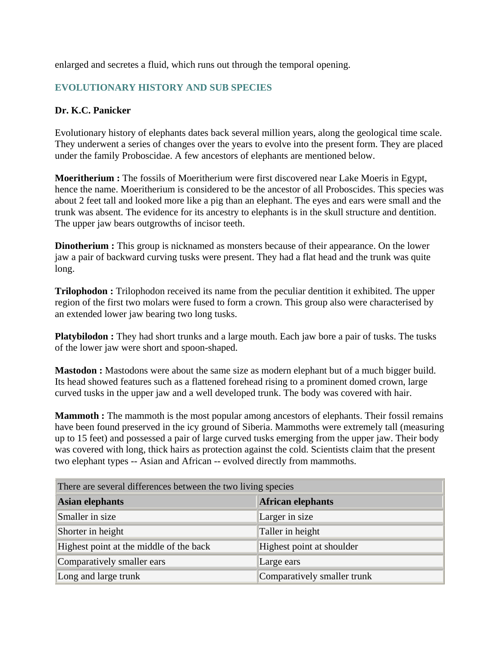enlarged and secretes a fluid, which runs out through the temporal opening.

## **EVOLUTIONARY HISTORY AND SUB SPECIES**

## **Dr. K.C. Panicker**

Evolutionary history of elephants dates back several million years, along the geological time scale. They underwent a series of changes over the years to evolve into the present form. They are placed under the family Proboscidae. A few ancestors of elephants are mentioned below.

**Moeritherium :** The fossils of Moeritherium were first discovered near Lake Moeris in Egypt, hence the name. Moeritherium is considered to be the ancestor of all Proboscides. This species was about 2 feet tall and looked more like a pig than an elephant. The eyes and ears were small and the trunk was absent. The evidence for its ancestry to elephants is in the skull structure and dentition. The upper jaw bears outgrowths of incisor teeth.

**Dinotherium :** This group is nicknamed as monsters because of their appearance. On the lower jaw a pair of backward curving tusks were present. They had a flat head and the trunk was quite long.

**Trilophodon :** Trilophodon received its name from the peculiar dentition it exhibited. The upper region of the first two molars were fused to form a crown. This group also were characterised by an extended lower jaw bearing two long tusks.

**Platybilodon :** They had short trunks and a large mouth. Each jaw bore a pair of tusks. The tusks of the lower jaw were short and spoon-shaped.

**Mastodon :** Mastodons were about the same size as modern elephant but of a much bigger build. Its head showed features such as a flattened forehead rising to a prominent domed crown, large curved tusks in the upper jaw and a well developed trunk. The body was covered with hair.

**Mammoth :** The mammoth is the most popular among ancestors of elephants. Their fossil remains have been found preserved in the icy ground of Siberia. Mammoths were extremely tall (measuring up to 15 feet) and possessed a pair of large curved tusks emerging from the upper jaw. Their body was covered with long, thick hairs as protection against the cold. Scientists claim that the present two elephant types -- Asian and African -- evolved directly from mammoths.

| There are several differences between the two living species |                             |  |
|--------------------------------------------------------------|-----------------------------|--|
| <b>Asian elephants</b>                                       | African elephants           |  |
| Smaller in size                                              | Larger in size              |  |
| Shorter in height                                            | Taller in height            |  |
| Highest point at the middle of the back                      | Highest point at shoulder   |  |
| Comparatively smaller ears                                   | Large ears                  |  |
| Long and large trunk                                         | Comparatively smaller trunk |  |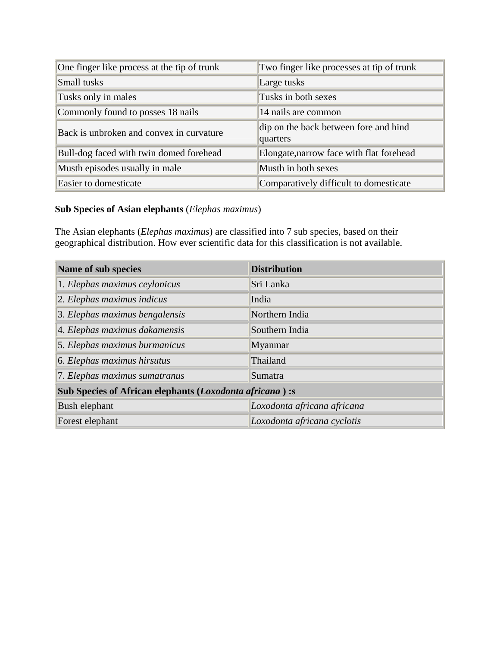| One finger like process at the tip of trunk | Two finger like processes at tip of trunk         |
|---------------------------------------------|---------------------------------------------------|
| Small tusks                                 | Large tusks                                       |
| Tusks only in males                         | Tusks in both sexes                               |
| Commonly found to posses 18 nails           | 14 nails are common                               |
| Back is unbroken and convex in curvature    | dip on the back between fore and hind<br>quarters |
| Bull-dog faced with twin domed forehead     | Elongate, narrow face with flat forehead          |
| Musth episodes usually in male              | Musth in both sexes                               |
| Easier to domesticate                       | Comparatively difficult to domesticate            |

## **Sub Species of Asian elephants** (*Elephas maximus*)

The Asian elephants (*Elephas maximus*) are classified into 7 sub species, based on their geographical distribution. How ever scientific data for this classification is not available.

| Name of sub species                                      | <b>Distribution</b>         |  |
|----------------------------------------------------------|-----------------------------|--|
| 1. Elephas maximus ceylonicus                            | Sri Lanka                   |  |
| 2. Elephas maximus indicus                               | India                       |  |
| 3. Elephas maximus bengalensis                           | Northern India              |  |
| 4. Elephas maximus dakamensis                            | Southern India              |  |
| 5. Elephas maximus burmanicus                            | Myanmar                     |  |
| 6. Elephas maximus hirsutus                              | Thailand                    |  |
| 7. Elephas maximus sumatranus                            | Sumatra                     |  |
| Sub Species of African elephants (Loxodonta africana) :s |                             |  |
| Bush elephant                                            | Loxodonta africana africana |  |
| Forest elephant                                          | Loxodonta africana cyclotis |  |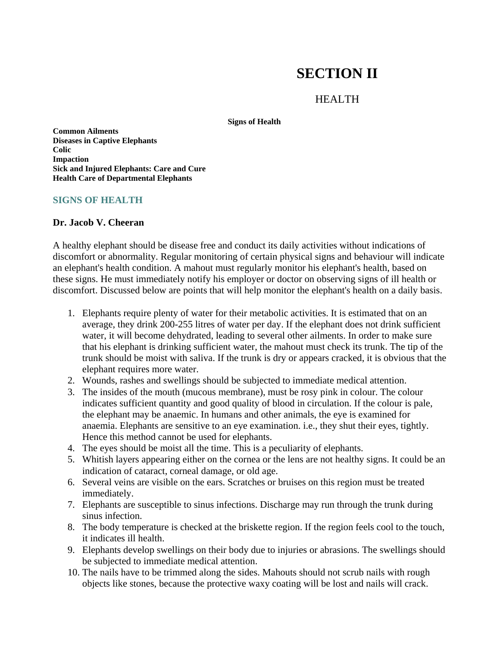# **SECTION II**

## HEALTH

**Signs of Health** 

**Common Ailments Diseases in Captive Elephants Colic Impaction Sick and Injured Elephants: Care and Cure Health Care of Departmental Elephants**

#### **SIGNS OF HEALTH**

#### **Dr. Jacob V. Cheeran**

A healthy elephant should be disease free and conduct its daily activities without indications of discomfort or abnormality. Regular monitoring of certain physical signs and behaviour will indicate an elephant's health condition. A mahout must regularly monitor his elephant's health, based on these signs. He must immediately notify his employer or doctor on observing signs of ill health or discomfort. Discussed below are points that will help monitor the elephant's health on a daily basis.

- 1. Elephants require plenty of water for their metabolic activities. It is estimated that on an average, they drink 200-255 litres of water per day. If the elephant does not drink sufficient water, it will become dehydrated, leading to several other ailments. In order to make sure that his elephant is drinking sufficient water, the mahout must check its trunk. The tip of the trunk should be moist with saliva. If the trunk is dry or appears cracked, it is obvious that the elephant requires more water.
- 2. Wounds, rashes and swellings should be subjected to immediate medical attention.
- 3. The insides of the mouth (mucous membrane), must be rosy pink in colour. The colour indicates sufficient quantity and good quality of blood in circulation. If the colour is pale, the elephant may be anaemic. In humans and other animals, the eye is examined for anaemia. Elephants are sensitive to an eye examination. i.e., they shut their eyes, tightly. Hence this method cannot be used for elephants.
- 4. The eyes should be moist all the time. This is a peculiarity of elephants.
- 5. Whitish layers appearing either on the cornea or the lens are not healthy signs. It could be an indication of cataract, corneal damage, or old age.
- 6. Several veins are visible on the ears. Scratches or bruises on this region must be treated immediately.
- 7. Elephants are susceptible to sinus infections. Discharge may run through the trunk during sinus infection.
- 8. The body temperature is checked at the briskette region. If the region feels cool to the touch, it indicates ill health.
- 9. Elephants develop swellings on their body due to injuries or abrasions. The swellings should be subjected to immediate medical attention.
- 10. The nails have to be trimmed along the sides. Mahouts should not scrub nails with rough objects like stones, because the protective waxy coating will be lost and nails will crack.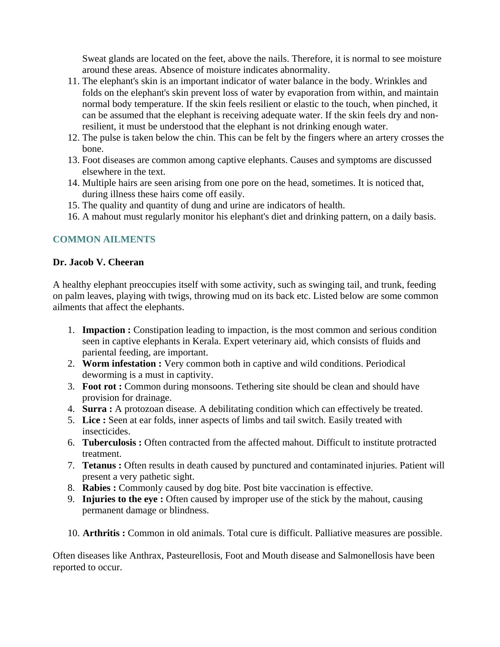Sweat glands are located on the feet, above the nails. Therefore, it is normal to see moisture around these areas. Absence of moisture indicates abnormality.

- 11. The elephant's skin is an important indicator of water balance in the body. Wrinkles and folds on the elephant's skin prevent loss of water by evaporation from within, and maintain normal body temperature. If the skin feels resilient or elastic to the touch, when pinched, it can be assumed that the elephant is receiving adequate water. If the skin feels dry and nonresilient, it must be understood that the elephant is not drinking enough water.
- 12. The pulse is taken below the chin. This can be felt by the fingers where an artery crosses the bone.
- 13. Foot diseases are common among captive elephants. Causes and symptoms are discussed elsewhere in the text.
- 14. Multiple hairs are seen arising from one pore on the head, sometimes. It is noticed that, during illness these hairs come off easily.
- 15. The quality and quantity of dung and urine are indicators of health.
- 16. A mahout must regularly monitor his elephant's diet and drinking pattern, on a daily basis.

## **COMMON AILMENTS**

## **Dr. Jacob V. Cheeran**

A healthy elephant preoccupies itself with some activity, such as swinging tail, and trunk, feeding on palm leaves, playing with twigs, throwing mud on its back etc. Listed below are some common ailments that affect the elephants.

- 1. **Impaction :** Constipation leading to impaction, is the most common and serious condition seen in captive elephants in Kerala. Expert veterinary aid, which consists of fluids and pariental feeding, are important.
- 2. **Worm infestation :** Very common both in captive and wild conditions. Periodical deworming is a must in captivity.
- 3. **Foot rot :** Common during monsoons. Tethering site should be clean and should have provision for drainage.
- 4. **Surra :** A protozoan disease. A debilitating condition which can effectively be treated.
- 5. **Lice :** Seen at ear folds, inner aspects of limbs and tail switch. Easily treated with insecticides.
- 6. **Tuberculosis :** Often contracted from the affected mahout. Difficult to institute protracted treatment.
- 7. **Tetanus :** Often results in death caused by punctured and contaminated injuries. Patient will present a very pathetic sight.
- 8. **Rabies :** Commonly caused by dog bite. Post bite vaccination is effective.
- 9. **Injuries to the eye :** Often caused by improper use of the stick by the mahout, causing permanent damage or blindness.
- 10. **Arthritis :** Common in old animals. Total cure is difficult. Palliative measures are possible.

Often diseases like Anthrax, Pasteurellosis, Foot and Mouth disease and Salmonellosis have been reported to occur.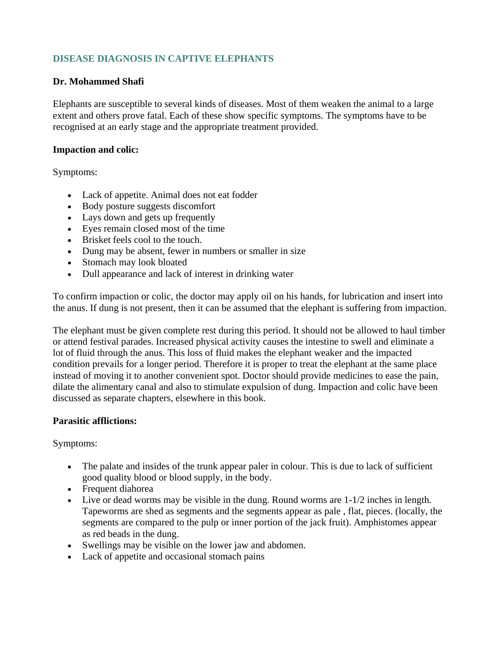## **DISEASE DIAGNOSIS IN CAPTIVE ELEPHANTS**

## **Dr. Mohammed Shafi**

Elephants are susceptible to several kinds of diseases. Most of them weaken the animal to a large extent and others prove fatal. Each of these show specific symptoms. The symptoms have to be recognised at an early stage and the appropriate treatment provided.

#### **Impaction and colic:**

Symptoms:

- Lack of appetite. Animal does not eat fodder
- Body posture suggests discomfort
- Lays down and gets up frequently
- Eyes remain closed most of the time
- Brisket feels cool to the touch.
- Dung may be absent, fewer in numbers or smaller in size
- Stomach may look bloated
- Dull appearance and lack of interest in drinking water

To confirm impaction or colic, the doctor may apply oil on his hands, for lubrication and insert into the anus. If dung is not present, then it can be assumed that the elephant is suffering from impaction.

The elephant must be given complete rest during this period. It should not be allowed to haul timber or attend festival parades. Increased physical activity causes the intestine to swell and eliminate a lot of fluid through the anus. This loss of fluid makes the elephant weaker and the impacted condition prevails for a longer period. Therefore it is proper to treat the elephant at the same place instead of moving it to another convenient spot. Doctor should provide medicines to ease the pain, dilate the alimentary canal and also to stimulate expulsion of dung. Impaction and colic have been discussed as separate chapters, elsewhere in this book.

## **Parasitic afflictions:**

Symptoms:

- The palate and insides of the trunk appear paler in colour. This is due to lack of sufficient good quality blood or blood supply, in the body.
- Frequent diahorea
- Live or dead worms may be visible in the dung. Round worms are  $1-1/2$  inches in length. Tapeworms are shed as segments and the segments appear as pale , flat, pieces. (locally, the segments are compared to the pulp or inner portion of the jack fruit). Amphistomes appear as red beads in the dung.
- Swellings may be visible on the lower jaw and abdomen.
- Lack of appetite and occasional stomach pains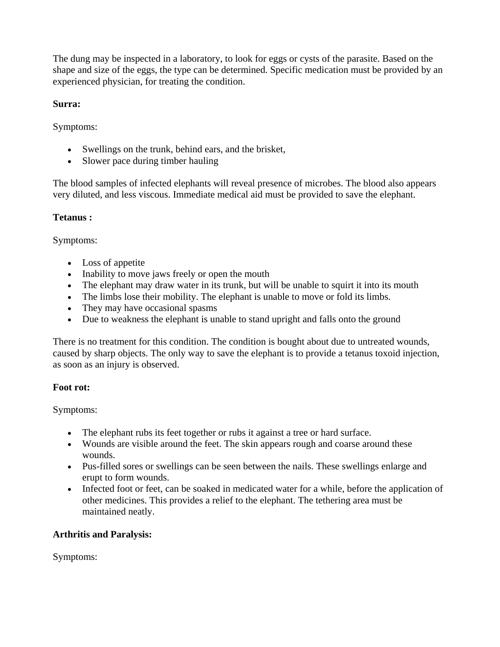The dung may be inspected in a laboratory, to look for eggs or cysts of the parasite. Based on the shape and size of the eggs, the type can be determined. Specific medication must be provided by an experienced physician, for treating the condition.

## **Surra:**

Symptoms:

- Swellings on the trunk, behind ears, and the brisket,
- Slower pace during timber hauling

The blood samples of infected elephants will reveal presence of microbes. The blood also appears very diluted, and less viscous. Immediate medical aid must be provided to save the elephant.

## **Tetanus :**

Symptoms:

- Loss of appetite
- Inability to move jaws freely or open the mouth
- The elephant may draw water in its trunk, but will be unable to squirt it into its mouth
- The limbs lose their mobility. The elephant is unable to move or fold its limbs.
- They may have occasional spasms
- Due to weakness the elephant is unable to stand upright and falls onto the ground

There is no treatment for this condition. The condition is bought about due to untreated wounds, caused by sharp objects. The only way to save the elephant is to provide a tetanus toxoid injection, as soon as an injury is observed.

## **Foot rot:**

Symptoms:

- The elephant rubs its feet together or rubs it against a tree or hard surface.
- Wounds are visible around the feet. The skin appears rough and coarse around these wounds.
- Pus-filled sores or swellings can be seen between the nails. These swellings enlarge and erupt to form wounds.
- Infected foot or feet, can be soaked in medicated water for a while, before the application of other medicines. This provides a relief to the elephant. The tethering area must be maintained neatly.

## **Arthritis and Paralysis:**

Symptoms: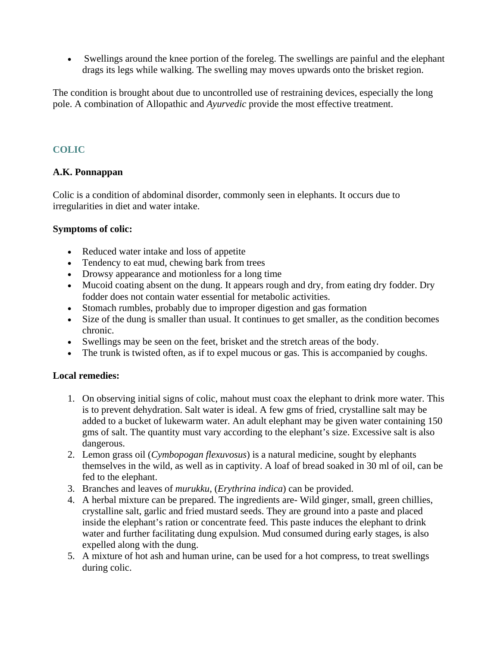• Swellings around the knee portion of the foreleg. The swellings are painful and the elephant drags its legs while walking. The swelling may moves upwards onto the brisket region.

The condition is brought about due to uncontrolled use of restraining devices, especially the long pole. A combination of Allopathic and *Ayurvedic* provide the most effective treatment.

## **COLIC**

## **A.K. Ponnappan**

Colic is a condition of abdominal disorder, commonly seen in elephants. It occurs due to irregularities in diet and water intake.

## **Symptoms of colic:**

- Reduced water intake and loss of appetite
- Tendency to eat mud, chewing bark from trees
- Drowsy appearance and motionless for a long time
- Mucoid coating absent on the dung. It appears rough and dry, from eating dry fodder. Dry fodder does not contain water essential for metabolic activities.
- Stomach rumbles, probably due to improper digestion and gas formation
- Size of the dung is smaller than usual. It continues to get smaller, as the condition becomes chronic.
- Swellings may be seen on the feet, brisket and the stretch areas of the body.
- The trunk is twisted often, as if to expel mucous or gas. This is accompanied by coughs.

## **Local remedies:**

- 1. On observing initial signs of colic, mahout must coax the elephant to drink more water. This is to prevent dehydration. Salt water is ideal. A few gms of fried, crystalline salt may be added to a bucket of lukewarm water. An adult elephant may be given water containing 150 gms of salt. The quantity must vary according to the elephant's size. Excessive salt is also dangerous.
- 2. Lemon grass oil (*Cymbopogan flexuvosus*) is a natural medicine, sought by elephants themselves in the wild, as well as in captivity. A loaf of bread soaked in 30 ml of oil, can be fed to the elephant.
- 3. Branches and leaves of *murukku*, (*Erythrina indica*) can be provided.
- 4. A herbal mixture can be prepared. The ingredients are- Wild ginger, small, green chillies, crystalline salt, garlic and fried mustard seeds. They are ground into a paste and placed inside the elephant's ration or concentrate feed. This paste induces the elephant to drink water and further facilitating dung expulsion. Mud consumed during early stages, is also expelled along with the dung.
- 5. A mixture of hot ash and human urine, can be used for a hot compress, to treat swellings during colic.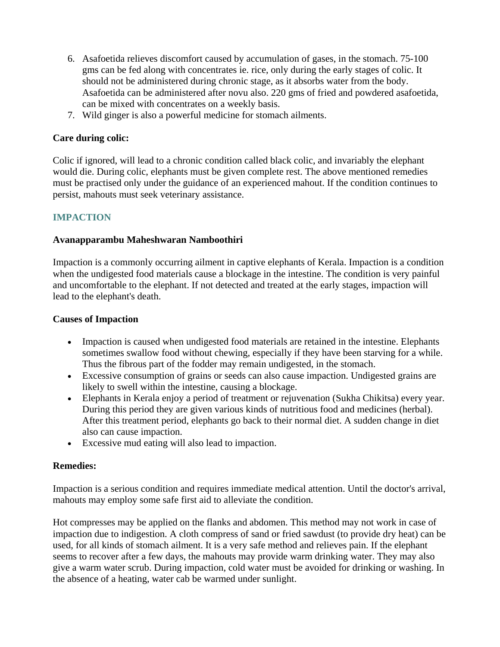- 6. Asafoetida relieves discomfort caused by accumulation of gases, in the stomach. 75-100 gms can be fed along with concentrates ie. rice, only during the early stages of colic. It should not be administered during chronic stage, as it absorbs water from the body. Asafoetida can be administered after novu also. 220 gms of fried and powdered asafoetida, can be mixed with concentrates on a weekly basis.
- 7. Wild ginger is also a powerful medicine for stomach ailments.

#### **Care during colic:**

Colic if ignored, will lead to a chronic condition called black colic, and invariably the elephant would die. During colic, elephants must be given complete rest. The above mentioned remedies must be practised only under the guidance of an experienced mahout. If the condition continues to persist, mahouts must seek veterinary assistance.

## **IMPACTION**

#### **Avanapparambu Maheshwaran Namboothiri**

Impaction is a commonly occurring ailment in captive elephants of Kerala. Impaction is a condition when the undigested food materials cause a blockage in the intestine. The condition is very painful and uncomfortable to the elephant. If not detected and treated at the early stages, impaction will lead to the elephant's death.

#### **Causes of Impaction**

- Impaction is caused when undigested food materials are retained in the intestine. Elephants sometimes swallow food without chewing, especially if they have been starving for a while. Thus the fibrous part of the fodder may remain undigested, in the stomach.
- Excessive consumption of grains or seeds can also cause impaction. Undigested grains are likely to swell within the intestine, causing a blockage.
- Elephants in Kerala enjoy a period of treatment or rejuvenation (Sukha Chikitsa) every year. During this period they are given various kinds of nutritious food and medicines (herbal). After this treatment period, elephants go back to their normal diet. A sudden change in diet also can cause impaction.
- Excessive mud eating will also lead to impaction.

## **Remedies:**

Impaction is a serious condition and requires immediate medical attention. Until the doctor's arrival, mahouts may employ some safe first aid to alleviate the condition.

Hot compresses may be applied on the flanks and abdomen. This method may not work in case of impaction due to indigestion. A cloth compress of sand or fried sawdust (to provide dry heat) can be used, for all kinds of stomach ailment. It is a very safe method and relieves pain. If the elephant seems to recover after a few days, the mahouts may provide warm drinking water. They may also give a warm water scrub. During impaction, cold water must be avoided for drinking or washing. In the absence of a heating, water cab be warmed under sunlight.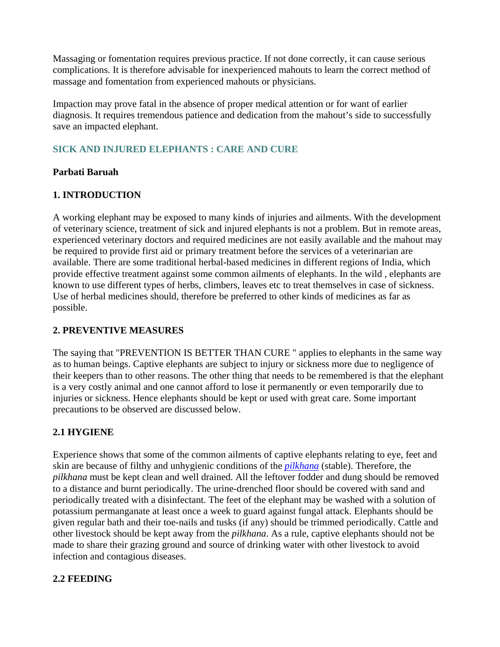Massaging or fomentation requires previous practice. If not done correctly, it can cause serious complications. It is therefore advisable for inexperienced mahouts to learn the correct method of massage and fomentation from experienced mahouts or physicians.

Impaction may prove fatal in the absence of proper medical attention or for want of earlier diagnosis. It requires tremendous patience and dedication from the mahout's side to successfully save an impacted elephant.

## **SICK AND INJURED ELEPHANTS : CARE AND CURE**

## **Parbati Baruah**

## **1. INTRODUCTION**

A working elephant may be exposed to many kinds of injuries and ailments. With the development of veterinary science, treatment of sick and injured elephants is not a problem. But in remote areas, experienced veterinary doctors and required medicines are not easily available and the mahout may be required to provide first aid or primary treatment before the services of a veterinarian are available. There are some traditional herbal-based medicines in different regions of India, which provide effective treatment against some common ailments of elephants. In the wild , elephants are known to use different types of herbs, climbers, leaves etc to treat themselves in case of sickness. Use of herbal medicines should, therefore be preferred to other kinds of medicines as far as possible.

## **2. PREVENTIVE MEASURES**

The saying that "PREVENTION IS BETTER THAN CURE " applies to elephants in the same way as to human beings. Captive elephants are subject to injury or sickness more due to negligence of their keepers than to other reasons. The other thing that needs to be remembered is that the elephant is a very costly animal and one cannot afford to lose it permanently or even temporarily due to injuries or sickness. Hence elephants should be kept or used with great care. Some important precautions to be observed are discussed below.

## **2.1 HYGIENE**

Experience shows that some of the common ailments of captive elephants relating to eye, feet and skin are because of filthy and unhygienic conditions of the *pilkhana* (stable). Therefore, the *pilkhana* must be kept clean and well drained. All the leftover fodder and dung should be removed to a distance and burnt periodically. The urine-drenched floor should be covered with sand and periodically treated with a disinfectant. The feet of the elephant may be washed with a solution of potassium permanganate at least once a week to guard against fungal attack. Elephants should be given regular bath and their toe-nails and tusks (if any) should be trimmed periodically. Cattle and other livestock should be kept away from the *pilkhana*. As a rule, captive elephants should not be made to share their grazing ground and source of drinking water with other livestock to avoid infection and contagious diseases.

## **2.2 FEEDING**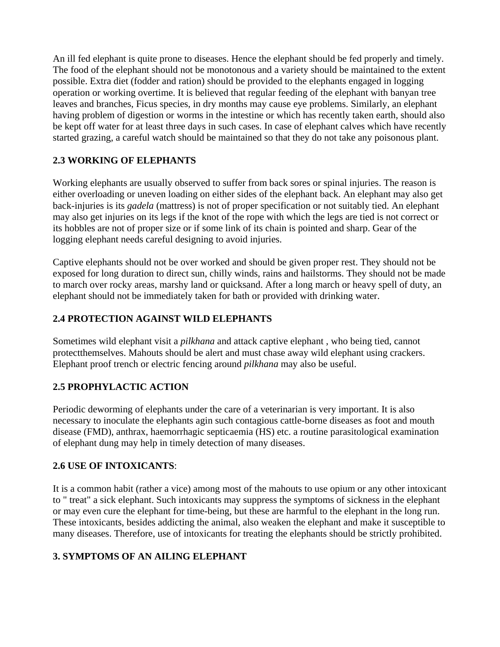An ill fed elephant is quite prone to diseases. Hence the elephant should be fed properly and timely. The food of the elephant should not be monotonous and a variety should be maintained to the extent possible. Extra diet (fodder and ration) should be provided to the elephants engaged in logging operation or working overtime. It is believed that regular feeding of the elephant with banyan tree leaves and branches, Ficus species, in dry months may cause eye problems. Similarly, an elephant having problem of digestion or worms in the intestine or which has recently taken earth, should also be kept off water for at least three days in such cases. In case of elephant calves which have recently started grazing, a careful watch should be maintained so that they do not take any poisonous plant.

## **2.3 WORKING OF ELEPHANTS**

Working elephants are usually observed to suffer from back sores or spinal injuries. The reason is either overloading or uneven loading on either sides of the elephant back. An elephant may also get back-injuries is its *gadela* (mattress) is not of proper specification or not suitably tied. An elephant may also get injuries on its legs if the knot of the rope with which the legs are tied is not correct or its hobbles are not of proper size or if some link of its chain is pointed and sharp. Gear of the logging elephant needs careful designing to avoid injuries.

Captive elephants should not be over worked and should be given proper rest. They should not be exposed for long duration to direct sun, chilly winds, rains and hailstorms. They should not be made to march over rocky areas, marshy land or quicksand. After a long march or heavy spell of duty, an elephant should not be immediately taken for bath or provided with drinking water.

## **2.4 PROTECTION AGAINST WILD ELEPHANTS**

Sometimes wild elephant visit a *pilkhana* and attack captive elephant , who being tied, cannot protectthemselves. Mahouts should be alert and must chase away wild elephant using crackers. Elephant proof trench or electric fencing around *pilkhana* may also be useful.

## **2.5 PROPHYLACTIC ACTION**

Periodic deworming of elephants under the care of a veterinarian is very important. It is also necessary to inoculate the elephants agin such contagious cattle-borne diseases as foot and mouth disease (FMD), anthrax, haemorrhagic septicaemia (HS) etc. a routine parasitological examination of elephant dung may help in timely detection of many diseases.

## **2.6 USE OF INTOXICANTS**:

It is a common habit (rather a vice) among most of the mahouts to use opium or any other intoxicant to " treat" a sick elephant. Such intoxicants may suppress the symptoms of sickness in the elephant or may even cure the elephant for time-being, but these are harmful to the elephant in the long run. These intoxicants, besides addicting the animal, also weaken the elephant and make it susceptible to many diseases. Therefore, use of intoxicants for treating the elephants should be strictly prohibited.

## **3. SYMPTOMS OF AN AILING ELEPHANT**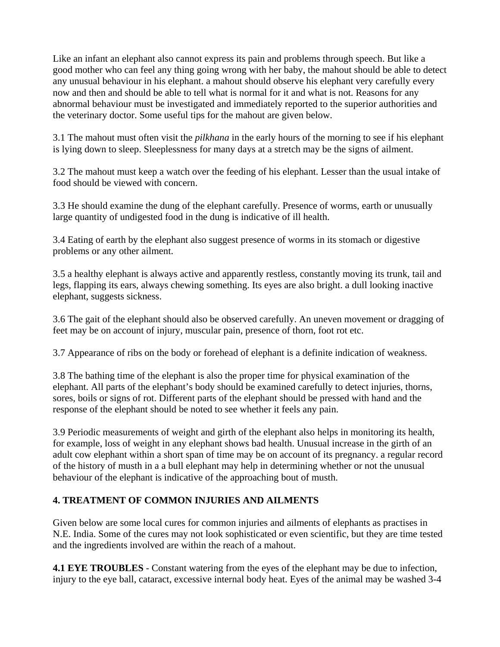Like an infant an elephant also cannot express its pain and problems through speech. But like a good mother who can feel any thing going wrong with her baby, the mahout should be able to detect any unusual behaviour in his elephant. a mahout should observe his elephant very carefully every now and then and should be able to tell what is normal for it and what is not. Reasons for any abnormal behaviour must be investigated and immediately reported to the superior authorities and the veterinary doctor. Some useful tips for the mahout are given below.

3.1 The mahout must often visit the *pilkhana* in the early hours of the morning to see if his elephant is lying down to sleep. Sleeplessness for many days at a stretch may be the signs of ailment.

3.2 The mahout must keep a watch over the feeding of his elephant. Lesser than the usual intake of food should be viewed with concern.

3.3 He should examine the dung of the elephant carefully. Presence of worms, earth or unusually large quantity of undigested food in the dung is indicative of ill health.

3.4 Eating of earth by the elephant also suggest presence of worms in its stomach or digestive problems or any other ailment.

3.5 a healthy elephant is always active and apparently restless, constantly moving its trunk, tail and legs, flapping its ears, always chewing something. Its eyes are also bright. a dull looking inactive elephant, suggests sickness.

3.6 The gait of the elephant should also be observed carefully. An uneven movement or dragging of feet may be on account of injury, muscular pain, presence of thorn, foot rot etc.

3.7 Appearance of ribs on the body or forehead of elephant is a definite indication of weakness.

3.8 The bathing time of the elephant is also the proper time for physical examination of the elephant. All parts of the elephant's body should be examined carefully to detect injuries, thorns, sores, boils or signs of rot. Different parts of the elephant should be pressed with hand and the response of the elephant should be noted to see whether it feels any pain.

3.9 Periodic measurements of weight and girth of the elephant also helps in monitoring its health, for example, loss of weight in any elephant shows bad health. Unusual increase in the girth of an adult cow elephant within a short span of time may be on account of its pregnancy. a regular record of the history of musth in a a bull elephant may help in determining whether or not the unusual behaviour of the elephant is indicative of the approaching bout of musth.

## **4. TREATMENT OF COMMON INJURIES AND AILMENTS**

Given below are some local cures for common injuries and ailments of elephants as practises in N.E. India. Some of the cures may not look sophisticated or even scientific, but they are time tested and the ingredients involved are within the reach of a mahout.

**4.1 EYE TROUBLES** - Constant watering from the eyes of the elephant may be due to infection, injury to the eye ball, cataract, excessive internal body heat. Eyes of the animal may be washed 3-4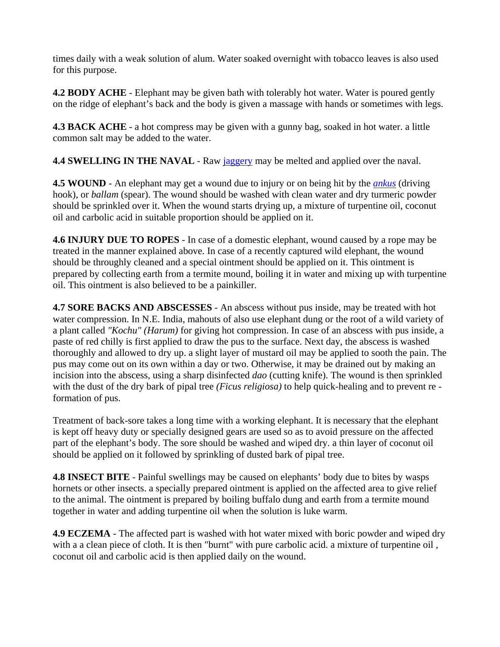times daily with a weak solution of alum. Water soaked overnight with tobacco leaves is also used for this purpose.

**4.2 BODY ACHE** - Elephant may be given bath with tolerably hot water. Water is poured gently on the ridge of elephant's back and the body is given a massage with hands or sometimes with legs.

**4.3 BACK ACHE** - a hot compress may be given with a gunny bag, soaked in hot water. a little common salt may be added to the water.

**4.4 SWELLING IN THE NAVAL** - Raw jaggery may be melted and applied over the naval.

**4.5 WOUND** - An elephant may get a wound due to injury or on being hit by the *ankus* (driving hook), or *ballam* (spear). The wound should be washed with clean water and dry turmeric powder should be sprinkled over it. When the wound starts drying up, a mixture of turpentine oil, coconut oil and carbolic acid in suitable proportion should be applied on it.

**4.6 INJURY DUE TO ROPES** - In case of a domestic elephant, wound caused by a rope may be treated in the manner explained above. In case of a recently captured wild elephant, the wound should be throughly cleaned and a special ointment should be applied on it. This ointment is prepared by collecting earth from a termite mound, boiling it in water and mixing up with turpentine oil. This ointment is also believed to be a painkiller.

**4.7 SORE BACKS AND ABSCESSES** - An abscess without pus inside, may be treated with hot water compression. In N.E. India, mahouts of also use elephant dung or the root of a wild variety of a plant called *"Kochu" (Harum)* for giving hot compression. In case of an abscess with pus inside, a paste of red chilly is first applied to draw the pus to the surface. Next day, the abscess is washed thoroughly and allowed to dry up. a slight layer of mustard oil may be applied to sooth the pain. The pus may come out on its own within a day or two. Otherwise, it may be drained out by making an incision into the abscess, using a sharp disinfected *dao* (cutting knife). The wound is then sprinkled with the dust of the dry bark of pipal tree *(Ficus religiosa)* to help quick-healing and to prevent re formation of pus.

Treatment of back-sore takes a long time with a working elephant. It is necessary that the elephant is kept off heavy duty or specially designed gears are used so as to avoid pressure on the affected part of the elephant's body. The sore should be washed and wiped dry. a thin layer of coconut oil should be applied on it followed by sprinkling of dusted bark of pipal tree.

**4.8 INSECT BITE** - Painful swellings may be caused on elephants' body due to bites by wasps hornets or other insects. a specially prepared ointment is applied on the affected area to give relief to the animal. The ointment is prepared by boiling buffalo dung and earth from a termite mound together in water and adding turpentine oil when the solution is luke warm.

**4.9 ECZEMA** - The affected part is washed with hot water mixed with boric powder and wiped dry with a a clean piece of cloth. It is then "burnt" with pure carbolic acid. a mixture of turpentine oil , coconut oil and carbolic acid is then applied daily on the wound.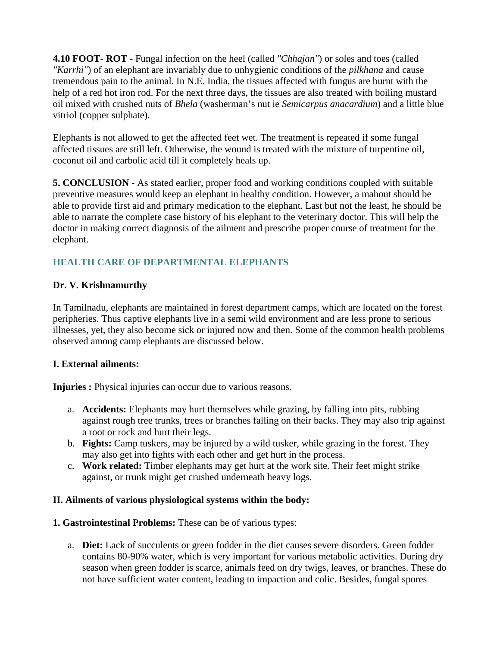**4.10 FOOT- ROT** - Fungal infection on the heel (called *"Chhajan"*) or soles and toes (called *"Karrhi"*) of an elephant are invariably due to unhygienic conditions of the *pilkhana* and cause tremendous pain to the animal. In N.E. India, the tissues affected with fungus are burnt with the help of a red hot iron rod. For the next three days, the tissues are also treated with boiling mustard oil mixed with crushed nuts of *Bhela* (washerman's nut ie *Semicarpus anacardium*) and a little blue vitriol (copper sulphate).

Elephants is not allowed to get the affected feet wet. The treatment is repeated if some fungal affected tissues are still left. Otherwise, the wound is treated with the mixture of turpentine oil, coconut oil and carbolic acid till it completely heals up.

**5. CONCLUSION** - As stated earlier, proper food and working conditions coupled with suitable preventive measures would keep an elephant in healthy condition. However, a mahout should be able to provide first aid and primary medication to the elephant. Last but not the least, he should be able to narrate the complete case history of his elephant to the veterinary doctor. This will help the doctor in making correct diagnosis of the ailment and prescribe proper course of treatment for the elephant.

## **HEALTH CARE OF DEPARTMENTAL ELEPHANTS**

## **Dr. V. Krishnamurthy**

In Tamilnadu, elephants are maintained in forest department camps, which are located on the forest peripheries. Thus captive elephants live in a semi wild environment and are less prone to serious illnesses, yet, they also become sick or injured now and then. Some of the common health problems observed among camp elephants are discussed below.

## **I. External ailments:**

**Injuries :** Physical injuries can occur due to various reasons.

- a. **Accidents:** Elephants may hurt themselves while grazing, by falling into pits, rubbing against rough tree trunks, trees or branches falling on their backs. They may also trip against a root or rock and hurt their legs.
- b. **Fights:** Camp tuskers, may be injured by a wild tusker, while grazing in the forest. They may also get into fights with each other and get hurt in the process.
- c. **Work related:** Timber elephants may get hurt at the work site. Their feet might strike against, or trunk might get crushed underneath heavy logs.

## **II. Ailments of various physiological systems within the body:**

- **1. Gastrointestinal Problems:** These can be of various types:
	- a. **Diet:** Lack of succulents or green fodder in the diet causes severe disorders. Green fodder contains 80-90% water, which is very important for various metabolic activities. During dry season when green fodder is scarce, animals feed on dry twigs, leaves, or branches. These do not have sufficient water content, leading to impaction and colic. Besides, fungal spores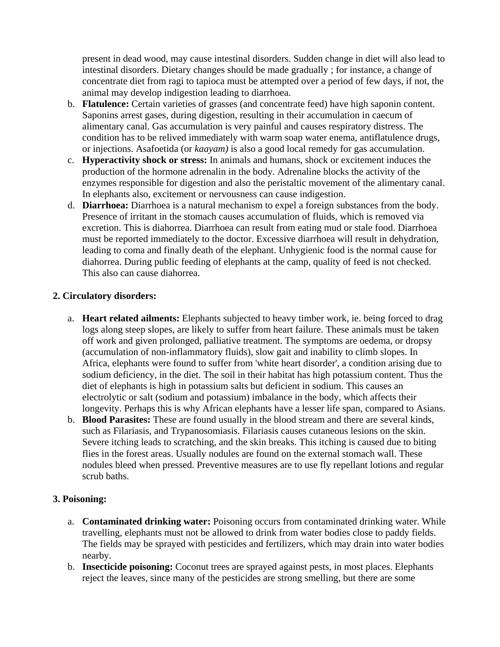present in dead wood, may cause intestinal disorders. Sudden change in diet will also lead to intestinal disorders. Dietary changes should be made gradually ; for instance, a change of concentrate diet from ragi to tapioca must be attempted over a period of few days, if not, the animal may develop indigestion leading to diarrhoea.

- b. **Flatulence:** Certain varieties of grasses (and concentrate feed) have high saponin content. Saponins arrest gases, during digestion, resulting in their accumulation in caecum of alimentary canal. Gas accumulation is very painful and causes respiratory distress. The condition has to be relived immediately with warm soap water enema, antiflatulence drugs, or injections. Asafoetida (or *kaayam)* is also a good local remedy for gas accumulation.
- c. **Hyperactivity shock or stress:** In animals and humans, shock or excitement induces the production of the hormone adrenalin in the body. Adrenaline blocks the activity of the enzymes responsible for digestion and also the peristaltic movement of the alimentary canal. In elephants also, excitement or nervousness can cause indigestion.
- d. **Diarrhoea:** Diarrhoea is a natural mechanism to expel a foreign substances from the body. Presence of irritant in the stomach causes accumulation of fluids, which is removed via excretion. This is diahorrea. Diarrhoea can result from eating mud or stale food. Diarrhoea must be reported immediately to the doctor. Excessive diarrhoea will result in dehydration, leading to coma and finally death of the elephant. Unhygienic food is the normal cause for diahorrea. During public feeding of elephants at the camp, quality of feed is not checked. This also can cause diahorrea.

#### **2. Circulatory disorders:**

- a. **Heart related ailments:** Elephants subjected to heavy timber work, ie. being forced to drag logs along steep slopes, are likely to suffer from heart failure. These animals must be taken off work and given prolonged, palliative treatment. The symptoms are oedema, or dropsy (accumulation of non-inflammatory fluids), slow gait and inability to climb slopes. In Africa, elephants were found to suffer from 'white heart disorder', a condition arising due to sodium deficiency, in the diet. The soil in their habitat has high potassium content. Thus the diet of elephants is high in potassium salts but deficient in sodium. This causes an electrolytic or salt (sodium and potassium) imbalance in the body, which affects their longevity. Perhaps this is why African elephants have a lesser life span, compared to Asians.
- b. **Blood Parasites:** These are found usually in the blood stream and there are several kinds, such as Filariasis, and Trypanosomiasis. Filariasis causes cutaneous lesions on the skin. Severe itching leads to scratching, and the skin breaks. This itching is caused due to biting flies in the forest areas. Usually nodules are found on the external stomach wall. These nodules bleed when pressed. Preventive measures are to use fly repellant lotions and regular scrub baths.

## **3. Poisoning:**

- a. **Contaminated drinking water:** Poisoning occurs from contaminated drinking water. While travelling, elephants must not be allowed to drink from water bodies close to paddy fields. The fields may be sprayed with pesticides and fertilizers, which may drain into water bodies nearby.
- b. **Insecticide poisoning:** Coconut trees are sprayed against pests, in most places. Elephants reject the leaves, since many of the pesticides are strong smelling, but there are some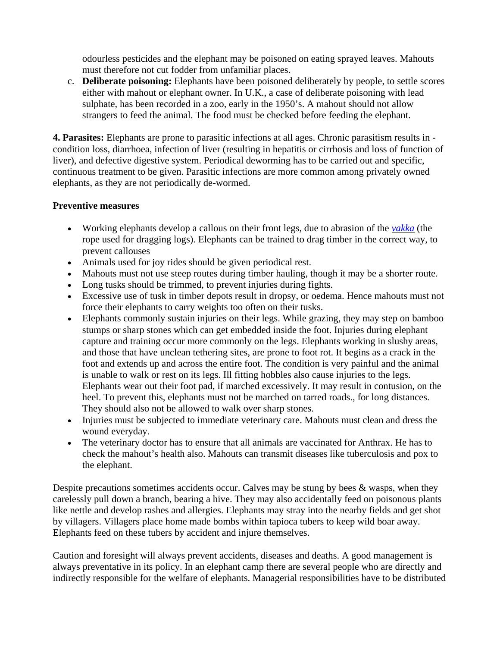odourless pesticides and the elephant may be poisoned on eating sprayed leaves. Mahouts must therefore not cut fodder from unfamiliar places.

c. **Deliberate poisoning:** Elephants have been poisoned deliberately by people, to settle scores either with mahout or elephant owner. In U.K., a case of deliberate poisoning with lead sulphate, has been recorded in a zoo, early in the 1950's. A mahout should not allow strangers to feed the animal. The food must be checked before feeding the elephant.

**4. Parasites:** Elephants are prone to parasitic infections at all ages. Chronic parasitism results in condition loss, diarrhoea, infection of liver (resulting in hepatitis or cirrhosis and loss of function of liver), and defective digestive system. Periodical deworming has to be carried out and specific, continuous treatment to be given. Parasitic infections are more common among privately owned elephants, as they are not periodically de-wormed.

## **Preventive measures**

- Working elephants develop a callous on their front legs, due to abrasion of the *vakka* (the rope used for dragging logs). Elephants can be trained to drag timber in the correct way, to prevent callouses
- Animals used for joy rides should be given periodical rest.
- Mahouts must not use steep routes during timber hauling, though it may be a shorter route.
- Long tusks should be trimmed, to prevent injuries during fights.
- Excessive use of tusk in timber depots result in dropsy, or oedema. Hence mahouts must not force their elephants to carry weights too often on their tusks.
- Elephants commonly sustain injuries on their legs. While grazing, they may step on bamboo stumps or sharp stones which can get embedded inside the foot. Injuries during elephant capture and training occur more commonly on the legs. Elephants working in slushy areas, and those that have unclean tethering sites, are prone to foot rot. It begins as a crack in the foot and extends up and across the entire foot. The condition is very painful and the animal is unable to walk or rest on its legs. Ill fitting hobbles also cause injuries to the legs. Elephants wear out their foot pad, if marched excessively. It may result in contusion, on the heel. To prevent this, elephants must not be marched on tarred roads., for long distances. They should also not be allowed to walk over sharp stones.
- Injuries must be subjected to immediate veterinary care. Mahouts must clean and dress the wound everyday.
- The veterinary doctor has to ensure that all animals are vaccinated for Anthrax. He has to check the mahout's health also. Mahouts can transmit diseases like tuberculosis and pox to the elephant.

Despite precautions sometimes accidents occur. Calves may be stung by bees & wasps, when they carelessly pull down a branch, bearing a hive. They may also accidentally feed on poisonous plants like nettle and develop rashes and allergies. Elephants may stray into the nearby fields and get shot by villagers. Villagers place home made bombs within tapioca tubers to keep wild boar away. Elephants feed on these tubers by accident and injure themselves.

Caution and foresight will always prevent accidents, diseases and deaths. A good management is always preventative in its policy. In an elephant camp there are several people who are directly and indirectly responsible for the welfare of elephants. Managerial responsibilities have to be distributed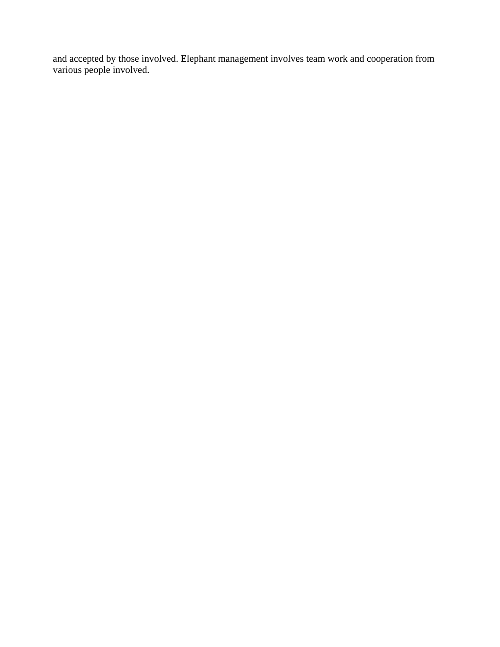and accepted by those involved. Elephant management involves team work and cooperation from various people involved.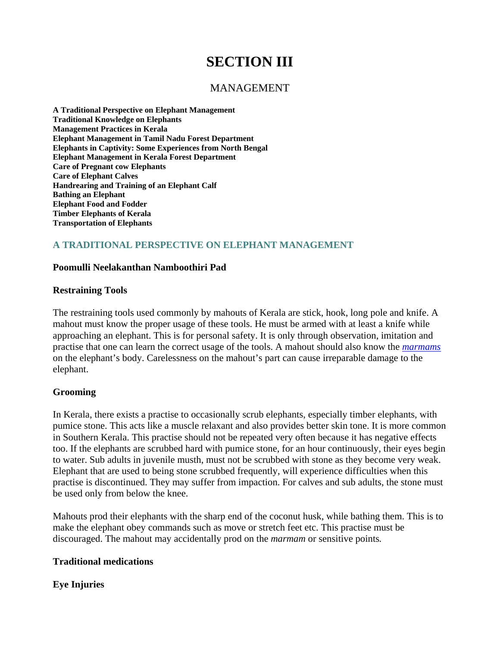# **SECTION III**

## MANAGEMENT

**A Traditional Perspective on Elephant Management Traditional Knowledge on Elephants Management Practices in Kerala Elephant Management in Tamil Nadu Forest Department Elephants in Captivity: Some Experiences from North Bengal Elephant Management in Kerala Forest Department Care of Pregnant cow Elephants Care of Elephant Calves Handrearing and Training of an Elephant Calf Bathing an Elephant Elephant Food and Fodder Timber Elephants of Kerala Transportation of Elephants**

## **A TRADITIONAL PERSPECTIVE ON ELEPHANT MANAGEMENT**

#### **Poomulli Neelakanthan Namboothiri Pad**

#### **Restraining Tools**

The restraining tools used commonly by mahouts of Kerala are stick, hook, long pole and knife. A mahout must know the proper usage of these tools. He must be armed with at least a knife while approaching an elephant. This is for personal safety. It is only through observation, imitation and practise that one can learn the correct usage of the tools. A mahout should also know the *marmams* on the elephant's body. Carelessness on the mahout's part can cause irreparable damage to the elephant.

#### **Grooming**

In Kerala, there exists a practise to occasionally scrub elephants, especially timber elephants, with pumice stone. This acts like a muscle relaxant and also provides better skin tone. It is more common in Southern Kerala. This practise should not be repeated very often because it has negative effects too. If the elephants are scrubbed hard with pumice stone, for an hour continuously, their eyes begin to water. Sub adults in juvenile musth, must not be scrubbed with stone as they become very weak. Elephant that are used to being stone scrubbed frequently, will experience difficulties when this practise is discontinued. They may suffer from impaction. For calves and sub adults, the stone must be used only from below the knee.

Mahouts prod their elephants with the sharp end of the coconut husk, while bathing them. This is to make the elephant obey commands such as move or stretch feet etc. This practise must be discouraged. The mahout may accidentally prod on the *marmam* or sensitive points*.*

#### **Traditional medications**

## **Eye Injuries**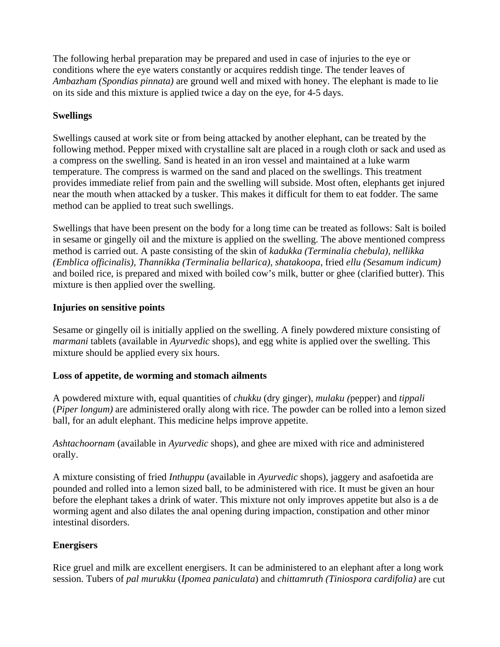The following herbal preparation may be prepared and used in case of injuries to the eye or conditions where the eye waters constantly or acquires reddish tinge. The tender leaves of *Ambazham (Spondias pinnata)* are ground well and mixed with honey. The elephant is made to lie on its side and this mixture is applied twice a day on the eye, for 4-5 days.

## **Swellings**

Swellings caused at work site or from being attacked by another elephant, can be treated by the following method. Pepper mixed with crystalline salt are placed in a rough cloth or sack and used as a compress on the swelling. Sand is heated in an iron vessel and maintained at a luke warm temperature. The compress is warmed on the sand and placed on the swellings. This treatment provides immediate relief from pain and the swelling will subside. Most often, elephants get injured near the mouth when attacked by a tusker. This makes it difficult for them to eat fodder. The same method can be applied to treat such swellings.

Swellings that have been present on the body for a long time can be treated as follows: Salt is boiled in sesame or gingelly oil and the mixture is applied on the swelling. The above mentioned compress method is carried out. A paste consisting of the skin of *kadukka (Terminalia chebula), nellikka (Emblica officinalis), Thannikka (Terminalia bellarica), shatakoopa,* fried *ellu (Sesamum indicum)*  and boiled rice, is prepared and mixed with boiled cow's milk, butter or ghee (clarified butter). This mixture is then applied over the swelling.

## **Injuries on sensitive points**

Sesame or gingelly oil is initially applied on the swelling. A finely powdered mixture consisting of *marmani* tablets (available in *Ayurvedic* shops), and egg white is applied over the swelling. This mixture should be applied every six hours.

## **Loss of appetite, de worming and stomach ailments**

A powdered mixture with, equal quantities of *chukku* (dry ginger), *mulaku (*pepper) and *tippali* (*Piper longum)* are administered orally along with rice. The powder can be rolled into a lemon sized ball, for an adult elephant. This medicine helps improve appetite.

*Ashtachoornam* (available in *Ayurvedic* shops), and ghee are mixed with rice and administered orally.

A mixture consisting of fried *Inthuppu* (available in *Ayurvedic* shops), jaggery and asafoetida are pounded and rolled into a lemon sized ball, to be administered with rice. It must be given an hour before the elephant takes a drink of water. This mixture not only improves appetite but also is a de worming agent and also dilates the anal opening during impaction, constipation and other minor intestinal disorders.

## **Energisers**

Rice gruel and milk are excellent energisers. It can be administered to an elephant after a long work session. Tubers of *pal murukku* (*Ipomea paniculata*) and *chittamruth (Tiniospora cardifolia)* are cut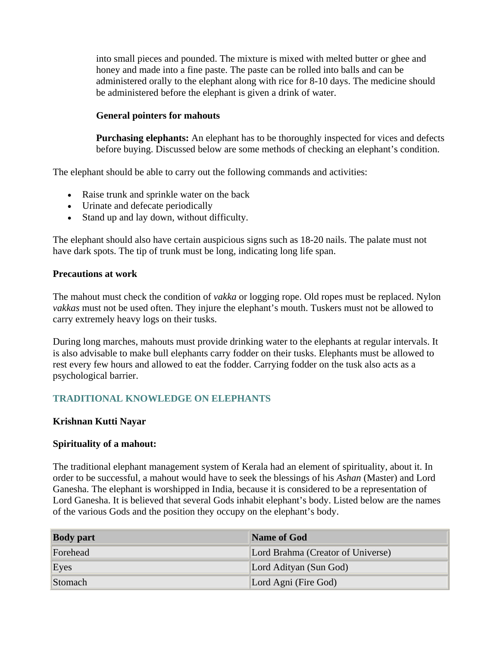into small pieces and pounded. The mixture is mixed with melted butter or ghee and honey and made into a fine paste. The paste can be rolled into balls and can be administered orally to the elephant along with rice for 8-10 days. The medicine should be administered before the elephant is given a drink of water.

#### **General pointers for mahouts**

**Purchasing elephants:** An elephant has to be thoroughly inspected for vices and defects before buying. Discussed below are some methods of checking an elephant's condition.

The elephant should be able to carry out the following commands and activities:

- Raise trunk and sprinkle water on the back
- Urinate and defecate periodically
- Stand up and lay down, without difficulty.

The elephant should also have certain auspicious signs such as 18-20 nails. The palate must not have dark spots. The tip of trunk must be long, indicating long life span.

#### **Precautions at work**

The mahout must check the condition of *vakka* or logging rope. Old ropes must be replaced. Nylon *vakkas* must not be used often. They injure the elephant's mouth. Tuskers must not be allowed to carry extremely heavy logs on their tusks.

During long marches, mahouts must provide drinking water to the elephants at regular intervals. It is also advisable to make bull elephants carry fodder on their tusks. Elephants must be allowed to rest every few hours and allowed to eat the fodder. Carrying fodder on the tusk also acts as a psychological barrier.

## **TRADITIONAL KNOWLEDGE ON ELEPHANTS**

#### **Krishnan Kutti Nayar**

#### **Spirituality of a mahout:**

The traditional elephant management system of Kerala had an element of spirituality, about it. In order to be successful, a mahout would have to seek the blessings of his *Ashan* (Master) and Lord Ganesha. The elephant is worshipped in India, because it is considered to be a representation of Lord Ganesha. It is believed that several Gods inhabit elephant's body. Listed below are the names of the various Gods and the position they occupy on the elephant's body.

| <b>Body</b> part | Name of God                       |
|------------------|-----------------------------------|
| Forehead         | Lord Brahma (Creator of Universe) |
| Eyes             | Lord Adityan (Sun God)            |
| Stomach          | Lord Agni (Fire God)              |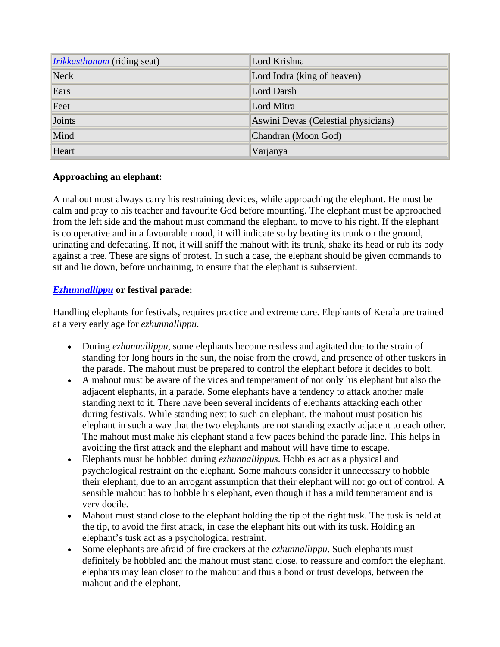| <i>Irikkasthanam</i> (riding seat) | Lord Krishna                        |
|------------------------------------|-------------------------------------|
| Neck                               | Lord Indra (king of heaven)         |
| Ears                               | Lord Darsh                          |
| Feet                               | Lord Mitra                          |
| Joints                             | Aswini Devas (Celestial physicians) |
| Mind                               | Chandran (Moon God)                 |
| Heart                              | Varjanya                            |

## **Approaching an elephant:**

A mahout must always carry his restraining devices, while approaching the elephant. He must be calm and pray to his teacher and favourite God before mounting. The elephant must be approached from the left side and the mahout must command the elephant, to move to his right. If the elephant is co operative and in a favourable mood, it will indicate so by beating its trunk on the ground, urinating and defecating. If not, it will sniff the mahout with its trunk, shake its head or rub its body against a tree. These are signs of protest. In such a case, the elephant should be given commands to sit and lie down, before unchaining, to ensure that the elephant is subservient.

## *Ezhunnallippu* **or festival parade:**

Handling elephants for festivals, requires practice and extreme care. Elephants of Kerala are trained at a very early age for *ezhunnallippu*.

- During *ezhunnallippu*, some elephants become restless and agitated due to the strain of standing for long hours in the sun, the noise from the crowd, and presence of other tuskers in the parade. The mahout must be prepared to control the elephant before it decides to bolt.
- A mahout must be aware of the vices and temperament of not only his elephant but also the adjacent elephants, in a parade. Some elephants have a tendency to attack another male standing next to it. There have been several incidents of elephants attacking each other during festivals. While standing next to such an elephant, the mahout must position his elephant in such a way that the two elephants are not standing exactly adjacent to each other. The mahout must make his elephant stand a few paces behind the parade line. This helps in avoiding the first attack and the elephant and mahout will have time to escape.
- Elephants must be hobbled during *ezhunnallippus*. Hobbles act as a physical and psychological restraint on the elephant. Some mahouts consider it unnecessary to hobble their elephant, due to an arrogant assumption that their elephant will not go out of control. A sensible mahout has to hobble his elephant, even though it has a mild temperament and is very docile.
- Mahout must stand close to the elephant holding the tip of the right tusk. The tusk is held at the tip, to avoid the first attack, in case the elephant hits out with its tusk. Holding an elephant's tusk act as a psychological restraint.
- Some elephants are afraid of fire crackers at the *ezhunnallippu*. Such elephants must definitely be hobbled and the mahout must stand close, to reassure and comfort the elephant. elephants may lean closer to the mahout and thus a bond or trust develops, between the mahout and the elephant.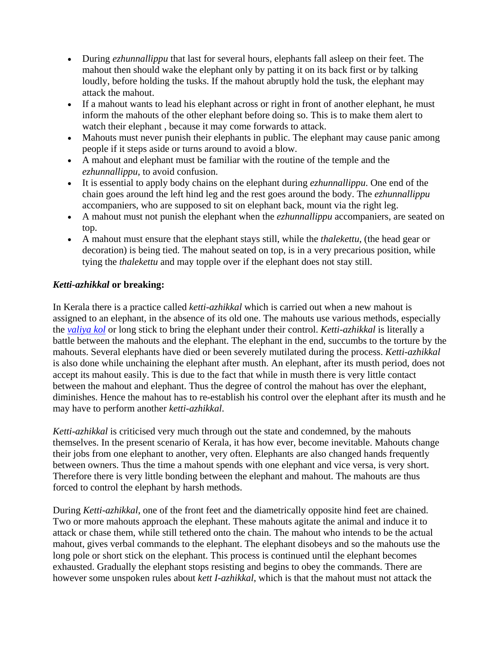- During *ezhunnallippu* that last for several hours, elephants fall asleep on their feet. The mahout then should wake the elephant only by patting it on its back first or by talking loudly, before holding the tusks. If the mahout abruptly hold the tusk, the elephant may attack the mahout.
- If a mahout wants to lead his elephant across or right in front of another elephant, he must inform the mahouts of the other elephant before doing so. This is to make them alert to watch their elephant , because it may come forwards to attack.
- Mahouts must never punish their elephants in public. The elephant may cause panic among people if it steps aside or turns around to avoid a blow.
- A mahout and elephant must be familiar with the routine of the temple and the *ezhunnallippu,* to avoid confusion.
- It is essential to apply body chains on the elephant during *ezhunnallippu*. One end of the chain goes around the left hind leg and the rest goes around the body. The *ezhunnallippu* accompaniers, who are supposed to sit on elephant back, mount via the right leg.
- A mahout must not punish the elephant when the *ezhunnallippu* accompaniers, are seated on top.
- A mahout must ensure that the elephant stays still, while the *thalekettu*, (the head gear or decoration) is being tied. The mahout seated on top, is in a very precarious position, while tying the *thalekettu* and may topple over if the elephant does not stay still.

## *Ketti-azhikkal* **or breaking:**

In Kerala there is a practice called *ketti-azhikkal* which is carried out when a new mahout is assigned to an elephant, in the absence of its old one. The mahouts use various methods, especially the *valiya kol* or long stick to bring the elephant under their control. *Ketti-azhikkal* is literally a battle between the mahouts and the elephant. The elephant in the end, succumbs to the torture by the mahouts. Several elephants have died or been severely mutilated during the process. *Ketti-azhikkal* is also done while unchaining the elephant after musth. An elephant, after its musth period, does not accept its mahout easily. This is due to the fact that while in musth there is very little contact between the mahout and elephant. Thus the degree of control the mahout has over the elephant, diminishes. Hence the mahout has to re-establish his control over the elephant after its musth and he may have to perform another *ketti-azhikkal*.

*Ketti-azhikkal* is criticised very much through out the state and condemned, by the mahouts themselves. In the present scenario of Kerala, it has how ever, become inevitable. Mahouts change their jobs from one elephant to another, very often. Elephants are also changed hands frequently between owners. Thus the time a mahout spends with one elephant and vice versa, is very short. Therefore there is very little bonding between the elephant and mahout. The mahouts are thus forced to control the elephant by harsh methods.

During *Ketti-azhikkal*, one of the front feet and the diametrically opposite hind feet are chained. Two or more mahouts approach the elephant. These mahouts agitate the animal and induce it to attack or chase them, while still tethered onto the chain. The mahout who intends to be the actual mahout, gives verbal commands to the elephant. The elephant disobeys and so the mahouts use the long pole or short stick on the elephant. This process is continued until the elephant becomes exhausted. Gradually the elephant stops resisting and begins to obey the commands. There are however some unspoken rules about *kett I-azhikkal*, which is that the mahout must not attack the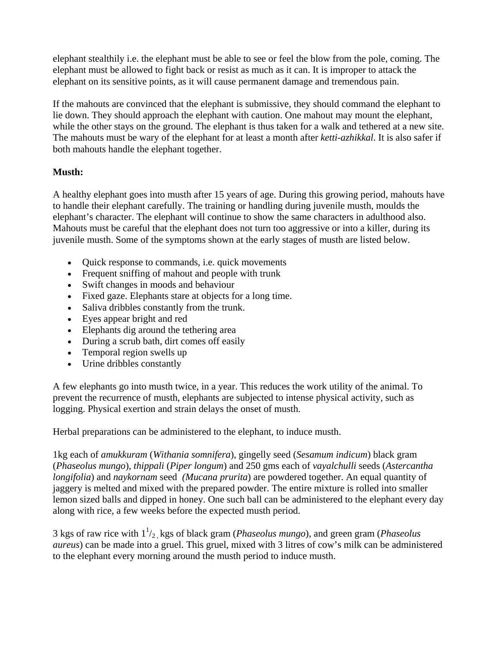elephant stealthily i.e. the elephant must be able to see or feel the blow from the pole, coming. The elephant must be allowed to fight back or resist as much as it can. It is improper to attack the elephant on its sensitive points, as it will cause permanent damage and tremendous pain.

If the mahouts are convinced that the elephant is submissive, they should command the elephant to lie down. They should approach the elephant with caution. One mahout may mount the elephant, while the other stays on the ground. The elephant is thus taken for a walk and tethered at a new site. The mahouts must be wary of the elephant for at least a month after *ketti-azhikkal*. It is also safer if both mahouts handle the elephant together.

## **Musth:**

A healthy elephant goes into musth after 15 years of age. During this growing period, mahouts have to handle their elephant carefully. The training or handling during juvenile musth, moulds the elephant's character. The elephant will continue to show the same characters in adulthood also. Mahouts must be careful that the elephant does not turn too aggressive or into a killer, during its juvenile musth. Some of the symptoms shown at the early stages of musth are listed below.

- Quick response to commands, i.e. quick movements
- Frequent snifting of mahout and people with trunk
- Swift changes in moods and behaviour
- Fixed gaze. Elephants stare at objects for a long time.
- Saliva dribbles constantly from the trunk.
- Eyes appear bright and red
- Elephants dig around the tethering area
- During a scrub bath, dirt comes off easily
- Temporal region swells up
- Urine dribbles constantly

A few elephants go into musth twice, in a year. This reduces the work utility of the animal. To prevent the recurrence of musth, elephants are subjected to intense physical activity, such as logging. Physical exertion and strain delays the onset of musth.

Herbal preparations can be administered to the elephant, to induce musth.

1kg each of *amukkuram* (*Withania somnifera*), gingelly seed (*Sesamum indicum*) black gram (*Phaseolus mungo*), *thippali* (*Piper longum*) and 250 gms each of *vayalchulli* seeds (*Astercantha longifolia*) and *naykornam* seed *(Mucana prurita*) are powdered together. An equal quantity of jaggery is melted and mixed with the prepared powder. The entire mixture is rolled into smaller lemon sized balls and dipped in honey. One such ball can be administered to the elephant every day along with rice, a few weeks before the expected musth period.

3 kgs of raw rice with  $1<sup>1</sup>/<sub>2</sub>$ , kgs of black gram (*Phaseolus mungo*), and green gram (*Phaseolus aureus*) can be made into a gruel. This gruel, mixed with 3 litres of cow's milk can be administered to the elephant every morning around the musth period to induce musth.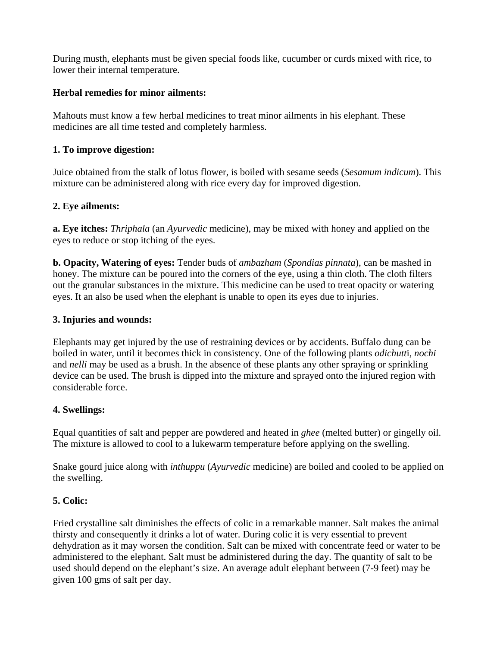During musth, elephants must be given special foods like, cucumber or curds mixed with rice, to lower their internal temperature.

## **Herbal remedies for minor ailments:**

Mahouts must know a few herbal medicines to treat minor ailments in his elephant. These medicines are all time tested and completely harmless.

## **1. To improve digestion:**

Juice obtained from the stalk of lotus flower, is boiled with sesame seeds (*Sesamum indicum*). This mixture can be administered along with rice every day for improved digestion.

## **2. Eye ailments:**

**a. Eye itches:** *Thriphala* (an *Ayurvedic* medicine), may be mixed with honey and applied on the eyes to reduce or stop itching of the eyes.

**b. Opacity, Watering of eyes:** Tender buds of *ambazham* (*Spondias pinnata*), can be mashed in honey. The mixture can be poured into the corners of the eye, using a thin cloth. The cloth filters out the granular substances in the mixture. This medicine can be used to treat opacity or watering eyes. It an also be used when the elephant is unable to open its eyes due to injuries.

## **3. Injuries and wounds:**

Elephants may get injured by the use of restraining devices or by accidents. Buffalo dung can be boiled in water, until it becomes thick in consistency. One of the following plants *odichutt*i, *nochi* and *nelli* may be used as a brush. In the absence of these plants any other spraying or sprinkling device can be used. The brush is dipped into the mixture and sprayed onto the injured region with considerable force.

## **4. Swellings:**

Equal quantities of salt and pepper are powdered and heated in *ghee* (melted butter) or gingelly oil. The mixture is allowed to cool to a lukewarm temperature before applying on the swelling.

Snake gourd juice along with *inthuppu* (*Ayurvedic* medicine) are boiled and cooled to be applied on the swelling.

## **5. Colic:**

Fried crystalline salt diminishes the effects of colic in a remarkable manner. Salt makes the animal thirsty and consequently it drinks a lot of water. During colic it is very essential to prevent dehydration as it may worsen the condition. Salt can be mixed with concentrate feed or water to be administered to the elephant. Salt must be administered during the day. The quantity of salt to be used should depend on the elephant's size. An average adult elephant between (7-9 feet) may be given 100 gms of salt per day.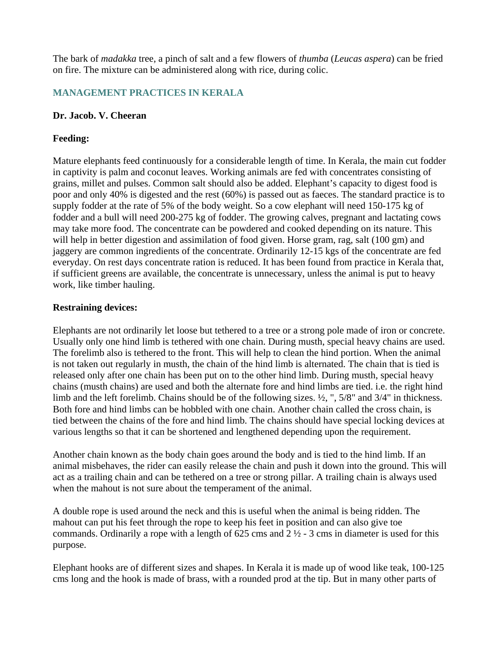The bark of *madakka* tree, a pinch of salt and a few flowers of *thumba* (*Leucas aspera*) can be fried on fire. The mixture can be administered along with rice, during colic.

## **MANAGEMENT PRACTICES IN KERALA**

#### **Dr. Jacob. V. Cheeran**

### **Feeding:**

Mature elephants feed continuously for a considerable length of time. In Kerala, the main cut fodder in captivity is palm and coconut leaves. Working animals are fed with concentrates consisting of grains, millet and pulses. Common salt should also be added. Elephant's capacity to digest food is poor and only 40% is digested and the rest (60%) is passed out as faeces. The standard practice is to supply fodder at the rate of 5% of the body weight. So a cow elephant will need 150-175 kg of fodder and a bull will need 200-275 kg of fodder. The growing calves, pregnant and lactating cows may take more food. The concentrate can be powdered and cooked depending on its nature. This will help in better digestion and assimilation of food given. Horse gram, rag, salt (100 gm) and jaggery are common ingredients of the concentrate. Ordinarily 12-15 kgs of the concentrate are fed everyday. On rest days concentrate ration is reduced. It has been found from practice in Kerala that, if sufficient greens are available, the concentrate is unnecessary, unless the animal is put to heavy work, like timber hauling.

#### **Restraining devices:**

Elephants are not ordinarily let loose but tethered to a tree or a strong pole made of iron or concrete. Usually only one hind limb is tethered with one chain. During musth, special heavy chains are used. The forelimb also is tethered to the front. This will help to clean the hind portion. When the animal is not taken out regularly in musth, the chain of the hind limb is alternated. The chain that is tied is released only after one chain has been put on to the other hind limb. During musth, special heavy chains (musth chains) are used and both the alternate fore and hind limbs are tied. i.e. the right hind limb and the left forelimb. Chains should be of the following sizes. ½, ", 5/8" and 3/4" in thickness. Both fore and hind limbs can be hobbled with one chain. Another chain called the cross chain, is tied between the chains of the fore and hind limb. The chains should have special locking devices at various lengths so that it can be shortened and lengthened depending upon the requirement.

Another chain known as the body chain goes around the body and is tied to the hind limb. If an animal misbehaves, the rider can easily release the chain and push it down into the ground. This will act as a trailing chain and can be tethered on a tree or strong pillar. A trailing chain is always used when the mahout is not sure about the temperament of the animal.

A double rope is used around the neck and this is useful when the animal is being ridden. The mahout can put his feet through the rope to keep his feet in position and can also give toe commands. Ordinarily a rope with a length of  $625 \text{ cms}$  and  $2\frac{1}{2}$  - 3 cms in diameter is used for this purpose.

Elephant hooks are of different sizes and shapes. In Kerala it is made up of wood like teak, 100-125 cms long and the hook is made of brass, with a rounded prod at the tip. But in many other parts of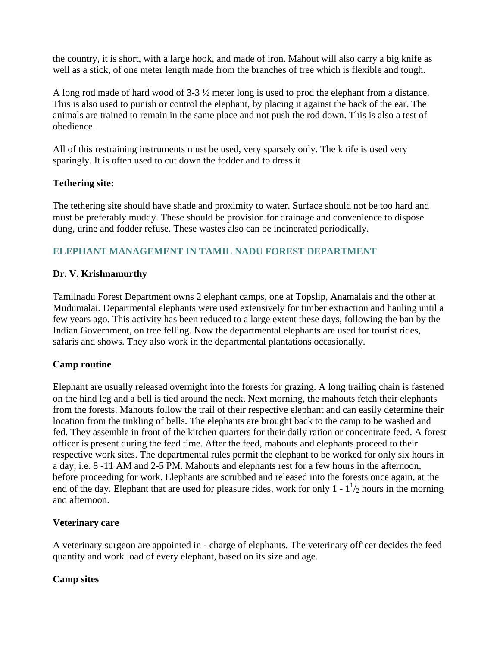the country, it is short, with a large hook, and made of iron. Mahout will also carry a big knife as well as a stick, of one meter length made from the branches of tree which is flexible and tough.

A long rod made of hard wood of 3-3 ½ meter long is used to prod the elephant from a distance. This is also used to punish or control the elephant, by placing it against the back of the ear. The animals are trained to remain in the same place and not push the rod down. This is also a test of obedience.

All of this restraining instruments must be used, very sparsely only. The knife is used very sparingly. It is often used to cut down the fodder and to dress it

### **Tethering site:**

The tethering site should have shade and proximity to water. Surface should not be too hard and must be preferably muddy. These should be provision for drainage and convenience to dispose dung, urine and fodder refuse. These wastes also can be incinerated periodically.

# **ELEPHANT MANAGEMENT IN TAMIL NADU FOREST DEPARTMENT**

### **Dr. V. Krishnamurthy**

Tamilnadu Forest Department owns 2 elephant camps, one at Topslip, Anamalais and the other at Mudumalai. Departmental elephants were used extensively for timber extraction and hauling until a few years ago. This activity has been reduced to a large extent these days, following the ban by the Indian Government, on tree felling. Now the departmental elephants are used for tourist rides, safaris and shows. They also work in the departmental plantations occasionally.

### **Camp routine**

Elephant are usually released overnight into the forests for grazing. A long trailing chain is fastened on the hind leg and a bell is tied around the neck. Next morning, the mahouts fetch their elephants from the forests. Mahouts follow the trail of their respective elephant and can easily determine their location from the tinkling of bells. The elephants are brought back to the camp to be washed and fed. They assemble in front of the kitchen quarters for their daily ration or concentrate feed. A forest officer is present during the feed time. After the feed, mahouts and elephants proceed to their respective work sites. The departmental rules permit the elephant to be worked for only six hours in a day, i.e. 8 -11 AM and 2-5 PM. Mahouts and elephants rest for a few hours in the afternoon, before proceeding for work. Elephants are scrubbed and released into the forests once again, at the end of the day. Elephant that are used for pleasure rides, work for only  $1 - 1<sup>1</sup>/2$  hours in the morning and afternoon.

### **Veterinary care**

A veterinary surgeon are appointed in - charge of elephants. The veterinary officer decides the feed quantity and work load of every elephant, based on its size and age.

### **Camp sites**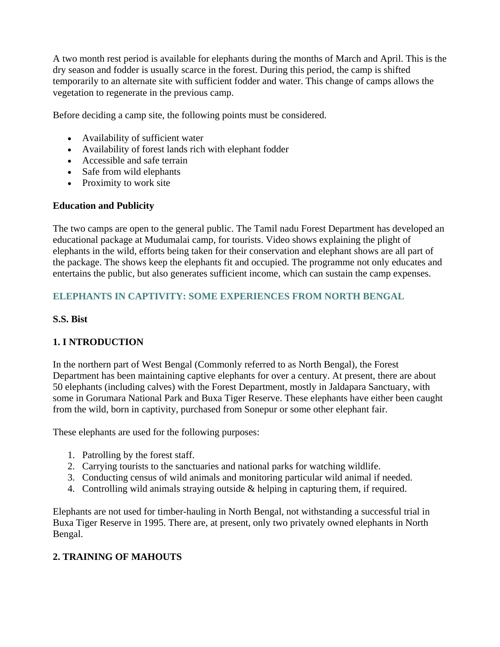A two month rest period is available for elephants during the months of March and April. This is the dry season and fodder is usually scarce in the forest. During this period, the camp is shifted temporarily to an alternate site with sufficient fodder and water. This change of camps allows the vegetation to regenerate in the previous camp.

Before deciding a camp site, the following points must be considered.

- Availability of sufficient water
- Availability of forest lands rich with elephant fodder
- Accessible and safe terrain
- Safe from wild elephants
- Proximity to work site

## **Education and Publicity**

The two camps are open to the general public. The Tamil nadu Forest Department has developed an educational package at Mudumalai camp, for tourists. Video shows explaining the plight of elephants in the wild, efforts being taken for their conservation and elephant shows are all part of the package. The shows keep the elephants fit and occupied. The programme not only educates and entertains the public, but also generates sufficient income, which can sustain the camp expenses.

# **ELEPHANTS IN CAPTIVITY: SOME EXPERIENCES FROM NORTH BENGAL**

## **S.S. Bist**

# **1. I NTRODUCTION**

In the northern part of West Bengal (Commonly referred to as North Bengal), the Forest Department has been maintaining captive elephants for over a century. At present, there are about 50 elephants (including calves) with the Forest Department, mostly in Jaldapara Sanctuary, with some in Gorumara National Park and Buxa Tiger Reserve. These elephants have either been caught from the wild, born in captivity, purchased from Sonepur or some other elephant fair.

These elephants are used for the following purposes:

- 1. Patrolling by the forest staff.
- 2. Carrying tourists to the sanctuaries and national parks for watching wildlife.
- 3. Conducting census of wild animals and monitoring particular wild animal if needed.
- 4. Controlling wild animals straying outside & helping in capturing them, if required.

Elephants are not used for timber-hauling in North Bengal, not withstanding a successful trial in Buxa Tiger Reserve in 1995. There are, at present, only two privately owned elephants in North Bengal.

# **2. TRAINING OF MAHOUTS**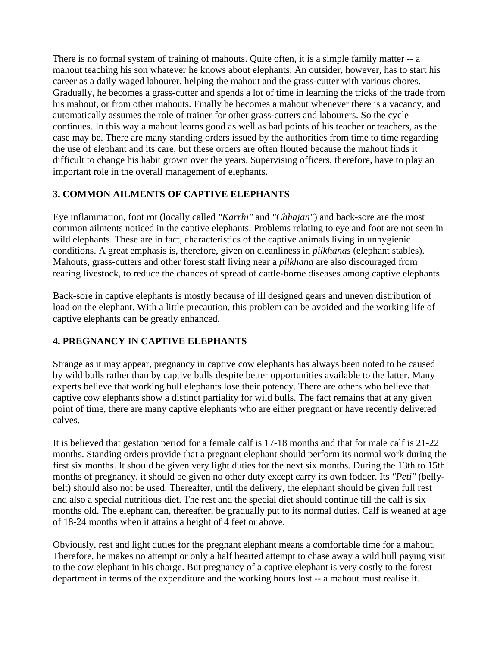There is no formal system of training of mahouts. Quite often, it is a simple family matter -- a mahout teaching his son whatever he knows about elephants. An outsider, however, has to start his career as a daily waged labourer, helping the mahout and the grass-cutter with various chores. Gradually, he becomes a grass-cutter and spends a lot of time in learning the tricks of the trade from his mahout, or from other mahouts. Finally he becomes a mahout whenever there is a vacancy, and automatically assumes the role of trainer for other grass-cutters and labourers. So the cycle continues. In this way a mahout learns good as well as bad points of his teacher or teachers, as the case may be. There are many standing orders issued by the authorities from time to time regarding the use of elephant and its care, but these orders are often flouted because the mahout finds it difficult to change his habit grown over the years. Supervising officers, therefore, have to play an important role in the overall management of elephants.

# **3. COMMON AILMENTS OF CAPTIVE ELEPHANTS**

Eye inflammation, foot rot (locally called *"Karrhi"* and *"Chhajan"*) and back-sore are the most common ailments noticed in the captive elephants. Problems relating to eye and foot are not seen in wild elephants. These are in fact, characteristics of the captive animals living in unhygienic conditions. A great emphasis is, therefore, given on cleanliness in *pilkhanas* (elephant stables). Mahouts, grass-cutters and other forest staff living near a *pilkhana* are also discouraged from rearing livestock, to reduce the chances of spread of cattle-borne diseases among captive elephants.

Back-sore in captive elephants is mostly because of ill designed gears and uneven distribution of load on the elephant. With a little precaution, this problem can be avoided and the working life of captive elephants can be greatly enhanced.

# **4. PREGNANCY IN CAPTIVE ELEPHANTS**

Strange as it may appear, pregnancy in captive cow elephants has always been noted to be caused by wild bulls rather than by captive bulls despite better opportunities available to the latter. Many experts believe that working bull elephants lose their potency. There are others who believe that captive cow elephants show a distinct partiality for wild bulls. The fact remains that at any given point of time, there are many captive elephants who are either pregnant or have recently delivered calves.

It is believed that gestation period for a female calf is 17-18 months and that for male calf is 21-22 months. Standing orders provide that a pregnant elephant should perform its normal work during the first six months. It should be given very light duties for the next six months. During the 13th to 15th months of pregnancy, it should be given no other duty except carry its own fodder. Its *"Peti"* (bellybelt) should also not be used. Thereafter, until the delivery, the elephant should be given full rest and also a special nutritious diet. The rest and the special diet should continue till the calf is six months old. The elephant can, thereafter, be gradually put to its normal duties. Calf is weaned at age of 18-24 months when it attains a height of 4 feet or above.

Obviously, rest and light duties for the pregnant elephant means a comfortable time for a mahout. Therefore, he makes no attempt or only a half hearted attempt to chase away a wild bull paying visit to the cow elephant in his charge. But pregnancy of a captive elephant is very costly to the forest department in terms of the expenditure and the working hours lost -- a mahout must realise it.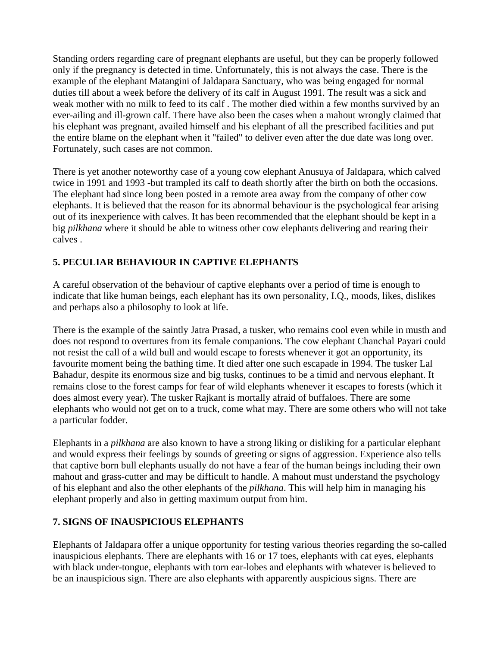Standing orders regarding care of pregnant elephants are useful, but they can be properly followed only if the pregnancy is detected in time. Unfortunately, this is not always the case. There is the example of the elephant Matangini of Jaldapara Sanctuary, who was being engaged for normal duties till about a week before the delivery of its calf in August 1991. The result was a sick and weak mother with no milk to feed to its calf . The mother died within a few months survived by an ever-ailing and ill-grown calf. There have also been the cases when a mahout wrongly claimed that his elephant was pregnant, availed himself and his elephant of all the prescribed facilities and put the entire blame on the elephant when it "failed" to deliver even after the due date was long over. Fortunately, such cases are not common.

There is yet another noteworthy case of a young cow elephant Anusuya of Jaldapara, which calved twice in 1991 and 1993 -but trampled its calf to death shortly after the birth on both the occasions. The elephant had since long been posted in a remote area away from the company of other cow elephants. It is believed that the reason for its abnormal behaviour is the psychological fear arising out of its inexperience with calves. It has been recommended that the elephant should be kept in a big *pilkhana* where it should be able to witness other cow elephants delivering and rearing their calves .

# **5. PECULIAR BEHAVIOUR IN CAPTIVE ELEPHANTS**

A careful observation of the behaviour of captive elephants over a period of time is enough to indicate that like human beings, each elephant has its own personality, I.Q., moods, likes, dislikes and perhaps also a philosophy to look at life.

There is the example of the saintly Jatra Prasad, a tusker, who remains cool even while in musth and does not respond to overtures from its female companions. The cow elephant Chanchal Payari could not resist the call of a wild bull and would escape to forests whenever it got an opportunity, its favourite moment being the bathing time. It died after one such escapade in 1994. The tusker Lal Bahadur, despite its enormous size and big tusks, continues to be a timid and nervous elephant. It remains close to the forest camps for fear of wild elephants whenever it escapes to forests (which it does almost every year). The tusker Rajkant is mortally afraid of buffaloes. There are some elephants who would not get on to a truck, come what may. There are some others who will not take a particular fodder.

Elephants in a *pilkhana* are also known to have a strong liking or disliking for a particular elephant and would express their feelings by sounds of greeting or signs of aggression. Experience also tells that captive born bull elephants usually do not have a fear of the human beings including their own mahout and grass-cutter and may be difficult to handle. A mahout must understand the psychology of his elephant and also the other elephants of the *pilkhana*. This will help him in managing his elephant properly and also in getting maximum output from him.

# **7. SIGNS OF INAUSPICIOUS ELEPHANTS**

Elephants of Jaldapara offer a unique opportunity for testing various theories regarding the so-called inauspicious elephants. There are elephants with 16 or 17 toes, elephants with cat eyes, elephants with black under-tongue, elephants with torn ear-lobes and elephants with whatever is believed to be an inauspicious sign. There are also elephants with apparently auspicious signs. There are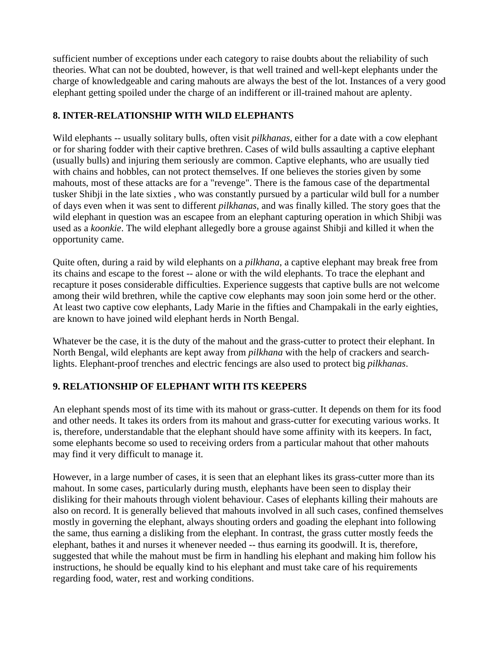sufficient number of exceptions under each category to raise doubts about the reliability of such theories. What can not be doubted, however, is that well trained and well-kept elephants under the charge of knowledgeable and caring mahouts are always the best of the lot. Instances of a very good elephant getting spoiled under the charge of an indifferent or ill-trained mahout are aplenty.

# **8. INTER-RELATIONSHIP WITH WILD ELEPHANTS**

Wild elephants -- usually solitary bulls, often visit *pilkhanas*, either for a date with a cow elephant or for sharing fodder with their captive brethren. Cases of wild bulls assaulting a captive elephant (usually bulls) and injuring them seriously are common. Captive elephants, who are usually tied with chains and hobbles, can not protect themselves. If one believes the stories given by some mahouts, most of these attacks are for a "revenge". There is the famous case of the departmental tusker Shibji in the late sixties , who was constantly pursued by a particular wild bull for a number of days even when it was sent to different *pilkhanas*, and was finally killed. The story goes that the wild elephant in question was an escapee from an elephant capturing operation in which Shibji was used as a *koonkie*. The wild elephant allegedly bore a grouse against Shibji and killed it when the opportunity came.

Quite often, during a raid by wild elephants on a *pilkhana*, a captive elephant may break free from its chains and escape to the forest -- alone or with the wild elephants. To trace the elephant and recapture it poses considerable difficulties. Experience suggests that captive bulls are not welcome among their wild brethren, while the captive cow elephants may soon join some herd or the other. At least two captive cow elephants, Lady Marie in the fifties and Champakali in the early eighties, are known to have joined wild elephant herds in North Bengal.

Whatever be the case, it is the duty of the mahout and the grass-cutter to protect their elephant. In North Bengal, wild elephants are kept away from *pilkhana* with the help of crackers and searchlights. Elephant-proof trenches and electric fencings are also used to protect big *pilkhanas*.

# **9. RELATIONSHIP OF ELEPHANT WITH ITS KEEPERS**

An elephant spends most of its time with its mahout or grass-cutter. It depends on them for its food and other needs. It takes its orders from its mahout and grass-cutter for executing various works. It is, therefore, understandable that the elephant should have some affinity with its keepers. In fact, some elephants become so used to receiving orders from a particular mahout that other mahouts may find it very difficult to manage it.

However, in a large number of cases, it is seen that an elephant likes its grass-cutter more than its mahout. In some cases, particularly during musth, elephants have been seen to display their disliking for their mahouts through violent behaviour. Cases of elephants killing their mahouts are also on record. It is generally believed that mahouts involved in all such cases, confined themselves mostly in governing the elephant, always shouting orders and goading the elephant into following the same, thus earning a disliking from the elephant. In contrast, the grass cutter mostly feeds the elephant, bathes it and nurses it whenever needed -- thus earning its goodwill. It is, therefore, suggested that while the mahout must be firm in handling his elephant and making him follow his instructions, he should be equally kind to his elephant and must take care of his requirements regarding food, water, rest and working conditions.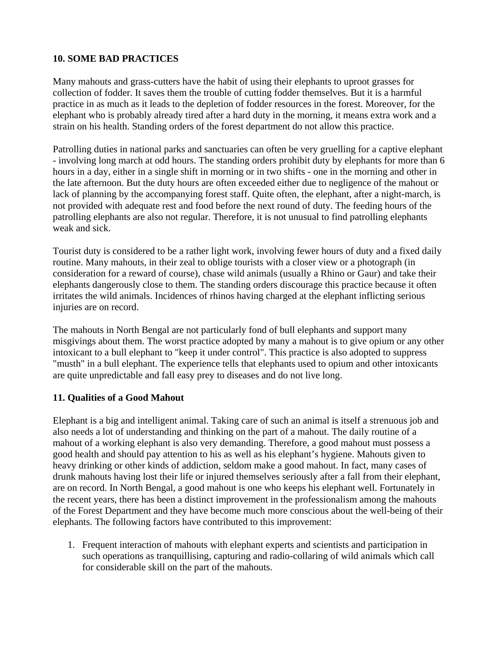### **10. SOME BAD PRACTICES**

Many mahouts and grass-cutters have the habit of using their elephants to uproot grasses for collection of fodder. It saves them the trouble of cutting fodder themselves. But it is a harmful practice in as much as it leads to the depletion of fodder resources in the forest. Moreover, for the elephant who is probably already tired after a hard duty in the morning, it means extra work and a strain on his health. Standing orders of the forest department do not allow this practice.

Patrolling duties in national parks and sanctuaries can often be very gruelling for a captive elephant - involving long march at odd hours. The standing orders prohibit duty by elephants for more than 6 hours in a day, either in a single shift in morning or in two shifts - one in the morning and other in the late afternoon. But the duty hours are often exceeded either due to negligence of the mahout or lack of planning by the accompanying forest staff. Quite often, the elephant, after a night-march, is not provided with adequate rest and food before the next round of duty. The feeding hours of the patrolling elephants are also not regular. Therefore, it is not unusual to find patrolling elephants weak and sick.

Tourist duty is considered to be a rather light work, involving fewer hours of duty and a fixed daily routine. Many mahouts, in their zeal to oblige tourists with a closer view or a photograph (in consideration for a reward of course), chase wild animals (usually a Rhino or Gaur) and take their elephants dangerously close to them. The standing orders discourage this practice because it often irritates the wild animals. Incidences of rhinos having charged at the elephant inflicting serious injuries are on record.

The mahouts in North Bengal are not particularly fond of bull elephants and support many misgivings about them. The worst practice adopted by many a mahout is to give opium or any other intoxicant to a bull elephant to "keep it under control". This practice is also adopted to suppress "musth" in a bull elephant. The experience tells that elephants used to opium and other intoxicants are quite unpredictable and fall easy prey to diseases and do not live long.

### **11. Qualities of a Good Mahout**

Elephant is a big and intelligent animal. Taking care of such an animal is itself a strenuous job and also needs a lot of understanding and thinking on the part of a mahout. The daily routine of a mahout of a working elephant is also very demanding. Therefore, a good mahout must possess a good health and should pay attention to his as well as his elephant's hygiene. Mahouts given to heavy drinking or other kinds of addiction, seldom make a good mahout. In fact, many cases of drunk mahouts having lost their life or injured themselves seriously after a fall from their elephant, are on record. In North Bengal, a good mahout is one who keeps his elephant well. Fortunately in the recent years, there has been a distinct improvement in the professionalism among the mahouts of the Forest Department and they have become much more conscious about the well-being of their elephants. The following factors have contributed to this improvement:

1. Frequent interaction of mahouts with elephant experts and scientists and participation in such operations as tranquillising, capturing and radio-collaring of wild animals which call for considerable skill on the part of the mahouts.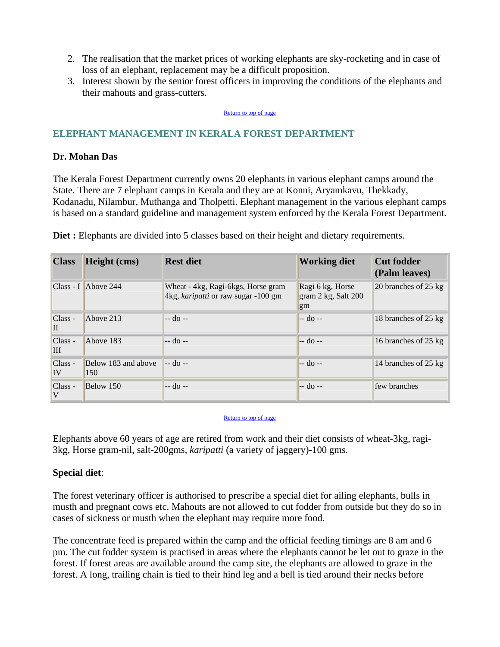- 2. The realisation that the market prices of working elephants are sky-rocketing and in case of loss of an elephant, replacement may be a difficult proposition.
- 3. Interest shown by the senior forest officers in improving the conditions of the elephants and their mahouts and grass-cutters.

#### Return to top of page

### **ELEPHANT MANAGEMENT IN KERALA FOREST DEPARTMENT**

### **Dr. Mohan Das**

The Kerala Forest Department currently owns 20 elephants in various elephant camps around the State. There are 7 elephant camps in Kerala and they are at Konni, Aryamkavu, Thekkady, Kodanadu, Nilambur, Muthanga and Tholpetti. Elephant management in the various elephant camps is based on a standard guideline and management system enforced by the Kerala Forest Department.

| <b>Class</b>    | Height (cms)               | <b>Rest diet</b>                                                          | <b>Working diet</b>                           | <b>Cut fodder</b><br>(Palm leaves) |
|-----------------|----------------------------|---------------------------------------------------------------------------|-----------------------------------------------|------------------------------------|
|                 | $Class - I$ Above 244      | Wheat - 4kg, Ragi-6kgs, Horse gram<br>4kg, karipatti or raw sugar -100 gm | Ragi 6 kg, Horse<br>gram 2 kg, Salt 200<br>gm | 20 branches of $25 \text{ kg}$     |
| $Class -$<br>II | Above 213                  | $-$ do $-$                                                                | $-$ do $-$                                    | 18 branches of 25 kg               |
| $Class -$<br>Ш  | Above 183                  | $-$ do $-$                                                                | $-$ do $-$                                    | 16 branches of 25 kg               |
| $Class -$<br>IV | Below 183 and above<br>150 | $-$ do $-$                                                                | $-$ do $-$                                    | 14 branches of 25 kg               |
| Class -<br>V    | Below 150                  | $-$ do $-$                                                                | $-$ do $-$                                    | few branches                       |

**Diet :** Elephants are divided into 5 classes based on their height and dietary requirements.

#### Return to top of page

Elephants above 60 years of age are retired from work and their diet consists of wheat-3kg, ragi-3kg, Horse gram-nil, salt-200gms, *karipatti* (a variety of jaggery)-100 gms.

#### **Special diet**:

The forest veterinary officer is authorised to prescribe a special diet for ailing elephants, bulls in musth and pregnant cows etc. Mahouts are not allowed to cut fodder from outside but they do so in cases of sickness or musth when the elephant may require more food.

The concentrate feed is prepared within the camp and the official feeding timings are 8 am and 6 pm. The cut fodder system is practised in areas where the elephants cannot be let out to graze in the forest. If forest areas are available around the camp site, the elephants are allowed to graze in the forest. A long, trailing chain is tied to their hind leg and a bell is tied around their necks before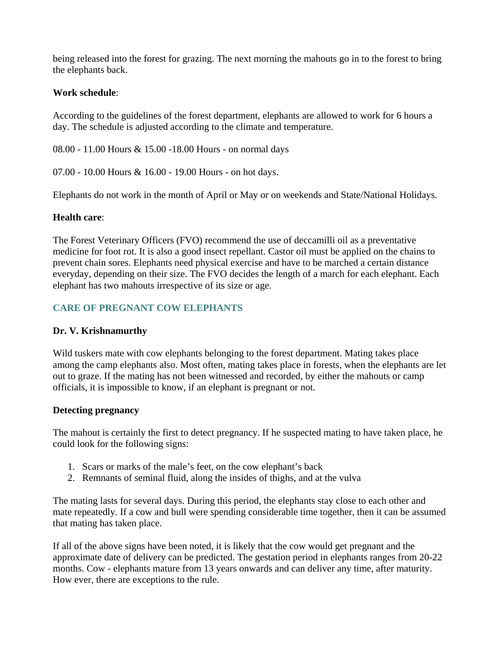being released into the forest for grazing. The next morning the mahouts go in to the forest to bring the elephants back.

### **Work schedule**:

According to the guidelines of the forest department, elephants are allowed to work for 6 hours a day. The schedule is adjusted according to the climate and temperature.

08.00 - 11.00 Hours & 15.00 -18.00 Hours - on normal days

07.00 - 10.00 Hours & 16.00 - 19.00 Hours - on hot days.

Elephants do not work in the month of April or May or on weekends and State/National Holidays.

## **Health care**:

The Forest Veterinary Officers (FVO) recommend the use of deccamilli oil as a preventative medicine for foot rot. It is also a good insect repellant. Castor oil must be applied on the chains to prevent chain sores. Elephants need physical exercise and have to be marched a certain distance everyday, depending on their size. The FVO decides the length of a march for each elephant. Each elephant has two mahouts irrespective of its size or age.

# **CARE OF PREGNANT COW ELEPHANTS**

# **Dr. V. Krishnamurthy**

Wild tuskers mate with cow elephants belonging to the forest department. Mating takes place among the camp elephants also. Most often, mating takes place in forests, when the elephants are let out to graze. If the mating has not been witnessed and recorded, by either the mahouts or camp officials, it is impossible to know, if an elephant is pregnant or not.

### **Detecting pregnancy**

The mahout is certainly the first to detect pregnancy. If he suspected mating to have taken place, he could look for the following signs:

- 1. Scars or marks of the male's feet, on the cow elephant's back
- 2. Remnants of seminal fluid, along the insides of thighs, and at the vulva

The mating lasts for several days. During this period, the elephants stay close to each other and mate repeatedly. If a cow and bull were spending considerable time together, then it can be assumed that mating has taken place.

If all of the above signs have been noted, it is likely that the cow would get pregnant and the approximate date of delivery can be predicted. The gestation period in elephants ranges from 20-22 months. Cow - elephants mature from 13 years onwards and can deliver any time, after maturity. How ever, there are exceptions to the rule.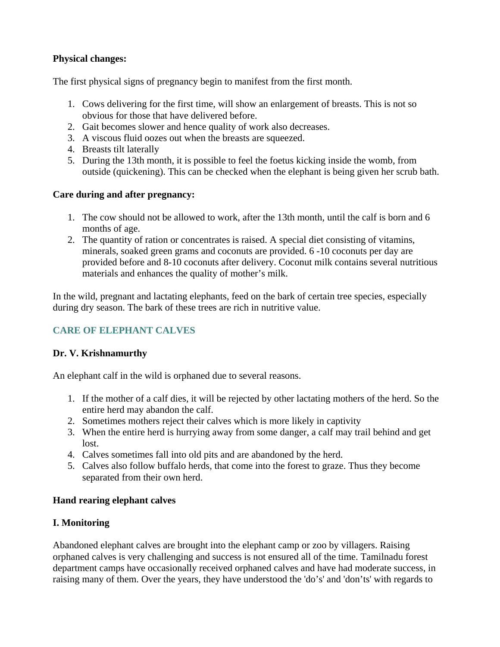## **Physical changes:**

The first physical signs of pregnancy begin to manifest from the first month.

- 1. Cows delivering for the first time, will show an enlargement of breasts. This is not so obvious for those that have delivered before.
- 2. Gait becomes slower and hence quality of work also decreases.
- 3. A viscous fluid oozes out when the breasts are squeezed.
- 4. Breasts tilt laterally
- 5. During the 13th month, it is possible to feel the foetus kicking inside the womb, from outside (quickening). This can be checked when the elephant is being given her scrub bath.

### **Care during and after pregnancy:**

- 1. The cow should not be allowed to work, after the 13th month, until the calf is born and 6 months of age.
- 2. The quantity of ration or concentrates is raised. A special diet consisting of vitamins, minerals, soaked green grams and coconuts are provided. 6 -10 coconuts per day are provided before and 8-10 coconuts after delivery. Coconut milk contains several nutritious materials and enhances the quality of mother's milk.

In the wild, pregnant and lactating elephants, feed on the bark of certain tree species, especially during dry season. The bark of these trees are rich in nutritive value.

# **CARE OF ELEPHANT CALVES**

# **Dr. V. Krishnamurthy**

An elephant calf in the wild is orphaned due to several reasons.

- 1. If the mother of a calf dies, it will be rejected by other lactating mothers of the herd. So the entire herd may abandon the calf.
- 2. Sometimes mothers reject their calves which is more likely in captivity
- 3. When the entire herd is hurrying away from some danger, a calf may trail behind and get lost.
- 4. Calves sometimes fall into old pits and are abandoned by the herd.
- 5. Calves also follow buffalo herds, that come into the forest to graze. Thus they become separated from their own herd.

# **Hand rearing elephant calves**

# **I. Monitoring**

Abandoned elephant calves are brought into the elephant camp or zoo by villagers. Raising orphaned calves is very challenging and success is not ensured all of the time. Tamilnadu forest department camps have occasionally received orphaned calves and have had moderate success, in raising many of them. Over the years, they have understood the 'do's' and 'don'ts' with regards to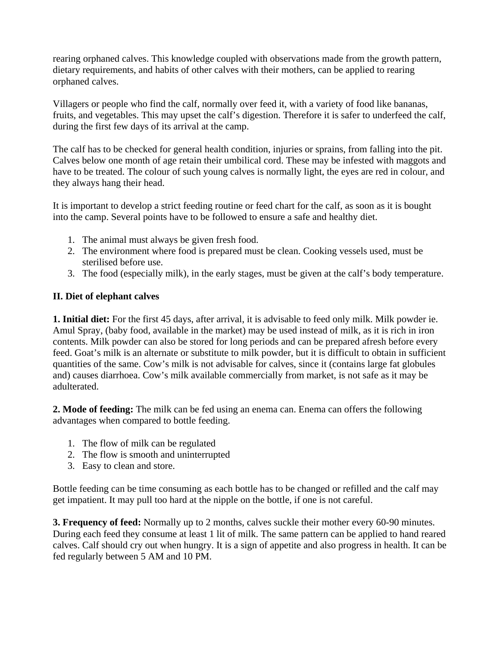rearing orphaned calves. This knowledge coupled with observations made from the growth pattern, dietary requirements, and habits of other calves with their mothers, can be applied to rearing orphaned calves.

Villagers or people who find the calf, normally over feed it, with a variety of food like bananas, fruits, and vegetables. This may upset the calf's digestion. Therefore it is safer to underfeed the calf, during the first few days of its arrival at the camp.

The calf has to be checked for general health condition, injuries or sprains, from falling into the pit. Calves below one month of age retain their umbilical cord. These may be infested with maggots and have to be treated. The colour of such young calves is normally light, the eyes are red in colour, and they always hang their head.

It is important to develop a strict feeding routine or feed chart for the calf, as soon as it is bought into the camp. Several points have to be followed to ensure a safe and healthy diet.

- 1. The animal must always be given fresh food.
- 2. The environment where food is prepared must be clean. Cooking vessels used, must be sterilised before use.
- 3. The food (especially milk), in the early stages, must be given at the calf's body temperature.

## **II. Diet of elephant calves**

**1. Initial diet:** For the first 45 days, after arrival, it is advisable to feed only milk. Milk powder ie. Amul Spray, (baby food, available in the market) may be used instead of milk, as it is rich in iron contents. Milk powder can also be stored for long periods and can be prepared afresh before every feed. Goat's milk is an alternate or substitute to milk powder, but it is difficult to obtain in sufficient quantities of the same. Cow's milk is not advisable for calves, since it (contains large fat globules and) causes diarrhoea. Cow's milk available commercially from market, is not safe as it may be adulterated.

**2. Mode of feeding:** The milk can be fed using an enema can. Enema can offers the following advantages when compared to bottle feeding.

- 1. The flow of milk can be regulated
- 2. The flow is smooth and uninterrupted
- 3. Easy to clean and store.

Bottle feeding can be time consuming as each bottle has to be changed or refilled and the calf may get impatient. It may pull too hard at the nipple on the bottle, if one is not careful.

**3. Frequency of feed:** Normally up to 2 months, calves suckle their mother every 60-90 minutes. During each feed they consume at least 1 lit of milk. The same pattern can be applied to hand reared calves. Calf should cry out when hungry. It is a sign of appetite and also progress in health. It can be fed regularly between 5 AM and 10 PM.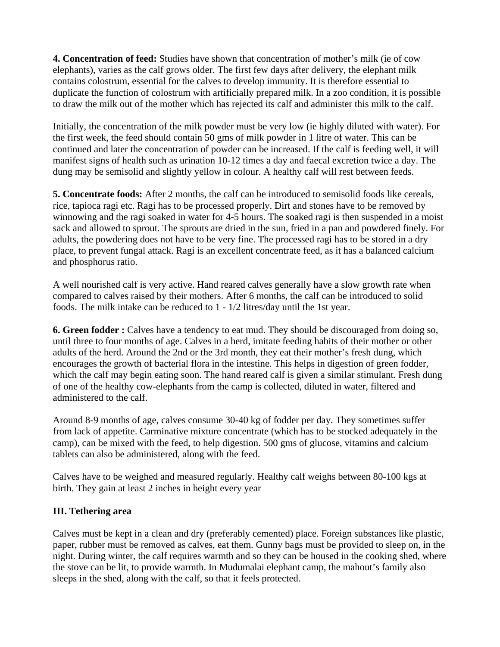**4. Concentration of feed:** Studies have shown that concentration of mother's milk (ie of cow elephants), varies as the calf grows older. The first few days after delivery, the elephant milk contains colostrum, essential for the calves to develop immunity. It is therefore essential to duplicate the function of colostrum with artificially prepared milk. In a zoo condition, it is possible to draw the milk out of the mother which has rejected its calf and administer this milk to the calf.

Initially, the concentration of the milk powder must be very low (ie highly diluted with water). For the first week, the feed should contain 50 gms of milk powder in 1 litre of water. This can be continued and later the concentration of powder can be increased. If the calf is feeding well, it will manifest signs of health such as urination 10-12 times a day and faecal excretion twice a day. The dung may be semisolid and slightly yellow in colour. A healthy calf will rest between feeds.

**5. Concentrate foods:** After 2 months, the calf can be introduced to semisolid foods like cereals, rice, tapioca ragi etc. Ragi has to be processed properly. Dirt and stones have to be removed by winnowing and the ragi soaked in water for 4-5 hours. The soaked ragi is then suspended in a moist sack and allowed to sprout. The sprouts are dried in the sun, fried in a pan and powdered finely. For adults, the powdering does not have to be very fine. The processed ragi has to be stored in a dry place, to prevent fungal attack. Ragi is an excellent concentrate feed, as it has a balanced calcium and phosphorus ratio.

A well nourished calf is very active. Hand reared calves generally have a slow growth rate when compared to calves raised by their mothers. After 6 months, the calf can be introduced to solid foods. The milk intake can be reduced to 1 - 1/2 litres/day until the 1st year.

**6. Green fodder :** Calves have a tendency to eat mud. They should be discouraged from doing so, until three to four months of age. Calves in a herd, imitate feeding habits of their mother or other adults of the herd. Around the 2nd or the 3rd month, they eat their mother's fresh dung, which encourages the growth of bacterial flora in the intestine. This helps in digestion of green fodder, which the calf may begin eating soon. The hand reared calf is given a similar stimulant. Fresh dung of one of the healthy cow-elephants from the camp is collected, diluted in water, filtered and administered to the calf.

Around 8-9 months of age, calves consume 30-40 kg of fodder per day. They sometimes suffer from lack of appetite. Carminative mixture concentrate (which has to be stocked adequately in the camp), can be mixed with the feed, to help digestion. 500 gms of glucose, vitamins and calcium tablets can also be administered, along with the feed.

Calves have to be weighed and measured regularly. Healthy calf weighs between 80-100 kgs at birth. They gain at least 2 inches in height every year

### **III. Tethering area**

Calves must be kept in a clean and dry (preferably cemented) place. Foreign substances like plastic, paper, rubber must be removed as calves, eat them. Gunny bags must be provided to sleep on, in the night. During winter, the calf requires warmth and so they can be housed in the cooking shed, where the stove can be lit, to provide warmth. In Mudumalai elephant camp, the mahout's family also sleeps in the shed, along with the calf, so that it feels protected.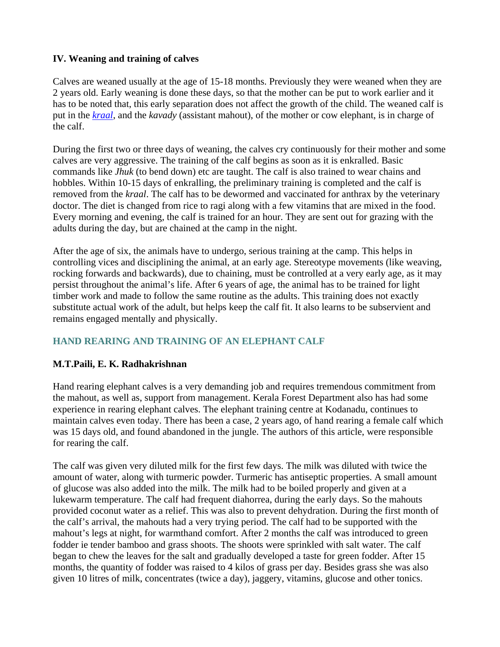## **IV. Weaning and training of calves**

Calves are weaned usually at the age of 15-18 months. Previously they were weaned when they are 2 years old. Early weaning is done these days, so that the mother can be put to work earlier and it has to be noted that, this early separation does not affect the growth of the child. The weaned calf is put in the *kraal*, and the *kavady* (assistant mahout), of the mother or cow elephant, is in charge of the calf.

During the first two or three days of weaning, the calves cry continuously for their mother and some calves are very aggressive. The training of the calf begins as soon as it is enkralled. Basic commands like *Jhuk* (to bend down) etc are taught. The calf is also trained to wear chains and hobbles. Within 10-15 days of enkralling, the preliminary training is completed and the calf is removed from the *kraal*. The calf has to be dewormed and vaccinated for anthrax by the veterinary doctor. The diet is changed from rice to ragi along with a few vitamins that are mixed in the food. Every morning and evening, the calf is trained for an hour. They are sent out for grazing with the adults during the day, but are chained at the camp in the night.

After the age of six, the animals have to undergo, serious training at the camp. This helps in controlling vices and disciplining the animal, at an early age. Stereotype movements (like weaving, rocking forwards and backwards), due to chaining, must be controlled at a very early age, as it may persist throughout the animal's life. After 6 years of age, the animal has to be trained for light timber work and made to follow the same routine as the adults. This training does not exactly substitute actual work of the adult, but helps keep the calf fit. It also learns to be subservient and remains engaged mentally and physically.

# **HAND REARING AND TRAINING OF AN ELEPHANT CALF**

### **M.T.Paili, E. K. Radhakrishnan**

Hand rearing elephant calves is a very demanding job and requires tremendous commitment from the mahout, as well as, support from management. Kerala Forest Department also has had some experience in rearing elephant calves. The elephant training centre at Kodanadu, continues to maintain calves even today. There has been a case, 2 years ago, of hand rearing a female calf which was 15 days old, and found abandoned in the jungle. The authors of this article, were responsible for rearing the calf.

The calf was given very diluted milk for the first few days. The milk was diluted with twice the amount of water, along with turmeric powder. Turmeric has antiseptic properties. A small amount of glucose was also added into the milk. The milk had to be boiled properly and given at a lukewarm temperature. The calf had frequent diahorrea, during the early days. So the mahouts provided coconut water as a relief. This was also to prevent dehydration. During the first month of the calf's arrival, the mahouts had a very trying period. The calf had to be supported with the mahout's legs at night, for warmthand comfort. After 2 months the calf was introduced to green fodder ie tender bamboo and grass shoots. The shoots were sprinkled with salt water. The calf began to chew the leaves for the salt and gradually developed a taste for green fodder. After 15 months, the quantity of fodder was raised to 4 kilos of grass per day. Besides grass she was also given 10 litres of milk, concentrates (twice a day), jaggery, vitamins, glucose and other tonics.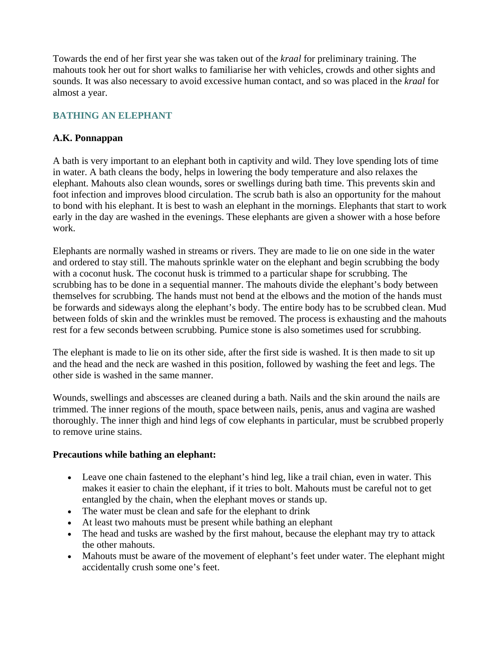Towards the end of her first year she was taken out of the *kraal* for preliminary training. The mahouts took her out for short walks to familiarise her with vehicles, crowds and other sights and sounds. It was also necessary to avoid excessive human contact, and so was placed in the *kraal* for almost a year.

# **BATHING AN ELEPHANT**

## **A.K. Ponnappan**

A bath is very important to an elephant both in captivity and wild. They love spending lots of time in water. A bath cleans the body, helps in lowering the body temperature and also relaxes the elephant. Mahouts also clean wounds, sores or swellings during bath time. This prevents skin and foot infection and improves blood circulation. The scrub bath is also an opportunity for the mahout to bond with his elephant. It is best to wash an elephant in the mornings. Elephants that start to work early in the day are washed in the evenings. These elephants are given a shower with a hose before work.

Elephants are normally washed in streams or rivers. They are made to lie on one side in the water and ordered to stay still. The mahouts sprinkle water on the elephant and begin scrubbing the body with a coconut husk. The coconut husk is trimmed to a particular shape for scrubbing. The scrubbing has to be done in a sequential manner. The mahouts divide the elephant's body between themselves for scrubbing. The hands must not bend at the elbows and the motion of the hands must be forwards and sideways along the elephant's body. The entire body has to be scrubbed clean. Mud between folds of skin and the wrinkles must be removed. The process is exhausting and the mahouts rest for a few seconds between scrubbing. Pumice stone is also sometimes used for scrubbing.

The elephant is made to lie on its other side, after the first side is washed. It is then made to sit up and the head and the neck are washed in this position, followed by washing the feet and legs. The other side is washed in the same manner.

Wounds, swellings and abscesses are cleaned during a bath. Nails and the skin around the nails are trimmed. The inner regions of the mouth, space between nails, penis, anus and vagina are washed thoroughly. The inner thigh and hind legs of cow elephants in particular, must be scrubbed properly to remove urine stains.

### **Precautions while bathing an elephant:**

- Leave one chain fastened to the elephant's hind leg, like a trail chian, even in water. This makes it easier to chain the elephant, if it tries to bolt. Mahouts must be careful not to get entangled by the chain, when the elephant moves or stands up.
- The water must be clean and safe for the elephant to drink
- At least two mahouts must be present while bathing an elephant
- The head and tusks are washed by the first mahout, because the elephant may try to attack the other mahouts.
- Mahouts must be aware of the movement of elephant's feet under water. The elephant might accidentally crush some one's feet.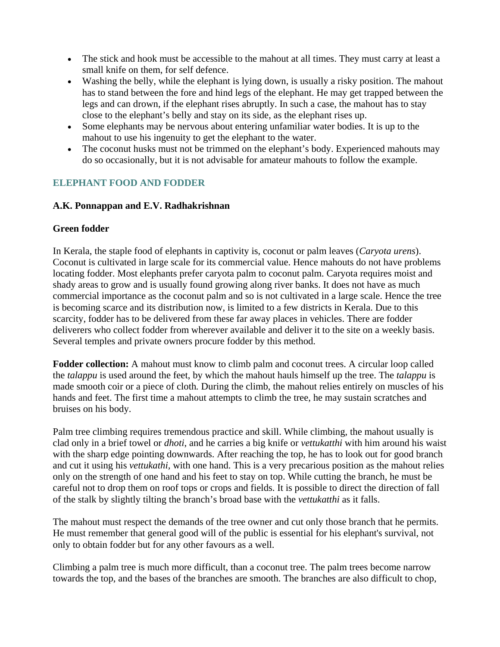- The stick and hook must be accessible to the mahout at all times. They must carry at least a small knife on them, for self defence.
- Washing the belly, while the elephant is lying down, is usually a risky position. The mahout has to stand between the fore and hind legs of the elephant. He may get trapped between the legs and can drown, if the elephant rises abruptly. In such a case, the mahout has to stay close to the elephant's belly and stay on its side, as the elephant rises up.
- Some elephants may be nervous about entering unfamiliar water bodies. It is up to the mahout to use his ingenuity to get the elephant to the water.
- The coconut husks must not be trimmed on the elephant's body. Experienced mahouts may do so occasionally, but it is not advisable for amateur mahouts to follow the example.

# **ELEPHANT FOOD AND FODDER**

### **A.K. Ponnappan and E.V. Radhakrishnan**

## **Green fodder**

In Kerala, the staple food of elephants in captivity is, coconut or palm leaves (*Caryota urens*). Coconut is cultivated in large scale for its commercial value. Hence mahouts do not have problems locating fodder. Most elephants prefer caryota palm to coconut palm. Caryota requires moist and shady areas to grow and is usually found growing along river banks. It does not have as much commercial importance as the coconut palm and so is not cultivated in a large scale. Hence the tree is becoming scarce and its distribution now, is limited to a few districts in Kerala. Due to this scarcity, fodder has to be delivered from these far away places in vehicles. There are fodder deliverers who collect fodder from wherever available and deliver it to the site on a weekly basis. Several temples and private owners procure fodder by this method.

**Fodder collection:** A mahout must know to climb palm and coconut trees. A circular loop called the *talappu* is used around the feet, by which the mahout hauls himself up the tree. The *talappu* is made smooth coir or a piece of cloth*.* During the climb, the mahout relies entirely on muscles of his hands and feet. The first time a mahout attempts to climb the tree, he may sustain scratches and bruises on his body.

Palm tree climbing requires tremendous practice and skill. While climbing, the mahout usually is clad only in a brief towel or *dhoti*, and he carries a big knife or *vettukatthi* with him around his waist with the sharp edge pointing downwards. After reaching the top, he has to look out for good branch and cut it using his *vettukathi,* with one hand. This is a very precarious position as the mahout relies only on the strength of one hand and his feet to stay on top. While cutting the branch, he must be careful not to drop them on roof tops or crops and fields. It is possible to direct the direction of fall of the stalk by slightly tilting the branch's broad base with the *vettukatthi* as it falls.

The mahout must respect the demands of the tree owner and cut only those branch that he permits. He must remember that general good will of the public is essential for his elephant's survival, not only to obtain fodder but for any other favours as a well.

Climbing a palm tree is much more difficult, than a coconut tree. The palm trees become narrow towards the top, and the bases of the branches are smooth. The branches are also difficult to chop,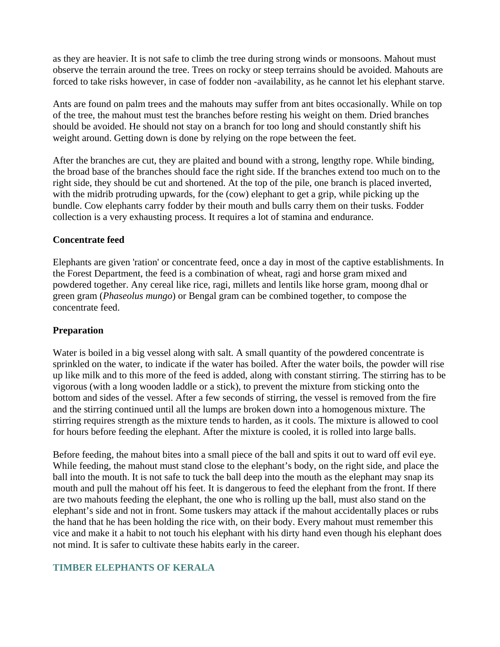as they are heavier. It is not safe to climb the tree during strong winds or monsoons. Mahout must observe the terrain around the tree. Trees on rocky or steep terrains should be avoided. Mahouts are forced to take risks however, in case of fodder non -availability, as he cannot let his elephant starve.

Ants are found on palm trees and the mahouts may suffer from ant bites occasionally. While on top of the tree, the mahout must test the branches before resting his weight on them. Dried branches should be avoided. He should not stay on a branch for too long and should constantly shift his weight around. Getting down is done by relying on the rope between the feet.

After the branches are cut, they are plaited and bound with a strong, lengthy rope. While binding, the broad base of the branches should face the right side. If the branches extend too much on to the right side, they should be cut and shortened. At the top of the pile, one branch is placed inverted, with the midrib protruding upwards, for the (cow) elephant to get a grip, while picking up the bundle. Cow elephants carry fodder by their mouth and bulls carry them on their tusks. Fodder collection is a very exhausting process. It requires a lot of stamina and endurance.

#### **Concentrate feed**

Elephants are given 'ration' or concentrate feed, once a day in most of the captive establishments. In the Forest Department, the feed is a combination of wheat, ragi and horse gram mixed and powdered together. Any cereal like rice, ragi, millets and lentils like horse gram, moong dhal or green gram (*Phaseolus mungo*) or Bengal gram can be combined together, to compose the concentrate feed.

### **Preparation**

Water is boiled in a big vessel along with salt. A small quantity of the powdered concentrate is sprinkled on the water, to indicate if the water has boiled. After the water boils, the powder will rise up like milk and to this more of the feed is added, along with constant stirring. The stirring has to be vigorous (with a long wooden laddle or a stick), to prevent the mixture from sticking onto the bottom and sides of the vessel. After a few seconds of stirring, the vessel is removed from the fire and the stirring continued until all the lumps are broken down into a homogenous mixture. The stirring requires strength as the mixture tends to harden, as it cools. The mixture is allowed to cool for hours before feeding the elephant. After the mixture is cooled, it is rolled into large balls.

Before feeding, the mahout bites into a small piece of the ball and spits it out to ward off evil eye. While feeding, the mahout must stand close to the elephant's body, on the right side, and place the ball into the mouth. It is not safe to tuck the ball deep into the mouth as the elephant may snap its mouth and pull the mahout off his feet. It is dangerous to feed the elephant from the front. If there are two mahouts feeding the elephant, the one who is rolling up the ball, must also stand on the elephant's side and not in front. Some tuskers may attack if the mahout accidentally places or rubs the hand that he has been holding the rice with, on their body. Every mahout must remember this vice and make it a habit to not touch his elephant with his dirty hand even though his elephant does not mind. It is safer to cultivate these habits early in the career.

### **TIMBER ELEPHANTS OF KERALA**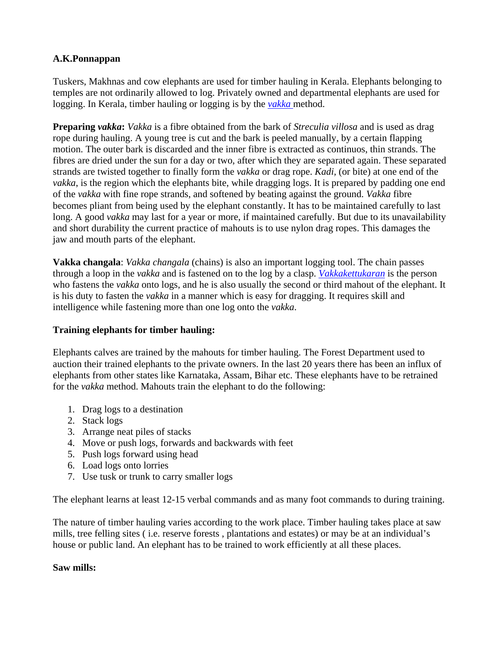## **A.K.Ponnappan**

Tuskers, Makhnas and cow elephants are used for timber hauling in Kerala. Elephants belonging to temples are not ordinarily allowed to log. Privately owned and departmental elephants are used for logging. In Kerala, timber hauling or logging is by the *vakka* method.

**Preparing** *vakka***:** *Vakka* is a fibre obtained from the bark of *Streculia villosa* and is used as drag rope during hauling. A young tree is cut and the bark is peeled manually, by a certain flapping motion. The outer bark is discarded and the inner fibre is extracted as continuos, thin strands. The fibres are dried under the sun for a day or two, after which they are separated again. These separated strands are twisted together to finally form the *vakka* or drag rope. *Kadi,* (or bite) at one end of the *vakka*, is the region which the elephants bite, while dragging logs. It is prepared by padding one end of the *vakka* with fine rope strands, and softened by beating against the ground. *Vakka* fibre becomes pliant from being used by the elephant constantly. It has to be maintained carefully to last long. A good *vakka* may last for a year or more, if maintained carefully. But due to its unavailability and short durability the current practice of mahouts is to use nylon drag ropes. This damages the jaw and mouth parts of the elephant.

**Vakka changala**: *Vakka changala* (chains) is also an important logging tool. The chain passes through a loop in the *vakka* and is fastened on to the log by a clasp. *Vakkakettukaran* is the person who fastens the *vakka* onto logs, and he is also usually the second or third mahout of the elephant. It is his duty to fasten the *vakka* in a manner which is easy for dragging. It requires skill and intelligence while fastening more than one log onto the *vakka*.

### **Training elephants for timber hauling:**

Elephants calves are trained by the mahouts for timber hauling. The Forest Department used to auction their trained elephants to the private owners. In the last 20 years there has been an influx of elephants from other states like Karnataka, Assam, Bihar etc. These elephants have to be retrained for the *vakka* method. Mahouts train the elephant to do the following:

- 1. Drag logs to a destination
- 2. Stack logs
- 3. Arrange neat piles of stacks
- 4. Move or push logs, forwards and backwards with feet
- 5. Push logs forward using head
- 6. Load logs onto lorries
- 7. Use tusk or trunk to carry smaller logs

The elephant learns at least 12-15 verbal commands and as many foot commands to during training.

The nature of timber hauling varies according to the work place. Timber hauling takes place at saw mills, tree felling sites ( i.e. reserve forests , plantations and estates) or may be at an individual's house or public land. An elephant has to be trained to work efficiently at all these places.

### **Saw mills:**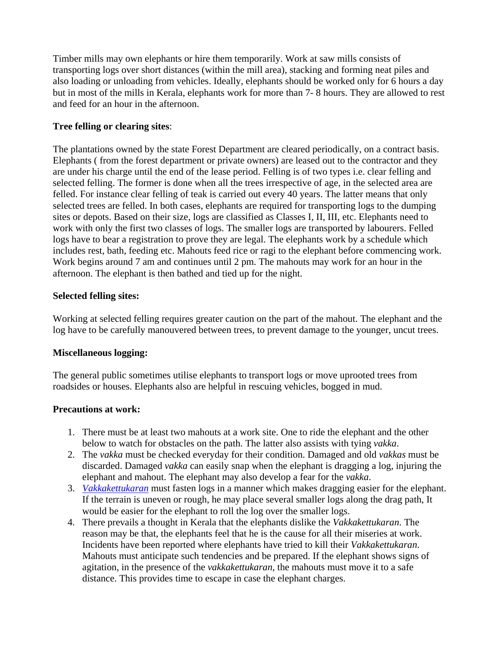Timber mills may own elephants or hire them temporarily. Work at saw mills consists of transporting logs over short distances (within the mill area), stacking and forming neat piles and also loading or unloading from vehicles. Ideally, elephants should be worked only for 6 hours a day but in most of the mills in Kerala, elephants work for more than 7- 8 hours. They are allowed to rest and feed for an hour in the afternoon.

#### **Tree felling or clearing sites**:

The plantations owned by the state Forest Department are cleared periodically, on a contract basis. Elephants ( from the forest department or private owners) are leased out to the contractor and they are under his charge until the end of the lease period. Felling is of two types i.e. clear felling and selected felling. The former is done when all the trees irrespective of age, in the selected area are felled. For instance clear felling of teak is carried out every 40 years. The latter means that only selected trees are felled. In both cases, elephants are required for transporting logs to the dumping sites or depots. Based on their size, logs are classified as Classes I, II, III, etc. Elephants need to work with only the first two classes of logs. The smaller logs are transported by labourers. Felled logs have to bear a registration to prove they are legal. The elephants work by a schedule which includes rest, bath, feeding etc. Mahouts feed rice or ragi to the elephant before commencing work. Work begins around 7 am and continues until 2 pm. The mahouts may work for an hour in the afternoon. The elephant is then bathed and tied up for the night.

#### **Selected felling sites:**

Working at selected felling requires greater caution on the part of the mahout. The elephant and the log have to be carefully manouvered between trees, to prevent damage to the younger, uncut trees.

#### **Miscellaneous logging:**

The general public sometimes utilise elephants to transport logs or move uprooted trees from roadsides or houses. Elephants also are helpful in rescuing vehicles, bogged in mud.

#### **Precautions at work:**

- 1. There must be at least two mahouts at a work site. One to ride the elephant and the other below to watch for obstacles on the path. The latter also assists with tying *vakka*.
- 2. The *vakka* must be checked everyday for their condition. Damaged and old *vakkas* must be discarded. Damaged *vakka* can easily snap when the elephant is dragging a log, injuring the elephant and mahout. The elephant may also develop a fear for the *vakka*.
- 3. *Vakkakettukaran* must fasten logs in a manner which makes dragging easier for the elephant. If the terrain is uneven or rough, he may place several smaller logs along the drag path, It would be easier for the elephant to roll the log over the smaller logs.
- 4. There prevails a thought in Kerala that the elephants dislike the *Vakkakettukaran*. The reason may be that, the elephants feel that he is the cause for all their miseries at work. Incidents have been reported where elephants have tried to kill their *Vakkakettukaran*. Mahouts must anticipate such tendencies and be prepared. If the elephant shows signs of agitation, in the presence of the *vakkakettukaran*, the mahouts must move it to a safe distance. This provides time to escape in case the elephant charges.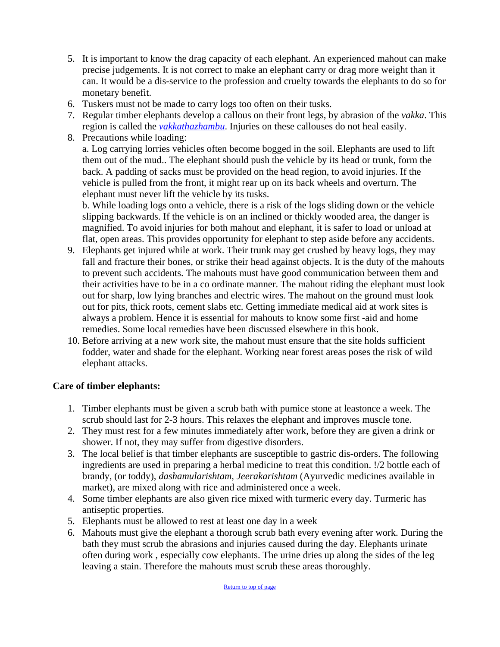- 5. It is important to know the drag capacity of each elephant. An experienced mahout can make precise judgements. It is not correct to make an elephant carry or drag more weight than it can. It would be a dis-service to the profession and cruelty towards the elephants to do so for monetary benefit.
- 6. Tuskers must not be made to carry logs too often on their tusks.
- 7. Regular timber elephants develop a callous on their front legs, by abrasion of the *vakka*. This region is called the *vakkathazhambu*. Injuries on these callouses do not heal easily.
- 8. Precautions while loading:

a. Log carrying lorries vehicles often become bogged in the soil. Elephants are used to lift them out of the mud.. The elephant should push the vehicle by its head or trunk, form the back. A padding of sacks must be provided on the head region, to avoid injuries. If the vehicle is pulled from the front, it might rear up on its back wheels and overturn. The elephant must never lift the vehicle by its tusks.

b. While loading logs onto a vehicle, there is a risk of the logs sliding down or the vehicle slipping backwards. If the vehicle is on an inclined or thickly wooded area, the danger is magnified. To avoid injuries for both mahout and elephant, it is safer to load or unload at flat, open areas. This provides opportunity for elephant to step aside before any accidents.

- 9. Elephants get injured while at work. Their trunk may get crushed by heavy logs, they may fall and fracture their bones, or strike their head against objects. It is the duty of the mahouts to prevent such accidents. The mahouts must have good communication between them and their activities have to be in a co ordinate manner. The mahout riding the elephant must look out for sharp, low lying branches and electric wires. The mahout on the ground must look out for pits, thick roots, cement slabs etc. Getting immediate medical aid at work sites is always a problem. Hence it is essential for mahouts to know some first -aid and home remedies. Some local remedies have been discussed elsewhere in this book.
- 10. Before arriving at a new work site, the mahout must ensure that the site holds sufficient fodder, water and shade for the elephant. Working near forest areas poses the risk of wild elephant attacks.

### **Care of timber elephants:**

- 1. Timber elephants must be given a scrub bath with pumice stone at leastonce a week. The scrub should last for 2-3 hours. This relaxes the elephant and improves muscle tone.
- 2. They must rest for a few minutes immediately after work, before they are given a drink or shower. If not, they may suffer from digestive disorders.
- 3. The local belief is that timber elephants are susceptible to gastric dis-orders. The following ingredients are used in preparing a herbal medicine to treat this condition. !/2 bottle each of brandy, (or toddy), *dashamularishtam*, *Jeerakarishtam* (Ayurvedic medicines available in market), are mixed along with rice and administered once a week.
- 4. Some timber elephants are also given rice mixed with turmeric every day. Turmeric has antiseptic properties.
- 5. Elephants must be allowed to rest at least one day in a week
- 6. Mahouts must give the elephant a thorough scrub bath every evening after work. During the bath they must scrub the abrasions and injuries caused during the day. Elephants urinate often during work , especially cow elephants. The urine dries up along the sides of the leg leaving a stain. Therefore the mahouts must scrub these areas thoroughly.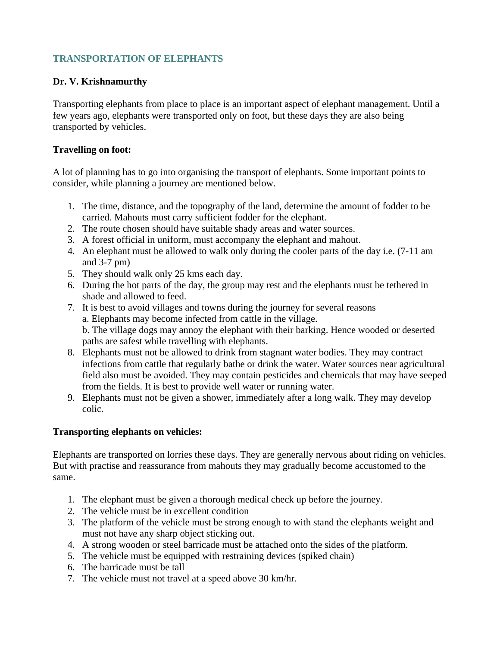## **TRANSPORTATION OF ELEPHANTS**

## **Dr. V. Krishnamurthy**

Transporting elephants from place to place is an important aspect of elephant management. Until a few years ago, elephants were transported only on foot, but these days they are also being transported by vehicles.

### **Travelling on foot:**

A lot of planning has to go into organising the transport of elephants. Some important points to consider, while planning a journey are mentioned below.

- 1. The time, distance, and the topography of the land, determine the amount of fodder to be carried. Mahouts must carry sufficient fodder for the elephant.
- 2. The route chosen should have suitable shady areas and water sources.
- 3. A forest official in uniform, must accompany the elephant and mahout.
- 4. An elephant must be allowed to walk only during the cooler parts of the day i.e. (7-11 am and 3-7 pm)
- 5. They should walk only 25 kms each day.
- 6. During the hot parts of the day, the group may rest and the elephants must be tethered in shade and allowed to feed.
- 7. It is best to avoid villages and towns during the journey for several reasons a. Elephants may become infected from cattle in the village. b. The village dogs may annoy the elephant with their barking. Hence wooded or deserted paths are safest while travelling with elephants.
- 8. Elephants must not be allowed to drink from stagnant water bodies. They may contract infections from cattle that regularly bathe or drink the water. Water sources near agricultural field also must be avoided. They may contain pesticides and chemicals that may have seeped from the fields. It is best to provide well water or running water.
- 9. Elephants must not be given a shower, immediately after a long walk. They may develop colic.

### **Transporting elephants on vehicles:**

Elephants are transported on lorries these days. They are generally nervous about riding on vehicles. But with practise and reassurance from mahouts they may gradually become accustomed to the same.

- 1. The elephant must be given a thorough medical check up before the journey.
- 2. The vehicle must be in excellent condition
- 3. The platform of the vehicle must be strong enough to with stand the elephants weight and must not have any sharp object sticking out.
- 4. A strong wooden or steel barricade must be attached onto the sides of the platform.
- 5. The vehicle must be equipped with restraining devices (spiked chain)
- 6. The barricade must be tall
- 7. The vehicle must not travel at a speed above 30 km/hr.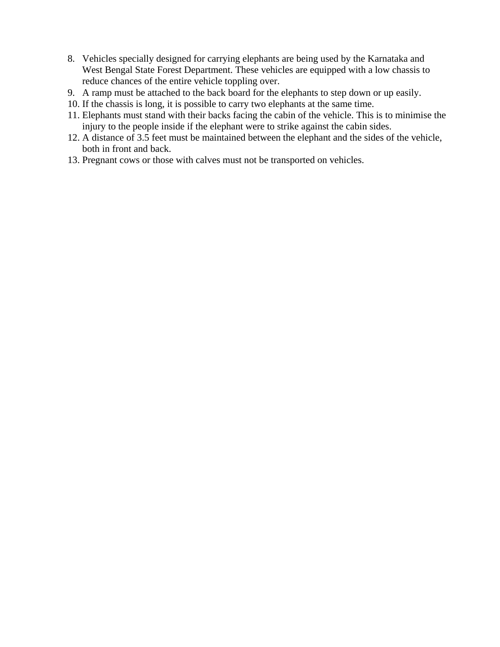- 8. Vehicles specially designed for carrying elephants are being used by the Karnataka and West Bengal State Forest Department. These vehicles are equipped with a low chassis to reduce chances of the entire vehicle toppling over.
- 9. A ramp must be attached to the back board for the elephants to step down or up easily.
- 10. If the chassis is long, it is possible to carry two elephants at the same time.
- 11. Elephants must stand with their backs facing the cabin of the vehicle. This is to minimise the injury to the people inside if the elephant were to strike against the cabin sides.
- 12. A distance of 3.5 feet must be maintained between the elephant and the sides of the vehicle, both in front and back.
- 13. Pregnant cows or those with calves must not be transported on vehicles.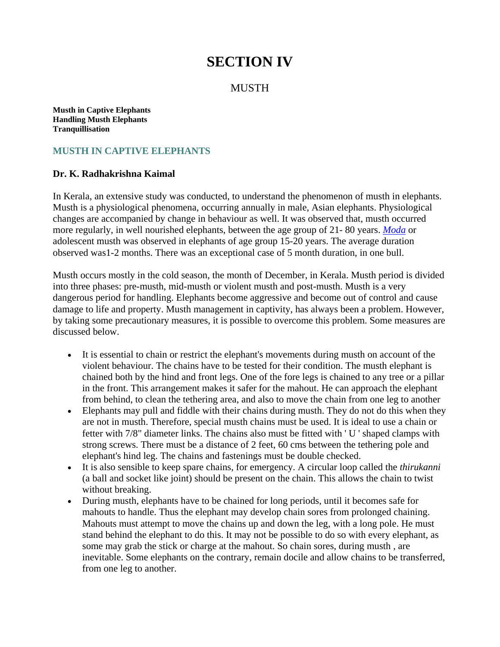# **SECTION IV**

### **MUSTH**

**Musth in Captive Elephants Handling Musth Elephants Tranquillisation**

## **MUSTH IN CAPTIVE ELEPHANTS**

#### **Dr. K. Radhakrishna Kaimal**

In Kerala, an extensive study was conducted, to understand the phenomenon of musth in elephants. Musth is a physiological phenomena, occurring annually in male, Asian elephants. Physiological changes are accompanied by change in behaviour as well. It was observed that, musth occurred more regularly, in well nourished elephants, between the age group of 21- 80 years. *Moda* or adolescent musth was observed in elephants of age group 15-20 years. The average duration observed was1-2 months. There was an exceptional case of 5 month duration, in one bull.

Musth occurs mostly in the cold season, the month of December, in Kerala. Musth period is divided into three phases: pre-musth, mid-musth or violent musth and post-musth. Musth is a very dangerous period for handling. Elephants become aggressive and become out of control and cause damage to life and property. Musth management in captivity, has always been a problem. However, by taking some precautionary measures, it is possible to overcome this problem. Some measures are discussed below.

- It is essential to chain or restrict the elephant's movements during musth on account of the violent behaviour. The chains have to be tested for their condition. The musth elephant is chained both by the hind and front legs. One of the fore legs is chained to any tree or a pillar in the front. This arrangement makes it safer for the mahout. He can approach the elephant from behind, to clean the tethering area, and also to move the chain from one leg to another
- Elephants may pull and fiddle with their chains during musth. They do not do this when they are not in musth. Therefore, special musth chains must be used. It is ideal to use a chain or fetter with 7/8" diameter links. The chains also must be fitted with ' U ' shaped clamps with strong screws. There must be a distance of 2 feet, 60 cms between the tethering pole and elephant's hind leg. The chains and fastenings must be double checked.
- It is also sensible to keep spare chains, for emergency. A circular loop called the *thirukanni* (a ball and socket like joint) should be present on the chain. This allows the chain to twist without breaking.
- During musth, elephants have to be chained for long periods, until it becomes safe for mahouts to handle. Thus the elephant may develop chain sores from prolonged chaining. Mahouts must attempt to move the chains up and down the leg, with a long pole. He must stand behind the elephant to do this. It may not be possible to do so with every elephant, as some may grab the stick or charge at the mahout. So chain sores, during musth , are inevitable. Some elephants on the contrary, remain docile and allow chains to be transferred, from one leg to another.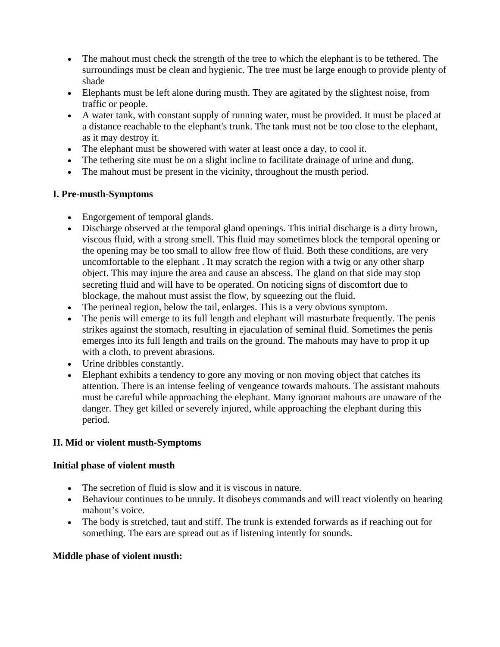- The mahout must check the strength of the tree to which the elephant is to be tethered. The surroundings must be clean and hygienic. The tree must be large enough to provide plenty of shade
- Elephants must be left alone during musth. They are agitated by the slightest noise, from traffic or people.
- A water tank, with constant supply of running water, must be provided. It must be placed at a distance reachable to the elephant's trunk. The tank must not be too close to the elephant, as it may destroy it.
- The elephant must be showered with water at least once a day, to cool it.
- The tethering site must be on a slight incline to facilitate drainage of urine and dung.
- The mahout must be present in the vicinity, throughout the musth period.

## **I. Pre-musth**-**Symptoms**

- Engorgement of temporal glands.
- Discharge observed at the temporal gland openings. This initial discharge is a dirty brown, viscous fluid, with a strong smell. This fluid may sometimes block the temporal opening or the opening may be too small to allow free flow of fluid. Both these conditions, are very uncomfortable to the elephant . It may scratch the region with a twig or any other sharp object. This may injure the area and cause an abscess. The gland on that side may stop secreting fluid and will have to be operated. On noticing signs of discomfort due to blockage, the mahout must assist the flow, by squeezing out the fluid.
- The perineal region, below the tail, enlarges. This is a very obvious symptom.
- The penis will emerge to its full length and elephant will masturbate frequently. The penis strikes against the stomach, resulting in ejaculation of seminal fluid. Sometimes the penis emerges into its full length and trails on the ground. The mahouts may have to prop it up with a cloth, to prevent abrasions.
- Urine dribbles constantly.
- Elephant exhibits a tendency to gore any moving or non moving object that catches its attention. There is an intense feeling of vengeance towards mahouts. The assistant mahouts must be careful while approaching the elephant. Many ignorant mahouts are unaware of the danger. They get killed or severely injured, while approaching the elephant during this period.

### **II. Mid or violent musth-Symptoms**

### **Initial phase of violent musth**

- The secretion of fluid is slow and it is viscous in nature.
- Behaviour continues to be unruly. It disobeys commands and will react violently on hearing mahout's voice.
- The body is stretched, taut and stiff. The trunk is extended forwards as if reaching out for something. The ears are spread out as if listening intently for sounds.

### **Middle phase of violent musth:**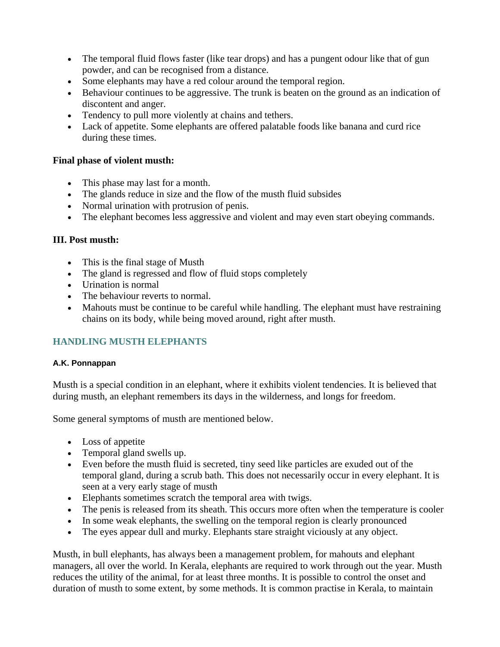- The temporal fluid flows faster (like tear drops) and has a pungent odour like that of gun powder, and can be recognised from a distance.
- Some elephants may have a red colour around the temporal region.
- Behaviour continues to be aggressive. The trunk is beaten on the ground as an indication of discontent and anger.
- Tendency to pull more violently at chains and tethers.
- Lack of appetite. Some elephants are offered palatable foods like banana and curd rice during these times.

#### **Final phase of violent musth:**

- This phase may last for a month.
- The glands reduce in size and the flow of the musth fluid subsides
- Normal urination with protrusion of penis.
- The elephant becomes less aggressive and violent and may even start obeying commands.

#### **III. Post musth:**

- This is the final stage of Musth
- The gland is regressed and flow of fluid stops completely
- Urination is normal
- The behaviour reverts to normal.
- Mahouts must be continue to be careful while handling. The elephant must have restraining chains on its body, while being moved around, right after musth.

# **HANDLING MUSTH ELEPHANTS**

#### **A.K. Ponnappan**

Musth is a special condition in an elephant, where it exhibits violent tendencies. It is believed that during musth, an elephant remembers its days in the wilderness, and longs for freedom.

Some general symptoms of musth are mentioned below.

- Loss of appetite
- Temporal gland swells up.
- Even before the musth fluid is secreted, tiny seed like particles are exuded out of the temporal gland, during a scrub bath. This does not necessarily occur in every elephant. It is seen at a very early stage of musth
- Elephants sometimes scratch the temporal area with twigs.
- The penis is released from its sheath. This occurs more often when the temperature is cooler
- In some weak elephants, the swelling on the temporal region is clearly pronounced
- The eyes appear dull and murky. Elephants stare straight viciously at any object.

Musth, in bull elephants, has always been a management problem, for mahouts and elephant managers, all over the world. In Kerala, elephants are required to work through out the year. Musth reduces the utility of the animal, for at least three months. It is possible to control the onset and duration of musth to some extent, by some methods. It is common practise in Kerala, to maintain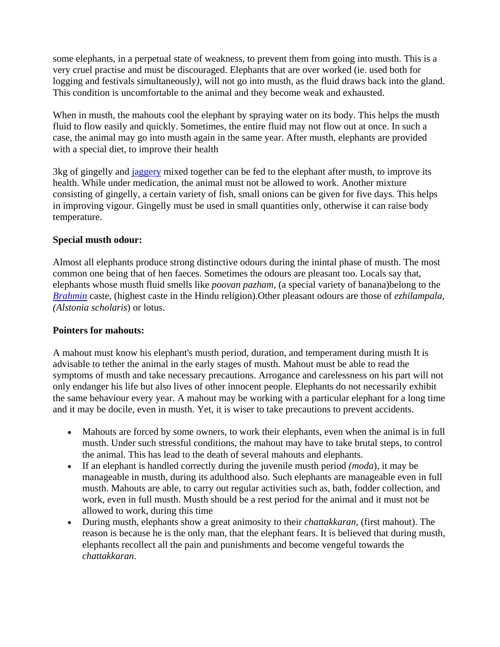some elephants, in a perpetual state of weakness, to prevent them from going into musth. This is a very cruel practise and must be discouraged. Elephants that are over worked (ie. used both for logging and festivals simultaneously*),* will not go into musth, as the fluid draws back into the gland. This condition is uncomfortable to the animal and they become weak and exhausted.

When in musth, the mahouts cool the elephant by spraying water on its body. This helps the musth fluid to flow easily and quickly. Sometimes, the entire fluid may not flow out at once. In such a case, the animal may go into musth again in the same year. After musth, elephants are provided with a special diet, to improve their health

3kg of gingelly and jaggery mixed together can be fed to the elephant after musth, to improve its health. While under medication, the animal must not be allowed to work. Another mixture consisting of gingelly, a certain variety of fish, small onions can be given for five days. This helps in improving vigour. Gingelly must be used in small quantities only, otherwise it can raise body temperature.

#### **Special musth odour:**

Almost all elephants produce strong distinctive odours during the inintal phase of musth. The most common one being that of hen faeces. Sometimes the odours are pleasant too. Locals say that, elephants whose musth fluid smells like *poovan pazham,* (a special variety of banana)belong to the *Brahmin* caste, (highest caste in the Hindu religion).Other pleasant odours are those of *ezhilampala, (Alstonia scholaris*) or lotus.

#### **Pointers for mahouts:**

A mahout must know his elephant's musth period, duration, and temperament during musth It is advisable to tether the animal in the early stages of musth. Mahout must be able to read the symptoms of musth and take necessary precautions. Arrogance and carelessness on his part will not only endanger his life but also lives of other innocent people. Elephants do not necessarily exhibit the same behaviour every year. A mahout may be working with a particular elephant for a long time and it may be docile, even in musth. Yet, it is wiser to take precautions to prevent accidents.

- Mahouts are forced by some owners, to work their elephants, even when the animal is in full musth. Under such stressful conditions, the mahout may have to take brutal steps, to control the animal. This has lead to the death of several mahouts and elephants.
- If an elephant is handled correctly during the juvenile musth period *(moda*), it may be manageable in musth, during its adulthood also. Such elephants are manageable even in full musth. Mahouts are able, to carry out regular activities such as, bath, fodder collection, and work, even in full musth. Musth should be a rest period for the animal and it must not be allowed to work, during this time
- During musth, elephants show a great animosity to their *chattakkaran*, (first mahout). The reason is because he is the only man, that the elephant fears. It is believed that during musth, elephants recollect all the pain and punishments and become vengeful towards the *chattakkaran*.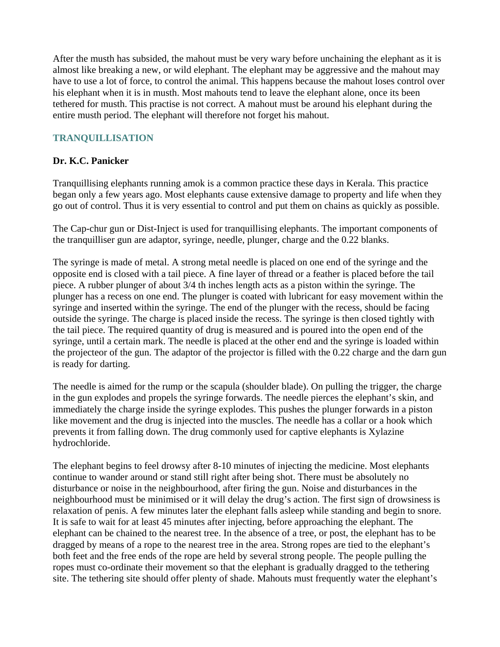After the musth has subsided, the mahout must be very wary before unchaining the elephant as it is almost like breaking a new, or wild elephant. The elephant may be aggressive and the mahout may have to use a lot of force, to control the animal. This happens because the mahout loses control over his elephant when it is in musth. Most mahouts tend to leave the elephant alone, once its been tethered for musth. This practise is not correct. A mahout must be around his elephant during the entire musth period. The elephant will therefore not forget his mahout.

# **TRANQUILLISATION**

## **Dr. K.C. Panicker**

Tranquillising elephants running amok is a common practice these days in Kerala. This practice began only a few years ago. Most elephants cause extensive damage to property and life when they go out of control. Thus it is very essential to control and put them on chains as quickly as possible.

The Cap-chur gun or Dist-Inject is used for tranquillising elephants. The important components of the tranquilliser gun are adaptor, syringe, needle, plunger, charge and the 0.22 blanks.

The syringe is made of metal. A strong metal needle is placed on one end of the syringe and the opposite end is closed with a tail piece. A fine layer of thread or a feather is placed before the tail piece. A rubber plunger of about  $\frac{3}{4}$  th inches length acts as a piston within the syringe. The plunger has a recess on one end. The plunger is coated with lubricant for easy movement within the syringe and inserted within the syringe. The end of the plunger with the recess, should be facing outside the syringe. The charge is placed inside the recess. The syringe is then closed tightly with the tail piece. The required quantity of drug is measured and is poured into the open end of the syringe, until a certain mark. The needle is placed at the other end and the syringe is loaded within the projecteor of the gun. The adaptor of the projector is filled with the 0.22 charge and the darn gun is ready for darting.

The needle is aimed for the rump or the scapula (shoulder blade). On pulling the trigger, the charge in the gun explodes and propels the syringe forwards. The needle pierces the elephant's skin, and immediately the charge inside the syringe explodes. This pushes the plunger forwards in a piston like movement and the drug is injected into the muscles. The needle has a collar or a hook which prevents it from falling down. The drug commonly used for captive elephants is Xylazine hydrochloride.

The elephant begins to feel drowsy after 8-10 minutes of injecting the medicine. Most elephants continue to wander around or stand still right after being shot. There must be absolutely no disturbance or noise in the neighbourhood, after firing the gun. Noise and disturbances in the neighbourhood must be minimised or it will delay the drug's action. The first sign of drowsiness is relaxation of penis. A few minutes later the elephant falls asleep while standing and begin to snore. It is safe to wait for at least 45 minutes after injecting, before approaching the elephant. The elephant can be chained to the nearest tree. In the absence of a tree, or post, the elephant has to be dragged by means of a rope to the nearest tree in the area. Strong ropes are tied to the elephant's both feet and the free ends of the rope are held by several strong people. The people pulling the ropes must co-ordinate their movement so that the elephant is gradually dragged to the tethering site. The tethering site should offer plenty of shade. Mahouts must frequently water the elephant's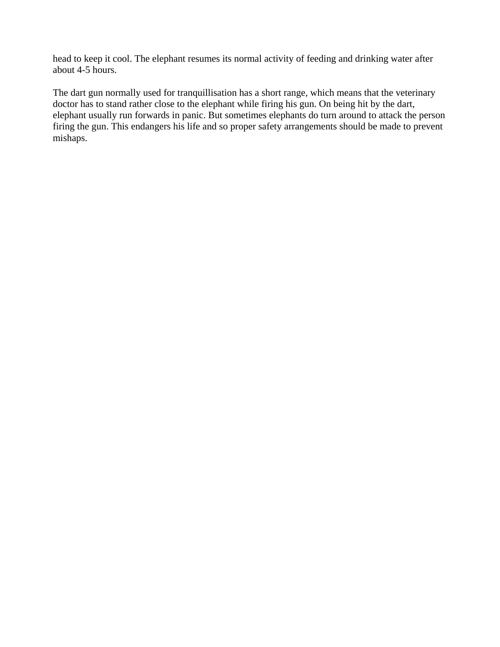head to keep it cool. The elephant resumes its normal activity of feeding and drinking water after about 4-5 hours.

The dart gun normally used for tranquillisation has a short range, which means that the veterinary doctor has to stand rather close to the elephant while firing his gun. On being hit by the dart, elephant usually run forwards in panic. But sometimes elephants do turn around to attack the person firing the gun. This endangers his life and so proper safety arrangements should be made to prevent mishaps.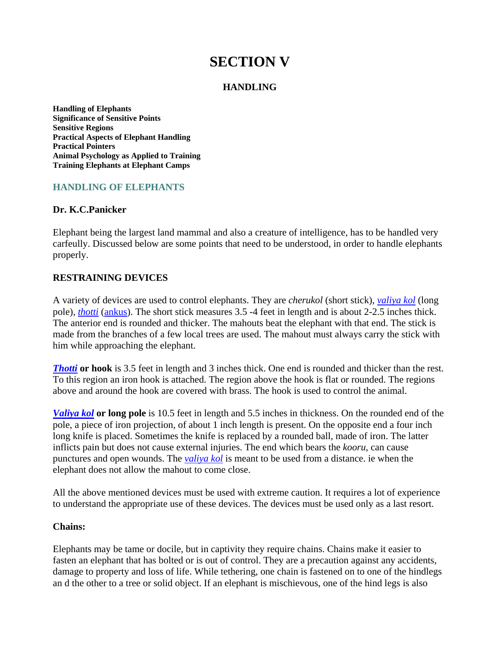# **SECTION V**

#### **HANDLING**

**Handling of Elephants Significance of Sensitive Points Sensitive Regions Practical Aspects of Elephant Handling Practical Pointers Animal Psychology as Applied to Training Training Elephants at Elephant Camps**

### **HANDLING OF ELEPHANTS**

#### **Dr. K.C.Panicker**

Elephant being the largest land mammal and also a creature of intelligence, has to be handled very carfeully. Discussed below are some points that need to be understood, in order to handle elephants properly.

#### **RESTRAINING DEVICES**

A variety of devices are used to control elephants. They are *cherukol* (short stick), *valiya kol* (long pole), *thotti* (ankus). The short stick measures 3.5 -4 feet in length and is about 2-2.5 inches thick. The anterior end is rounded and thicker. The mahouts beat the elephant with that end. The stick is made from the branches of a few local trees are used. The mahout must always carry the stick with him while approaching the elephant.

*Thotti* or hook is 3.5 feet in length and 3 inches thick. One end is rounded and thicker than the rest. To this region an iron hook is attached. The region above the hook is flat or rounded. The regions above and around the hook are covered with brass. The hook is used to control the animal.

*Valiya kol* **or long pole** is 10.5 feet in length and 5.5 inches in thickness. On the rounded end of the pole, a piece of iron projection, of about 1 inch length is present. On the opposite end a four inch long knife is placed. Sometimes the knife is replaced by a rounded ball, made of iron. The latter inflicts pain but does not cause external injuries. The end which bears the *kooru*, can cause punctures and open wounds. The *valiya kol* is meant to be used from a distance. ie when the elephant does not allow the mahout to come close.

All the above mentioned devices must be used with extreme caution. It requires a lot of experience to understand the appropriate use of these devices. The devices must be used only as a last resort.

#### **Chains:**

Elephants may be tame or docile, but in captivity they require chains. Chains make it easier to fasten an elephant that has bolted or is out of control. They are a precaution against any accidents, damage to property and loss of life. While tethering, one chain is fastened on to one of the hindlegs an d the other to a tree or solid object. If an elephant is mischievous, one of the hind legs is also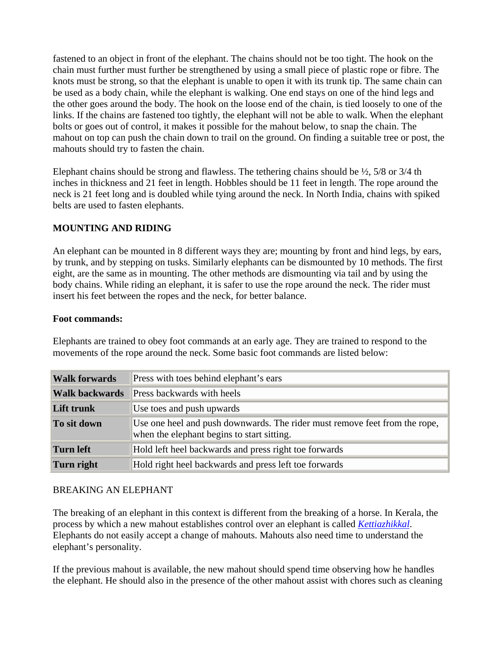fastened to an object in front of the elephant. The chains should not be too tight. The hook on the chain must further must further be strengthened by using a small piece of plastic rope or fibre. The knots must be strong, so that the elephant is unable to open it with its trunk tip. The same chain can be used as a body chain, while the elephant is walking. One end stays on one of the hind legs and the other goes around the body. The hook on the loose end of the chain, is tied loosely to one of the links. If the chains are fastened too tightly, the elephant will not be able to walk. When the elephant bolts or goes out of control, it makes it possible for the mahout below, to snap the chain. The mahout on top can push the chain down to trail on the ground. On finding a suitable tree or post, the mahouts should try to fasten the chain.

Elephant chains should be strong and flawless. The tethering chains should be  $\frac{1}{2}$ , 5/8 or 3/4 th inches in thickness and 21 feet in length. Hobbles should be 11 feet in length. The rope around the neck is 21 feet long and is doubled while tying around the neck. In North India, chains with spiked belts are used to fasten elephants.

### **MOUNTING AND RIDING**

An elephant can be mounted in 8 different ways they are; mounting by front and hind legs, by ears, by trunk, and by stepping on tusks. Similarly elephants can be dismounted by 10 methods. The first eight, are the same as in mounting. The other methods are dismounting via tail and by using the body chains. While riding an elephant, it is safer to use the rope around the neck. The rider must insert his feet between the ropes and the neck, for better balance.

#### **Foot commands:**

Elephants are trained to obey foot commands at an early age. They are trained to respond to the movements of the rope around the neck. Some basic foot commands are listed below:

| <b>Walk forwards</b>  | Press with toes behind elephant's ears                                                                                   |
|-----------------------|--------------------------------------------------------------------------------------------------------------------------|
| <b>Walk backwards</b> | <b>Press backwards with heels</b>                                                                                        |
| Lift trunk            | Use toes and push upwards                                                                                                |
| To sit down           | Use one heel and push downwards. The rider must remove feet from the rope,<br>when the elephant begins to start sitting. |
| Turn left             | Hold left heel backwards and press right toe forwards                                                                    |
| Turn right            | Hold right heel backwards and press left toe forwards                                                                    |

#### BREAKING AN ELEPHANT

The breaking of an elephant in this context is different from the breaking of a horse. In Kerala, the process by which a new mahout establishes control over an elephant is called *Kettiazhikkal*. Elephants do not easily accept a change of mahouts. Mahouts also need time to understand the elephant's personality.

If the previous mahout is available, the new mahout should spend time observing how he handles the elephant. He should also in the presence of the other mahout assist with chores such as cleaning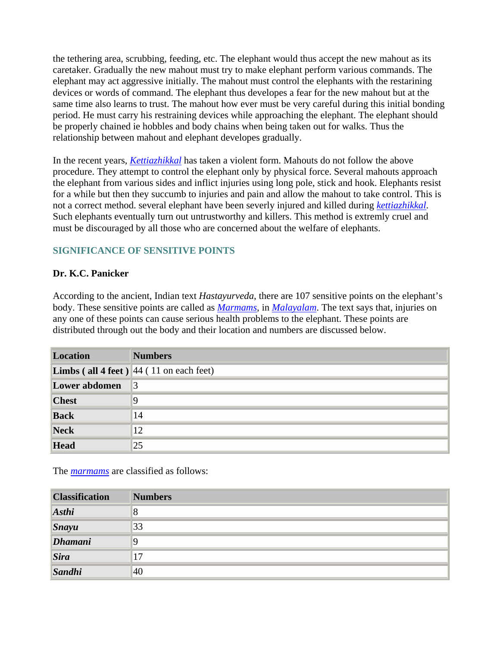the tethering area, scrubbing, feeding, etc. The elephant would thus accept the new mahout as its caretaker. Gradually the new mahout must try to make elephant perform various commands. The elephant may act aggressive initially. The mahout must control the elephants with the restarining devices or words of command. The elephant thus developes a fear for the new mahout but at the same time also learns to trust. The mahout how ever must be very careful during this initial bonding period. He must carry his restraining devices while approaching the elephant. The elephant should be properly chained ie hobbles and body chains when being taken out for walks. Thus the relationship between mahout and elephant developes gradually.

In the recent years, *Kettiazhikkal* has taken a violent form. Mahouts do not follow the above procedure. They attempt to control the elephant only by physical force. Several mahouts approach the elephant from various sides and inflict injuries using long pole, stick and hook. Elephants resist for a while but then they succumb to injuries and pain and allow the mahout to take control. This is not a correct method. several elephant have been severly injured and killed during *kettiazhikkal*. Such elephants eventually turn out untrustworthy and killers. This method is extremly cruel and must be discouraged by all those who are concerned about the welfare of elephants.

# **SIGNIFICANCE OF SENSITIVE POINTS**

### **Dr. K.C. Panicker**

According to the ancient, Indian text *Hastayurveda*, there are 107 sensitive points on the elephant's body. These sensitive points are called as *Marmams*, in *Malayalam*. The text says that, injuries on any one of these points can cause serious health problems to the elephant. These points are distributed through out the body and their location and numbers are discussed below.

| <b>Location</b> | <b>Numbers</b>                                    |
|-----------------|---------------------------------------------------|
|                 | <b>Limbs</b> (all 4 feet) $ 44 (11$ on each feet) |
| Lower abdomen   | 13                                                |
| <b>Chest</b>    | 9                                                 |
| <b>Back</b>     | 14                                                |
| Neck            | 12                                                |
| <b>Head</b>     | $ 25\rangle$                                      |

The *marmams* are classified as follows:

| <b>Classification</b> | <b>Numbers</b> |
|-----------------------|----------------|
| Asthi                 | $\overline{8}$ |
| $\int$ Snayu          | 33             |
| Dhamani               | 9              |
| <i>Sira</i>           | 17             |
| Sandhi                | 40             |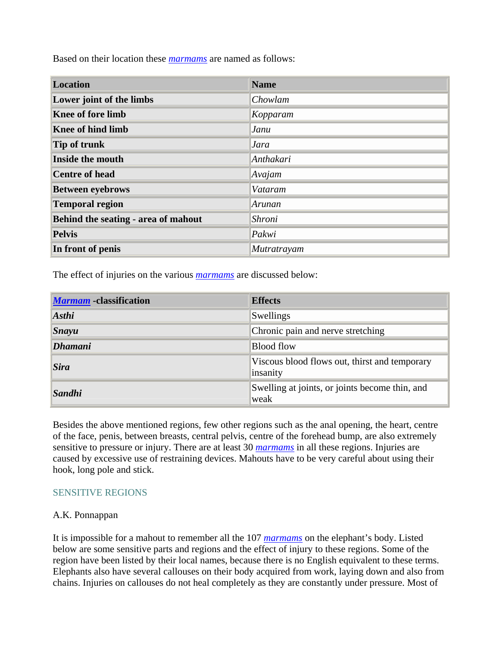Based on their location these *marmams* are named as follows:

| <b>Location</b>                     | <b>Name</b> |
|-------------------------------------|-------------|
| Lower joint of the limbs            | Chowlam     |
| <b>Knee of fore limb</b>            | Kopparam    |
| <b>Knee of hind limb</b>            | Janu        |
| <b>Tip of trunk</b>                 | <b>Jara</b> |
| <b>Inside the mouth</b>             | Anthakari   |
| <b>Centre of head</b>               | Avajam      |
| <b>Between eyebrows</b>             | Vataram     |
| <b>Temporal region</b>              | Arunan      |
| Behind the seating - area of mahout | Shroni      |
| <b>Pelvis</b>                       | Pakwi       |
| In front of penis                   | Mutratrayam |

The effect of injuries on the various *marmams* are discussed below:

| <b>Marmam</b> - classification | <b>Effects</b>                                            |  |
|--------------------------------|-----------------------------------------------------------|--|
| $A$ sthi                       | Swellings                                                 |  |
| $Sn$ ayu                       | Chronic pain and nerve stretching                         |  |
| <i><b>Dhamani</b></i>          | <b>Blood flow</b>                                         |  |
| <b>Sira</b>                    | Viscous blood flows out, thirst and temporary<br>insanity |  |
| Sandhi                         | Swelling at joints, or joints become thin, and<br>weak    |  |

Besides the above mentioned regions, few other regions such as the anal opening, the heart, centre of the face, penis, between breasts, central pelvis, centre of the forehead bump, are also extremely sensitive to pressure or injury. There are at least 30 *marmams* in all these regions. Injuries are caused by excessive use of restraining devices. Mahouts have to be very careful about using their hook, long pole and stick.

#### SENSITIVE REGIONS

#### A.K. Ponnappan

It is impossible for a mahout to remember all the 107 *marmams* on the elephant's body. Listed below are some sensitive parts and regions and the effect of injury to these regions. Some of the region have been listed by their local names, because there is no English equivalent to these terms. Elephants also have several callouses on their body acquired from work, laying down and also from chains. Injuries on callouses do not heal completely as they are constantly under pressure. Most of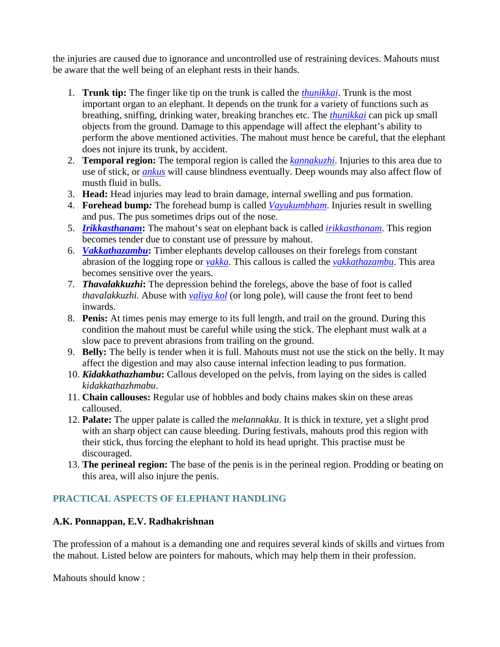the injuries are caused due to ignorance and uncontrolled use of restraining devices. Mahouts must be aware that the well being of an elephant rests in their hands.

- 1. **Trunk tip:** The finger like tip on the trunk is called the *thunikkai*. Trunk is the most important organ to an elephant. It depends on the trunk for a variety of functions such as breathing, sniffing, drinking water, breaking branches etc. The *thunikkai* can pick up small objects from the ground. Damage to this appendage will affect the elephant's ability to perform the above mentioned activities. The mahout must hence be careful, that the elephant does not injure its trunk, by accident.
- 2. **Temporal region:** The temporal region is called the *kannakuzhi*. Injuries to this area due to use of stick, or *ankus* will cause blindness eventually. Deep wounds may also affect flow of musth fluid in bulls.
- 3. **Head:** Head injuries may lead to brain damage, internal swelling and pus formation.
- 4. **Forehead bump***:* The forehead bump is called *Vayukumbham*. Injuries result in swelling and pus. The pus sometimes drips out of the nose.
- 5. *Irikkasthanam***:** The mahout's seat on elephant back is called *irikkasthanam*. This region becomes tender due to constant use of pressure by mahout.
- 6. *Vakkathazambu***:** Timber elephants develop callouses on their forelegs from constant abrasion of the logging rope or *vakka*. This callous is called the *vakkathazambu*. This area becomes sensitive over the years.
- 7. *Thavalakkuzhi***:** The depression behind the forelegs, above the base of foot is called *thavalakkuzhi.* Abuse with *valiya kol* (or long pole), will cause the front feet to bend inwards.
- 8. **Penis:** At times penis may emerge to its full length, and trail on the ground. During this condition the mahout must be careful while using the stick. The elephant must walk at a slow pace to prevent abrasions from trailing on the ground.
- 9. **Belly:** The belly is tender when it is full. Mahouts must not use the stick on the belly. It may affect the digestion and may also cause internal infection leading to pus formation.
- 10. *Kidakkathazhambu***:** Callous developed on the pelvis, from laying on the sides is called *kidakkathazhmabu*.
- 11. **Chain callouses:** Regular use of hobbles and body chains makes skin on these areas calloused.
- 12. **Palate:** The upper palate is called the *melannakku*. It is thick in texture, yet a slight prod with an sharp object can cause bleeding. During festivals, mahouts prod this region with their stick, thus forcing the elephant to hold its head upright. This practise must be discouraged.
- 13. **The perineal region:** The base of the penis is in the perineal region. Prodding or beating on this area, will also injure the penis.

# **PRACTICAL ASPECTS OF ELEPHANT HANDLING**

### **A.K. Ponnappan, E.V. Radhakrishnan**

The profession of a mahout is a demanding one and requires several kinds of skills and virtues from the mahout. Listed below are pointers for mahouts, which may help them in their profession.

Mahouts should know :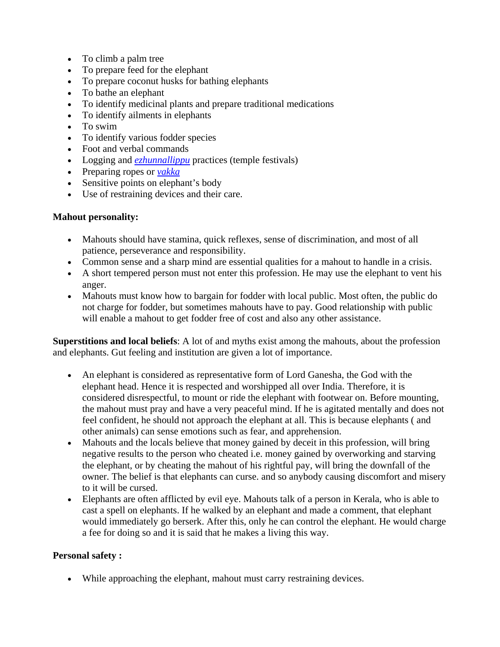- To climb a palm tree
- To prepare feed for the elephant
- To prepare coconut husks for bathing elephants
- To bathe an elephant
- To identify medicinal plants and prepare traditional medications
- To identify ailments in elephants
- To swim
- To identify various fodder species
- Foot and verbal commands
- Logging and *ezhunnallippu* practices (temple festivals)
- Preparing ropes or *vakka*
- Sensitive points on elephant's body
- Use of restraining devices and their care.

## **Mahout personality:**

- Mahouts should have stamina, quick reflexes, sense of discrimination, and most of all patience, perseverance and responsibility.
- Common sense and a sharp mind are essential qualities for a mahout to handle in a crisis.
- A short tempered person must not enter this profession. He may use the elephant to vent his anger.
- Mahouts must know how to bargain for fodder with local public. Most often, the public do not charge for fodder, but sometimes mahouts have to pay. Good relationship with public will enable a mahout to get fodder free of cost and also any other assistance.

**Superstitions and local beliefs**: A lot of and myths exist among the mahouts, about the profession and elephants. Gut feeling and institution are given a lot of importance.

- An elephant is considered as representative form of Lord Ganesha, the God with the elephant head. Hence it is respected and worshipped all over India. Therefore, it is considered disrespectful, to mount or ride the elephant with footwear on. Before mounting, the mahout must pray and have a very peaceful mind. If he is agitated mentally and does not feel confident, he should not approach the elephant at all. This is because elephants ( and other animals) can sense emotions such as fear, and apprehension.
- Mahouts and the locals believe that money gained by deceit in this profession, will bring negative results to the person who cheated i.e. money gained by overworking and starving the elephant, or by cheating the mahout of his rightful pay, will bring the downfall of the owner. The belief is that elephants can curse. and so anybody causing discomfort and misery to it will be cursed.
- Elephants are often afflicted by evil eye. Mahouts talk of a person in Kerala, who is able to cast a spell on elephants. If he walked by an elephant and made a comment, that elephant would immediately go berserk. After this, only he can control the elephant. He would charge a fee for doing so and it is said that he makes a living this way.

# **Personal safety :**

• While approaching the elephant, mahout must carry restraining devices.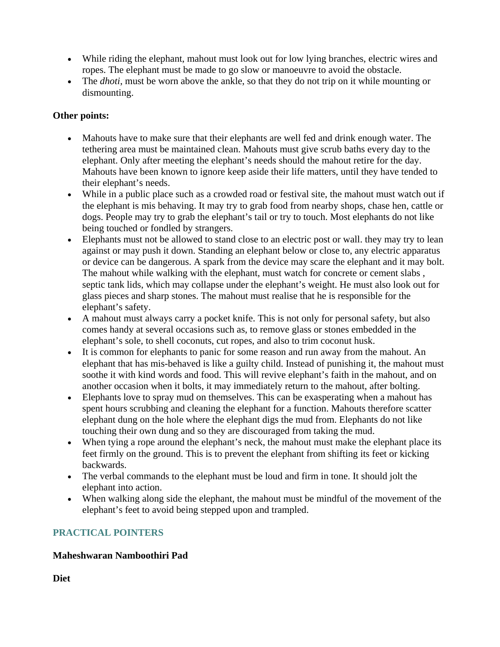- While riding the elephant, mahout must look out for low lying branches, electric wires and ropes. The elephant must be made to go slow or manoeuvre to avoid the obstacle.
- The *dhoti*, must be worn above the ankle, so that they do not trip on it while mounting or dismounting.

## **Other points:**

- Mahouts have to make sure that their elephants are well fed and drink enough water. The tethering area must be maintained clean. Mahouts must give scrub baths every day to the elephant. Only after meeting the elephant's needs should the mahout retire for the day. Mahouts have been known to ignore keep aside their life matters, until they have tended to their elephant's needs.
- While in a public place such as a crowded road or festival site, the mahout must watch out if the elephant is mis behaving. It may try to grab food from nearby shops, chase hen, cattle or dogs. People may try to grab the elephant's tail or try to touch. Most elephants do not like being touched or fondled by strangers.
- Elephants must not be allowed to stand close to an electric post or wall. they may try to lean against or may push it down. Standing an elephant below or close to, any electric apparatus or device can be dangerous. A spark from the device may scare the elephant and it may bolt. The mahout while walking with the elephant, must watch for concrete or cement slabs , septic tank lids, which may collapse under the elephant's weight. He must also look out for glass pieces and sharp stones. The mahout must realise that he is responsible for the elephant's safety.
- A mahout must always carry a pocket knife. This is not only for personal safety, but also comes handy at several occasions such as, to remove glass or stones embedded in the elephant's sole, to shell coconuts, cut ropes, and also to trim coconut husk.
- It is common for elephants to panic for some reason and run away from the mahout. An elephant that has mis-behaved is like a guilty child. Instead of punishing it, the mahout must soothe it with kind words and food. This will revive elephant's faith in the mahout, and on another occasion when it bolts, it may immediately return to the mahout, after bolting.
- Elephants love to spray mud on themselves. This can be exasperating when a mahout has spent hours scrubbing and cleaning the elephant for a function. Mahouts therefore scatter elephant dung on the hole where the elephant digs the mud from. Elephants do not like touching their own dung and so they are discouraged from taking the mud.
- When tying a rope around the elephant's neck, the mahout must make the elephant place its feet firmly on the ground. This is to prevent the elephant from shifting its feet or kicking backwards.
- The verbal commands to the elephant must be loud and firm in tone. It should jolt the elephant into action.
- When walking along side the elephant, the mahout must be mindful of the movement of the elephant's feet to avoid being stepped upon and trampled.

# **PRACTICAL POINTERS**

# **Maheshwaran Namboothiri Pad**

**Diet**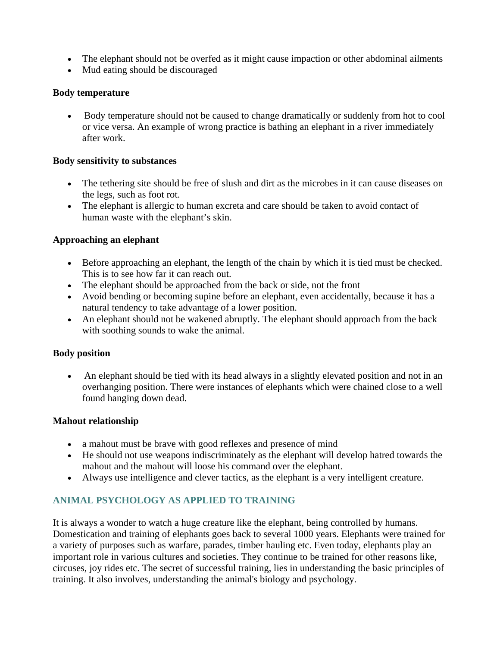- The elephant should not be overfed as it might cause impaction or other abdominal ailments
- Mud eating should be discouraged

#### **Body temperature**

• Body temperature should not be caused to change dramatically or suddenly from hot to cool or vice versa. An example of wrong practice is bathing an elephant in a river immediately after work.

#### **Body sensitivity to substances**

- The tethering site should be free of slush and dirt as the microbes in it can cause diseases on the legs, such as foot rot.
- The elephant is allergic to human excreta and care should be taken to avoid contact of human waste with the elephant's skin.

### **Approaching an elephant**

- Before approaching an elephant, the length of the chain by which it is tied must be checked. This is to see how far it can reach out.
- The elephant should be approached from the back or side, not the front
- Avoid bending or becoming supine before an elephant, even accidentally, because it has a natural tendency to take advantage of a lower position.
- An elephant should not be wakened abruptly. The elephant should approach from the back with soothing sounds to wake the animal.

### **Body position**

• An elephant should be tied with its head always in a slightly elevated position and not in an overhanging position. There were instances of elephants which were chained close to a well found hanging down dead.

### **Mahout relationship**

- a mahout must be brave with good reflexes and presence of mind
- He should not use weapons indiscriminately as the elephant will develop hatred towards the mahout and the mahout will loose his command over the elephant.
- Always use intelligence and clever tactics, as the elephant is a very intelligent creature.

# **ANIMAL PSYCHOLOGY AS APPLIED TO TRAINING**

It is always a wonder to watch a huge creature like the elephant, being controlled by humans. Domestication and training of elephants goes back to several 1000 years. Elephants were trained for a variety of purposes such as warfare, parades, timber hauling etc. Even today, elephants play an important role in various cultures and societies. They continue to be trained for other reasons like, circuses, joy rides etc. The secret of successful training, lies in understanding the basic principles of training. It also involves, understanding the animal's biology and psychology.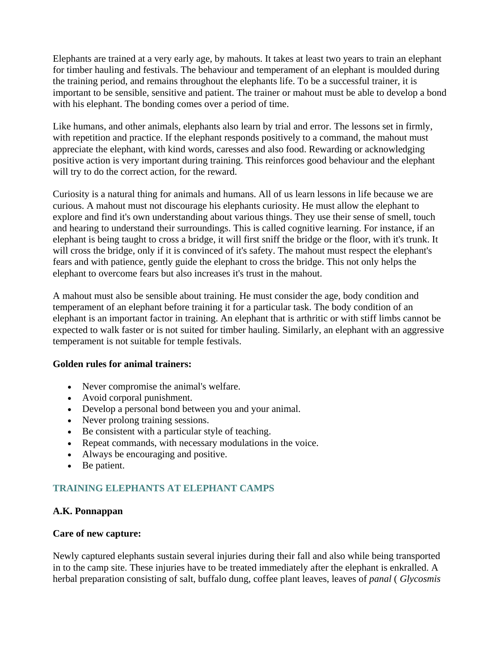Elephants are trained at a very early age, by mahouts. It takes at least two years to train an elephant for timber hauling and festivals. The behaviour and temperament of an elephant is moulded during the training period, and remains throughout the elephants life. To be a successful trainer, it is important to be sensible, sensitive and patient. The trainer or mahout must be able to develop a bond with his elephant. The bonding comes over a period of time.

Like humans, and other animals, elephants also learn by trial and error. The lessons set in firmly, with repetition and practice. If the elephant responds positively to a command, the mahout must appreciate the elephant, with kind words, caresses and also food. Rewarding or acknowledging positive action is very important during training. This reinforces good behaviour and the elephant will try to do the correct action, for the reward.

Curiosity is a natural thing for animals and humans. All of us learn lessons in life because we are curious. A mahout must not discourage his elephants curiosity. He must allow the elephant to explore and find it's own understanding about various things. They use their sense of smell, touch and hearing to understand their surroundings. This is called cognitive learning. For instance, if an elephant is being taught to cross a bridge, it will first sniff the bridge or the floor, with it's trunk. It will cross the bridge, only if it is convinced of it's safety. The mahout must respect the elephant's fears and with patience, gently guide the elephant to cross the bridge. This not only helps the elephant to overcome fears but also increases it's trust in the mahout.

A mahout must also be sensible about training. He must consider the age, body condition and temperament of an elephant before training it for a particular task. The body condition of an elephant is an important factor in training. An elephant that is arthritic or with stiff limbs cannot be expected to walk faster or is not suited for timber hauling. Similarly, an elephant with an aggressive temperament is not suitable for temple festivals.

### **Golden rules for animal trainers:**

- Never compromise the animal's welfare.
- Avoid corporal punishment.
- Develop a personal bond between you and your animal.
- Never prolong training sessions.
- Be consistent with a particular style of teaching.
- Repeat commands, with necessary modulations in the voice.
- Always be encouraging and positive.
- Be patient.

# **TRAINING ELEPHANTS AT ELEPHANT CAMPS**

### **A.K. Ponnappan**

### **Care of new capture:**

Newly captured elephants sustain several injuries during their fall and also while being transported in to the camp site. These injuries have to be treated immediately after the elephant is enkralled. A herbal preparation consisting of salt, buffalo dung, coffee plant leaves, leaves of *panal* ( *Glycosmis*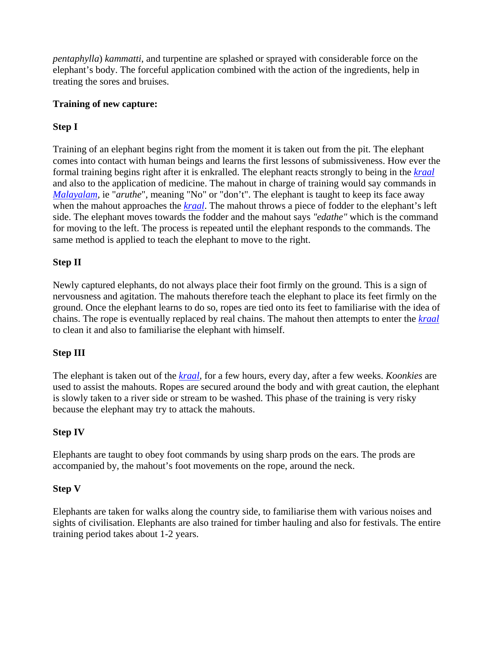*pentaphylla*) *kammatti*, and turpentine are splashed or sprayed with considerable force on the elephant's body. The forceful application combined with the action of the ingredients, help in treating the sores and bruises.

## **Training of new capture:**

## **Step I**

Training of an elephant begins right from the moment it is taken out from the pit. The elephant comes into contact with human beings and learns the first lessons of submissiveness. How ever the formal training begins right after it is enkralled. The elephant reacts strongly to being in the *kraal* and also to the application of medicine. The mahout in charge of training would say commands in *Malayalam*, ie "*aruthe*", meaning "No" or "don't". The elephant is taught to keep its face away when the mahout approaches the *kraal*. The mahout throws a piece of fodder to the elephant's left side. The elephant moves towards the fodder and the mahout says *"edathe"* which is the command for moving to the left. The process is repeated until the elephant responds to the commands. The same method is applied to teach the elephant to move to the right.

## **Step II**

Newly captured elephants, do not always place their foot firmly on the ground. This is a sign of nervousness and agitation. The mahouts therefore teach the elephant to place its feet firmly on the ground. Once the elephant learns to do so, ropes are tied onto its feet to familiarise with the idea of chains. The rope is eventually replaced by real chains. The mahout then attempts to enter the *kraal* to clean it and also to familiarise the elephant with himself.

## **Step III**

The elephant is taken out of the *kraal,* for a few hours, every day, after a few weeks. *Koonkies* are used to assist the mahouts. Ropes are secured around the body and with great caution, the elephant is slowly taken to a river side or stream to be washed. This phase of the training is very risky because the elephant may try to attack the mahouts.

## **Step IV**

Elephants are taught to obey foot commands by using sharp prods on the ears. The prods are accompanied by, the mahout's foot movements on the rope, around the neck.

## **Step V**

Elephants are taken for walks along the country side, to familiarise them with various noises and sights of civilisation. Elephants are also trained for timber hauling and also for festivals. The entire training period takes about 1-2 years.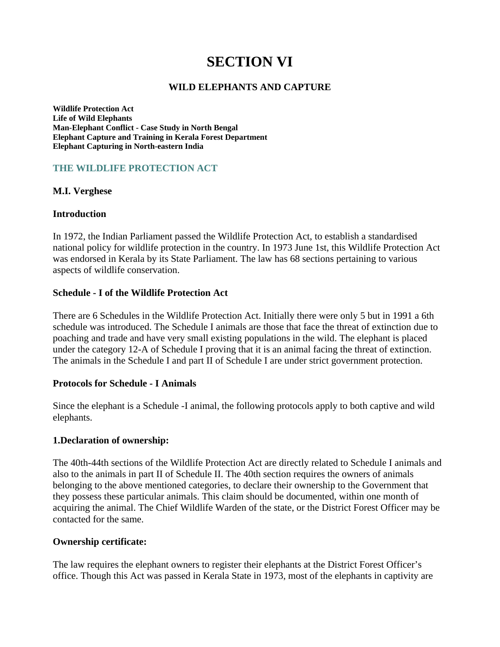# **SECTION VI**

#### **WILD ELEPHANTS AND CAPTURE**

**Wildlife Protection Act Life of Wild Elephants Man-Elephant Conflict - Case Study in North Bengal Elephant Capture and Training in Kerala Forest Department Elephant Capturing in North-eastern India**

#### **THE WILDLIFE PROTECTION ACT**

#### **M.I. Verghese**

#### **Introduction**

In 1972, the Indian Parliament passed the Wildlife Protection Act, to establish a standardised national policy for wildlife protection in the country. In 1973 June 1st, this Wildlife Protection Act was endorsed in Kerala by its State Parliament. The law has 68 sections pertaining to various aspects of wildlife conservation.

#### **Schedule - I of the Wildlife Protection Act**

There are 6 Schedules in the Wildlife Protection Act. Initially there were only 5 but in 1991 a 6th schedule was introduced. The Schedule I animals are those that face the threat of extinction due to poaching and trade and have very small existing populations in the wild. The elephant is placed under the category 12-A of Schedule I proving that it is an animal facing the threat of extinction. The animals in the Schedule I and part II of Schedule I are under strict government protection.

#### **Protocols for Schedule - I Animals**

Since the elephant is a Schedule -I animal, the following protocols apply to both captive and wild elephants.

#### **1.Declaration of ownership:**

The 40th-44th sections of the Wildlife Protection Act are directly related to Schedule I animals and also to the animals in part II of Schedule II. The 40th section requires the owners of animals belonging to the above mentioned categories, to declare their ownership to the Government that they possess these particular animals. This claim should be documented, within one month of acquiring the animal. The Chief Wildlife Warden of the state, or the District Forest Officer may be contacted for the same.

#### **Ownership certificate:**

The law requires the elephant owners to register their elephants at the District Forest Officer's office. Though this Act was passed in Kerala State in 1973, most of the elephants in captivity are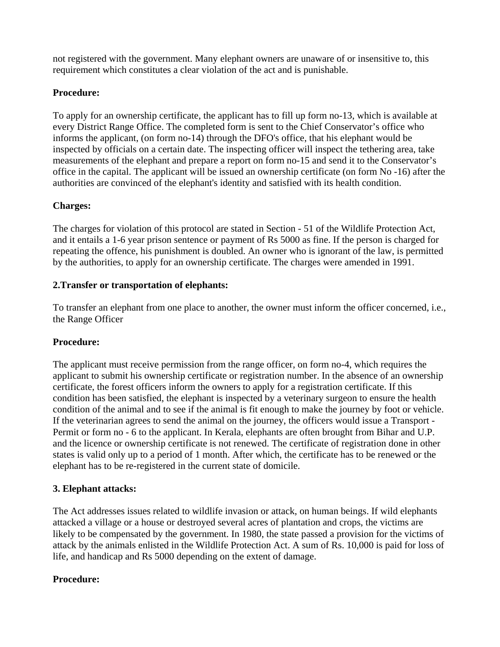not registered with the government. Many elephant owners are unaware of or insensitive to, this requirement which constitutes a clear violation of the act and is punishable.

## **Procedure:**

To apply for an ownership certificate, the applicant has to fill up form no-13, which is available at every District Range Office. The completed form is sent to the Chief Conservator's office who informs the applicant, (on form no-14) through the DFO's office, that his elephant would be inspected by officials on a certain date. The inspecting officer will inspect the tethering area, take measurements of the elephant and prepare a report on form no-15 and send it to the Conservator's office in the capital. The applicant will be issued an ownership certificate (on form No -16) after the authorities are convinced of the elephant's identity and satisfied with its health condition.

## **Charges:**

The charges for violation of this protocol are stated in Section - 51 of the Wildlife Protection Act, and it entails a 1-6 year prison sentence or payment of Rs 5000 as fine. If the person is charged for repeating the offence, his punishment is doubled. An owner who is ignorant of the law, is permitted by the authorities, to apply for an ownership certificate. The charges were amended in 1991.

## **2.Transfer or transportation of elephants:**

To transfer an elephant from one place to another, the owner must inform the officer concerned, i.e., the Range Officer

## **Procedure:**

The applicant must receive permission from the range officer, on form no-4, which requires the applicant to submit his ownership certificate or registration number. In the absence of an ownership certificate, the forest officers inform the owners to apply for a registration certificate. If this condition has been satisfied, the elephant is inspected by a veterinary surgeon to ensure the health condition of the animal and to see if the animal is fit enough to make the journey by foot or vehicle. If the veterinarian agrees to send the animal on the journey, the officers would issue a Transport - Permit or form no - 6 to the applicant. In Kerala, elephants are often brought from Bihar and U.P. and the licence or ownership certificate is not renewed. The certificate of registration done in other states is valid only up to a period of 1 month. After which, the certificate has to be renewed or the elephant has to be re-registered in the current state of domicile.

## **3. Elephant attacks:**

The Act addresses issues related to wildlife invasion or attack, on human beings. If wild elephants attacked a village or a house or destroyed several acres of plantation and crops, the victims are likely to be compensated by the government. In 1980, the state passed a provision for the victims of attack by the animals enlisted in the Wildlife Protection Act. A sum of Rs. 10,000 is paid for loss of life, and handicap and Rs 5000 depending on the extent of damage.

## **Procedure:**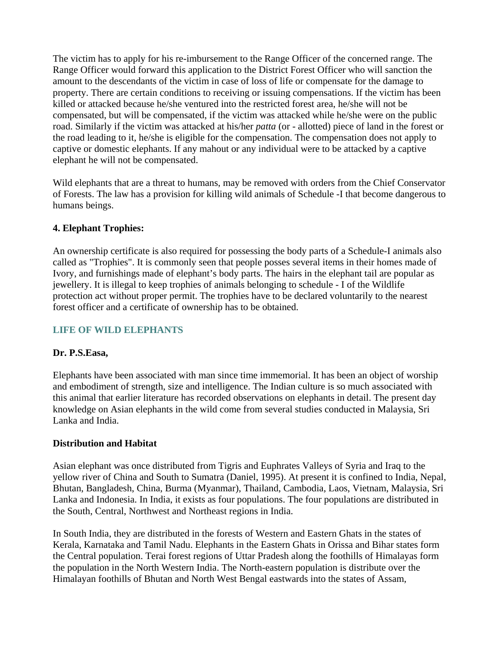The victim has to apply for his re-imbursement to the Range Officer of the concerned range. The Range Officer would forward this application to the District Forest Officer who will sanction the amount to the descendants of the victim in case of loss of life or compensate for the damage to property. There are certain conditions to receiving or issuing compensations. If the victim has been killed or attacked because he/she ventured into the restricted forest area, he/she will not be compensated, but will be compensated, if the victim was attacked while he/she were on the public road. Similarly if the victim was attacked at his/her *patta* (or - allotted) piece of land in the forest or the road leading to it, he/she is eligible for the compensation. The compensation does not apply to captive or domestic elephants. If any mahout or any individual were to be attacked by a captive elephant he will not be compensated.

Wild elephants that are a threat to humans, may be removed with orders from the Chief Conservator of Forests. The law has a provision for killing wild animals of Schedule -I that become dangerous to humans beings.

## **4. Elephant Trophies:**

An ownership certificate is also required for possessing the body parts of a Schedule-I animals also called as "Trophies". It is commonly seen that people posses several items in their homes made of Ivory, and furnishings made of elephant's body parts. The hairs in the elephant tail are popular as jewellery. It is illegal to keep trophies of animals belonging to schedule - I of the Wildlife protection act without proper permit. The trophies have to be declared voluntarily to the nearest forest officer and a certificate of ownership has to be obtained.

## **LIFE OF WILD ELEPHANTS**

## **Dr. P.S.Easa,**

Elephants have been associated with man since time immemorial. It has been an object of worship and embodiment of strength, size and intelligence. The Indian culture is so much associated with this animal that earlier literature has recorded observations on elephants in detail. The present day knowledge on Asian elephants in the wild come from several studies conducted in Malaysia, Sri Lanka and India.

## **Distribution and Habitat**

Asian elephant was once distributed from Tigris and Euphrates Valleys of Syria and Iraq to the yellow river of China and South to Sumatra (Daniel, 1995). At present it is confined to India, Nepal, Bhutan, Bangladesh, China, Burma (Myanmar), Thailand, Cambodia, Laos, Vietnam, Malaysia, Sri Lanka and Indonesia. In India, it exists as four populations. The four populations are distributed in the South, Central, Northwest and Northeast regions in India.

In South India, they are distributed in the forests of Western and Eastern Ghats in the states of Kerala, Karnataka and Tamil Nadu. Elephants in the Eastern Ghats in Orissa and Bihar states form the Central population. Terai forest regions of Uttar Pradesh along the foothills of Himalayas form the population in the North Western India. The North-eastern population is distribute over the Himalayan foothills of Bhutan and North West Bengal eastwards into the states of Assam,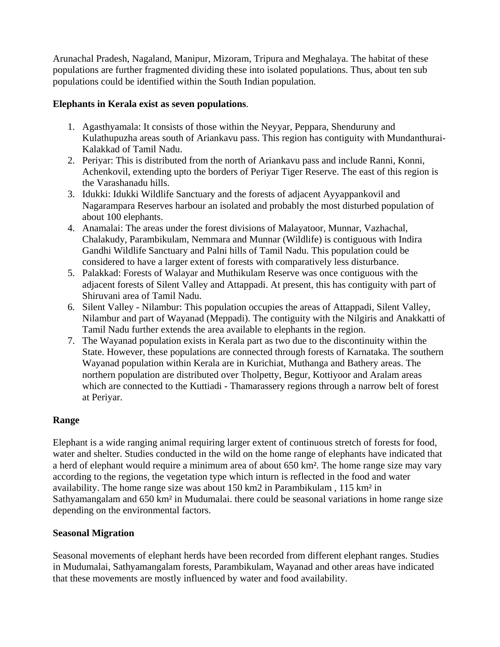Arunachal Pradesh, Nagaland, Manipur, Mizoram, Tripura and Meghalaya. The habitat of these populations are further fragmented dividing these into isolated populations. Thus, about ten sub populations could be identified within the South Indian population.

## **Elephants in Kerala exist as seven populations**.

- 1. Agasthyamala: It consists of those within the Neyyar, Peppara, Shenduruny and Kulathupuzha areas south of Ariankavu pass. This region has contiguity with Mundanthurai-Kalakkad of Tamil Nadu.
- 2. Periyar: This is distributed from the north of Ariankavu pass and include Ranni, Konni, Achenkovil, extending upto the borders of Periyar Tiger Reserve. The east of this region is the Varashanadu hills.
- 3. Idukki: Idukki Wildlife Sanctuary and the forests of adjacent Ayyappankovil and Nagarampara Reserves harbour an isolated and probably the most disturbed population of about 100 elephants.
- 4. Anamalai: The areas under the forest divisions of Malayatoor, Munnar, Vazhachal, Chalakudy, Parambikulam, Nemmara and Munnar (Wildlife) is contiguous with Indira Gandhi Wildlife Sanctuary and Palni hills of Tamil Nadu. This population could be considered to have a larger extent of forests with comparatively less disturbance.
- 5. Palakkad: Forests of Walayar and Muthikulam Reserve was once contiguous with the adjacent forests of Silent Valley and Attappadi. At present, this has contiguity with part of Shiruvani area of Tamil Nadu.
- 6. Silent Valley Nilambur: This population occupies the areas of Attappadi, Silent Valley, Nilambur and part of Wayanad (Meppadi). The contiguity with the Nilgiris and Anakkatti of Tamil Nadu further extends the area available to elephants in the region.
- 7. The Wayanad population exists in Kerala part as two due to the discontinuity within the State. However, these populations are connected through forests of Karnataka. The southern Wayanad population within Kerala are in Kurichiat, Muthanga and Bathery areas. The northern population are distributed over Tholpetty, Begur, Kottiyoor and Aralam areas which are connected to the Kuttiadi - Thamarassery regions through a narrow belt of forest at Periyar.

## **Range**

Elephant is a wide ranging animal requiring larger extent of continuous stretch of forests for food, water and shelter. Studies conducted in the wild on the home range of elephants have indicated that a herd of elephant would require a minimum area of about 650 km². The home range size may vary according to the regions, the vegetation type which inturn is reflected in the food and water availability. The home range size was about 150 km2 in Parambikulam , 115 km² in Sathyamangalam and 650 km<sup>2</sup> in Mudumalai. there could be seasonal variations in home range size depending on the environmental factors.

## **Seasonal Migration**

Seasonal movements of elephant herds have been recorded from different elephant ranges. Studies in Mudumalai, Sathyamangalam forests, Parambikulam, Wayanad and other areas have indicated that these movements are mostly influenced by water and food availability.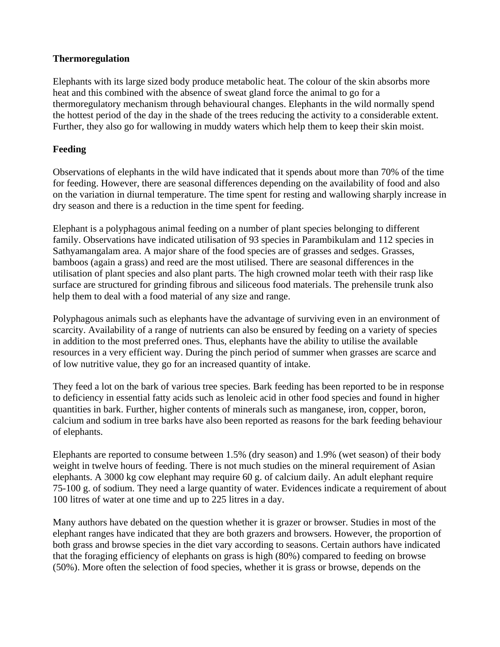#### **Thermoregulation**

Elephants with its large sized body produce metabolic heat. The colour of the skin absorbs more heat and this combined with the absence of sweat gland force the animal to go for a thermoregulatory mechanism through behavioural changes. Elephants in the wild normally spend the hottest period of the day in the shade of the trees reducing the activity to a considerable extent. Further, they also go for wallowing in muddy waters which help them to keep their skin moist.

## **Feeding**

Observations of elephants in the wild have indicated that it spends about more than 70% of the time for feeding. However, there are seasonal differences depending on the availability of food and also on the variation in diurnal temperature. The time spent for resting and wallowing sharply increase in dry season and there is a reduction in the time spent for feeding.

Elephant is a polyphagous animal feeding on a number of plant species belonging to different family. Observations have indicated utilisation of 93 species in Parambikulam and 112 species in Sathyamangalam area. A major share of the food species are of grasses and sedges. Grasses, bamboos (again a grass) and reed are the most utilised. There are seasonal differences in the utilisation of plant species and also plant parts. The high crowned molar teeth with their rasp like surface are structured for grinding fibrous and siliceous food materials. The prehensile trunk also help them to deal with a food material of any size and range.

Polyphagous animals such as elephants have the advantage of surviving even in an environment of scarcity. Availability of a range of nutrients can also be ensured by feeding on a variety of species in addition to the most preferred ones. Thus, elephants have the ability to utilise the available resources in a very efficient way. During the pinch period of summer when grasses are scarce and of low nutritive value, they go for an increased quantity of intake.

They feed a lot on the bark of various tree species. Bark feeding has been reported to be in response to deficiency in essential fatty acids such as lenoleic acid in other food species and found in higher quantities in bark. Further, higher contents of minerals such as manganese, iron, copper, boron, calcium and sodium in tree barks have also been reported as reasons for the bark feeding behaviour of elephants.

Elephants are reported to consume between 1.5% (dry season) and 1.9% (wet season) of their body weight in twelve hours of feeding. There is not much studies on the mineral requirement of Asian elephants. A 3000 kg cow elephant may require 60 g. of calcium daily. An adult elephant require 75-100 g. of sodium. They need a large quantity of water. Evidences indicate a requirement of about 100 litres of water at one time and up to 225 litres in a day.

Many authors have debated on the question whether it is grazer or browser. Studies in most of the elephant ranges have indicated that they are both grazers and browsers. However, the proportion of both grass and browse species in the diet vary according to seasons. Certain authors have indicated that the foraging efficiency of elephants on grass is high (80%) compared to feeding on browse (50%). More often the selection of food species, whether it is grass or browse, depends on the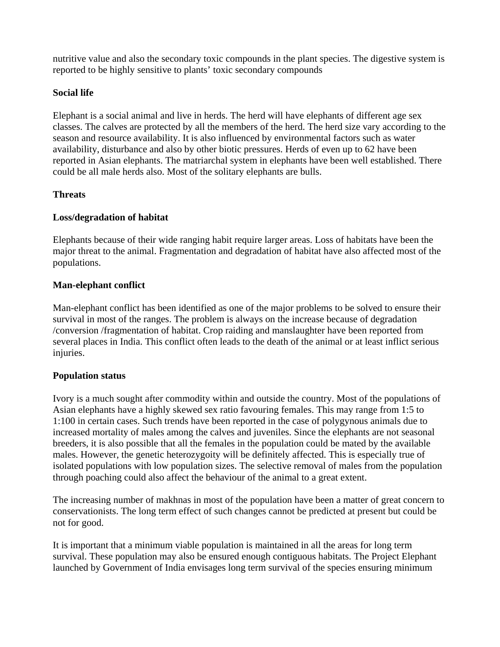nutritive value and also the secondary toxic compounds in the plant species. The digestive system is reported to be highly sensitive to plants' toxic secondary compounds

## **Social life**

Elephant is a social animal and live in herds. The herd will have elephants of different age sex classes. The calves are protected by all the members of the herd. The herd size vary according to the season and resource availability. It is also influenced by environmental factors such as water availability, disturbance and also by other biotic pressures. Herds of even up to 62 have been reported in Asian elephants. The matriarchal system in elephants have been well established. There could be all male herds also. Most of the solitary elephants are bulls.

## **Threats**

## **Loss/degradation of habitat**

Elephants because of their wide ranging habit require larger areas. Loss of habitats have been the major threat to the animal. Fragmentation and degradation of habitat have also affected most of the populations.

## **Man-elephant conflict**

Man-elephant conflict has been identified as one of the major problems to be solved to ensure their survival in most of the ranges. The problem is always on the increase because of degradation /conversion /fragmentation of habitat. Crop raiding and manslaughter have been reported from several places in India. This conflict often leads to the death of the animal or at least inflict serious injuries.

## **Population status**

Ivory is a much sought after commodity within and outside the country. Most of the populations of Asian elephants have a highly skewed sex ratio favouring females. This may range from 1:5 to 1:100 in certain cases. Such trends have been reported in the case of polygynous animals due to increased mortality of males among the calves and juveniles. Since the elephants are not seasonal breeders, it is also possible that all the females in the population could be mated by the available males. However, the genetic heterozygoity will be definitely affected. This is especially true of isolated populations with low population sizes. The selective removal of males from the population through poaching could also affect the behaviour of the animal to a great extent.

The increasing number of makhnas in most of the population have been a matter of great concern to conservationists. The long term effect of such changes cannot be predicted at present but could be not for good.

It is important that a minimum viable population is maintained in all the areas for long term survival. These population may also be ensured enough contiguous habitats. The Project Elephant launched by Government of India envisages long term survival of the species ensuring minimum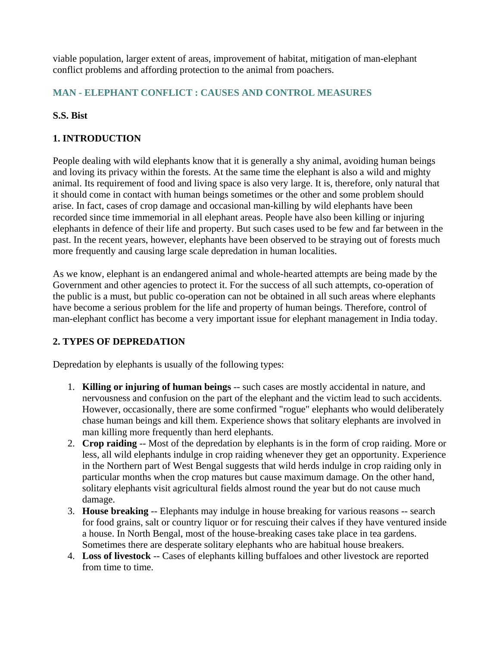viable population, larger extent of areas, improvement of habitat, mitigation of man-elephant conflict problems and affording protection to the animal from poachers.

## **MAN - ELEPHANT CONFLICT : CAUSES AND CONTROL MEASURES**

## **S.S. Bist**

## **1. INTRODUCTION**

People dealing with wild elephants know that it is generally a shy animal, avoiding human beings and loving its privacy within the forests. At the same time the elephant is also a wild and mighty animal. Its requirement of food and living space is also very large. It is, therefore, only natural that it should come in contact with human beings sometimes or the other and some problem should arise. In fact, cases of crop damage and occasional man-killing by wild elephants have been recorded since time immemorial in all elephant areas. People have also been killing or injuring elephants in defence of their life and property. But such cases used to be few and far between in the past. In the recent years, however, elephants have been observed to be straying out of forests much more frequently and causing large scale depredation in human localities.

As we know, elephant is an endangered animal and whole-hearted attempts are being made by the Government and other agencies to protect it. For the success of all such attempts, co-operation of the public is a must, but public co-operation can not be obtained in all such areas where elephants have become a serious problem for the life and property of human beings. Therefore, control of man-elephant conflict has become a very important issue for elephant management in India today.

## **2. TYPES OF DEPREDATION**

Depredation by elephants is usually of the following types:

- 1. **Killing or injuring of human beings** -- such cases are mostly accidental in nature, and nervousness and confusion on the part of the elephant and the victim lead to such accidents. However, occasionally, there are some confirmed "rogue" elephants who would deliberately chase human beings and kill them. Experience shows that solitary elephants are involved in man killing more frequently than herd elephants.
- 2. **Crop raiding** -- Most of the depredation by elephants is in the form of crop raiding. More or less, all wild elephants indulge in crop raiding whenever they get an opportunity. Experience in the Northern part of West Bengal suggests that wild herds indulge in crop raiding only in particular months when the crop matures but cause maximum damage. On the other hand, solitary elephants visit agricultural fields almost round the year but do not cause much damage.
- 3. **House breaking** -- Elephants may indulge in house breaking for various reasons -- search for food grains, salt or country liquor or for rescuing their calves if they have ventured inside a house. In North Bengal, most of the house-breaking cases take place in tea gardens. Sometimes there are desperate solitary elephants who are habitual house breakers.
- 4. **Loss of livestock** -- Cases of elephants killing buffaloes and other livestock are reported from time to time.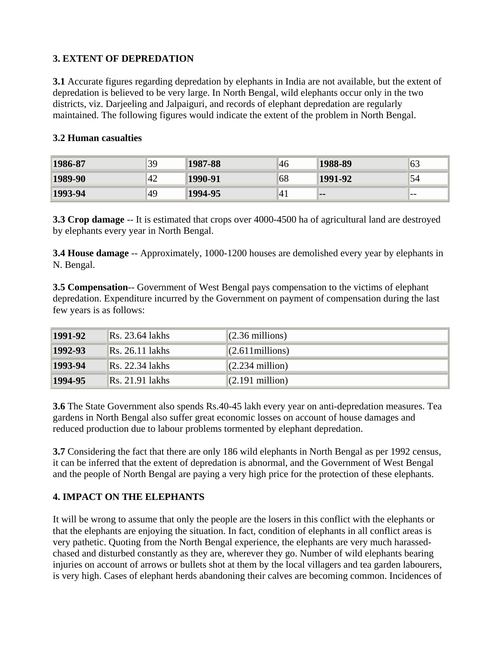## **3. EXTENT OF DEPREDATION**

**3.1** Accurate figures regarding depredation by elephants in India are not available, but the extent of depredation is believed to be very large. In North Bengal, wild elephants occur only in the two districts, viz. Darjeeling and Jalpaiguri, and records of elephant depredation are regularly maintained. The following figures would indicate the extent of the problem in North Bengal.

#### **3.2 Human casualties**

| 1986-87 | 39  | 1987-88 | 46            | 1988-89 | 63 |
|---------|-----|---------|---------------|---------|----|
| 1989-90 | '42 | 1990-91 | 68            | 1991-92 | 54 |
| 1993-94 | 49  | 1994-95 | <sup>41</sup> | . .     | -- |

**3.3 Crop damage** -- It is estimated that crops over 4000-4500 ha of agricultural land are destroyed by elephants every year in North Bengal.

**3.4 House damage** -- Approximately, 1000-1200 houses are demolished every year by elephants in N. Bengal.

**3.5 Compensation**-- Government of West Bengal pays compensation to the victims of elephant depredation. Expenditure incurred by the Government on payment of compensation during the last few years is as follows:

| 1991-92 | Rs. 23.64 lakhs                   | $(2.36$ millions)  |
|---------|-----------------------------------|--------------------|
| 1992-93 | $\text{Rs. } 26.11 \text{ lakhs}$ | $(2.611$ millions) |
| 1993-94 | Rs. 22.34 lakhs                   | $(2.234$ million)  |
| 1994-95 | $\text{Rs. } 21.91 \text{ lakhs}$ | $(2.191$ million)  |

**3.6** The State Government also spends Rs.40-45 lakh every year on anti-depredation measures. Tea gardens in North Bengal also suffer great economic losses on account of house damages and reduced production due to labour problems tormented by elephant depredation.

**3.7** Considering the fact that there are only 186 wild elephants in North Bengal as per 1992 census, it can be inferred that the extent of depredation is abnormal, and the Government of West Bengal and the people of North Bengal are paying a very high price for the protection of these elephants.

## **4. IMPACT ON THE ELEPHANTS**

It will be wrong to assume that only the people are the losers in this conflict with the elephants or that the elephants are enjoying the situation. In fact, condition of elephants in all conflict areas is very pathetic. Quoting from the North Bengal experience, the elephants are very much harassedchased and disturbed constantly as they are, wherever they go. Number of wild elephants bearing injuries on account of arrows or bullets shot at them by the local villagers and tea garden labourers, is very high. Cases of elephant herds abandoning their calves are becoming common. Incidences of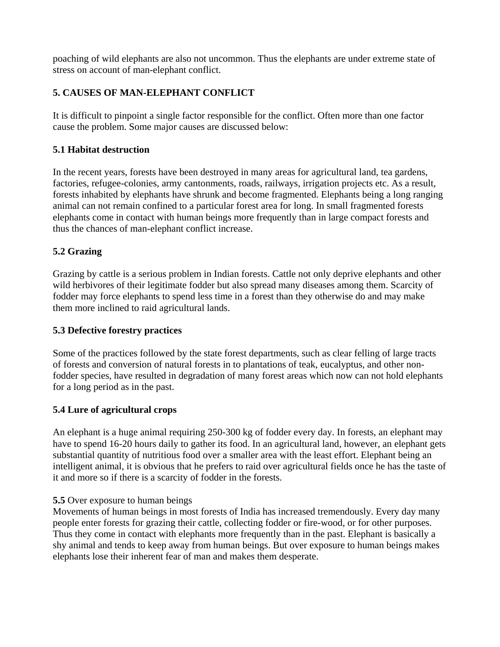poaching of wild elephants are also not uncommon. Thus the elephants are under extreme state of stress on account of man-elephant conflict.

## **5. CAUSES OF MAN-ELEPHANT CONFLICT**

It is difficult to pinpoint a single factor responsible for the conflict. Often more than one factor cause the problem. Some major causes are discussed below:

## **5.1 Habitat destruction**

In the recent years, forests have been destroyed in many areas for agricultural land, tea gardens, factories, refugee-colonies, army cantonments, roads, railways, irrigation projects etc. As a result, forests inhabited by elephants have shrunk and become fragmented. Elephants being a long ranging animal can not remain confined to a particular forest area for long. In small fragmented forests elephants come in contact with human beings more frequently than in large compact forests and thus the chances of man-elephant conflict increase.

## **5.2 Grazing**

Grazing by cattle is a serious problem in Indian forests. Cattle not only deprive elephants and other wild herbivores of their legitimate fodder but also spread many diseases among them. Scarcity of fodder may force elephants to spend less time in a forest than they otherwise do and may make them more inclined to raid agricultural lands.

## **5.3 Defective forestry practices**

Some of the practices followed by the state forest departments, such as clear felling of large tracts of forests and conversion of natural forests in to plantations of teak, eucalyptus, and other nonfodder species, have resulted in degradation of many forest areas which now can not hold elephants for a long period as in the past.

## **5.4 Lure of agricultural crops**

An elephant is a huge animal requiring 250-300 kg of fodder every day. In forests, an elephant may have to spend 16-20 hours daily to gather its food. In an agricultural land, however, an elephant gets substantial quantity of nutritious food over a smaller area with the least effort. Elephant being an intelligent animal, it is obvious that he prefers to raid over agricultural fields once he has the taste of it and more so if there is a scarcity of fodder in the forests.

## **5.5** Over exposure to human beings

Movements of human beings in most forests of India has increased tremendously. Every day many people enter forests for grazing their cattle, collecting fodder or fire-wood, or for other purposes. Thus they come in contact with elephants more frequently than in the past. Elephant is basically a shy animal and tends to keep away from human beings. But over exposure to human beings makes elephants lose their inherent fear of man and makes them desperate.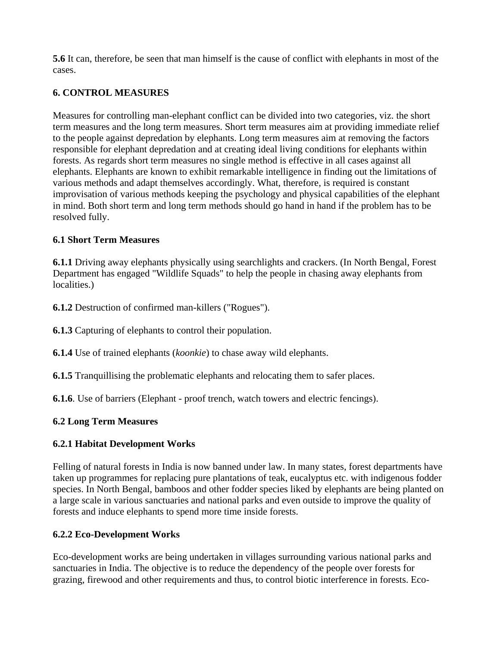**5.6** It can, therefore, be seen that man himself is the cause of conflict with elephants in most of the cases.

## **6. CONTROL MEASURES**

Measures for controlling man-elephant conflict can be divided into two categories, viz. the short term measures and the long term measures. Short term measures aim at providing immediate relief to the people against depredation by elephants. Long term measures aim at removing the factors responsible for elephant depredation and at creating ideal living conditions for elephants within forests. As regards short term measures no single method is effective in all cases against all elephants. Elephants are known to exhibit remarkable intelligence in finding out the limitations of various methods and adapt themselves accordingly. What, therefore, is required is constant improvisation of various methods keeping the psychology and physical capabilities of the elephant in mind. Both short term and long term methods should go hand in hand if the problem has to be resolved fully.

## **6.1 Short Term Measures**

**6.1.1** Driving away elephants physically using searchlights and crackers. (In North Bengal, Forest Department has engaged "Wildlife Squads" to help the people in chasing away elephants from localities.)

**6.1.2** Destruction of confirmed man-killers ("Rogues").

**6.1.3** Capturing of elephants to control their population.

**6.1.4** Use of trained elephants (*koonkie*) to chase away wild elephants.

**6.1.5** Tranquillising the problematic elephants and relocating them to safer places.

**6.1.6**. Use of barriers (Elephant - proof trench, watch towers and electric fencings).

## **6.2 Long Term Measures**

## **6.2.1 Habitat Development Works**

Felling of natural forests in India is now banned under law. In many states, forest departments have taken up programmes for replacing pure plantations of teak, eucalyptus etc. with indigenous fodder species. In North Bengal, bamboos and other fodder species liked by elephants are being planted on a large scale in various sanctuaries and national parks and even outside to improve the quality of forests and induce elephants to spend more time inside forests.

## **6.2.2 Eco-Development Works**

Eco-development works are being undertaken in villages surrounding various national parks and sanctuaries in India. The objective is to reduce the dependency of the people over forests for grazing, firewood and other requirements and thus, to control biotic interference in forests. Eco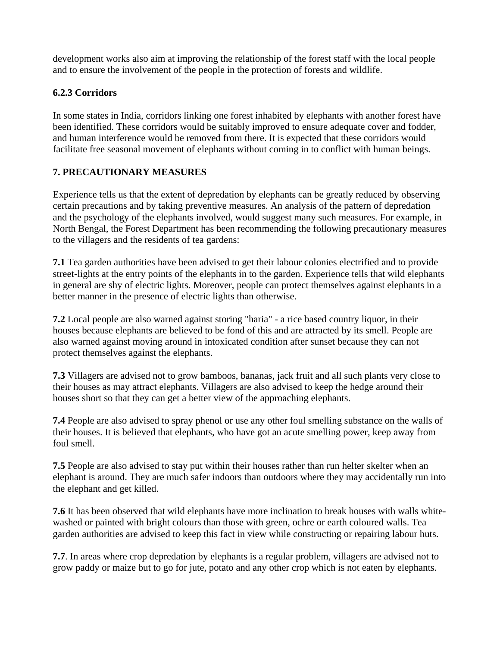development works also aim at improving the relationship of the forest staff with the local people and to ensure the involvement of the people in the protection of forests and wildlife.

## **6.2.3 Corridors**

In some states in India, corridors linking one forest inhabited by elephants with another forest have been identified. These corridors would be suitably improved to ensure adequate cover and fodder, and human interference would be removed from there. It is expected that these corridors would facilitate free seasonal movement of elephants without coming in to conflict with human beings.

## **7. PRECAUTIONARY MEASURES**

Experience tells us that the extent of depredation by elephants can be greatly reduced by observing certain precautions and by taking preventive measures. An analysis of the pattern of depredation and the psychology of the elephants involved, would suggest many such measures. For example, in North Bengal, the Forest Department has been recommending the following precautionary measures to the villagers and the residents of tea gardens:

**7.1** Tea garden authorities have been advised to get their labour colonies electrified and to provide street-lights at the entry points of the elephants in to the garden. Experience tells that wild elephants in general are shy of electric lights. Moreover, people can protect themselves against elephants in a better manner in the presence of electric lights than otherwise.

**7.2** Local people are also warned against storing "haria" - a rice based country liquor, in their houses because elephants are believed to be fond of this and are attracted by its smell. People are also warned against moving around in intoxicated condition after sunset because they can not protect themselves against the elephants.

**7.3** Villagers are advised not to grow bamboos, bananas, jack fruit and all such plants very close to their houses as may attract elephants. Villagers are also advised to keep the hedge around their houses short so that they can get a better view of the approaching elephants.

**7.4** People are also advised to spray phenol or use any other foul smelling substance on the walls of their houses. It is believed that elephants, who have got an acute smelling power, keep away from foul smell.

**7.5** People are also advised to stay put within their houses rather than run helter skelter when an elephant is around. They are much safer indoors than outdoors where they may accidentally run into the elephant and get killed.

**7.6** It has been observed that wild elephants have more inclination to break houses with walls whitewashed or painted with bright colours than those with green, ochre or earth coloured walls. Tea garden authorities are advised to keep this fact in view while constructing or repairing labour huts.

**7.7**. In areas where crop depredation by elephants is a regular problem, villagers are advised not to grow paddy or maize but to go for jute, potato and any other crop which is not eaten by elephants.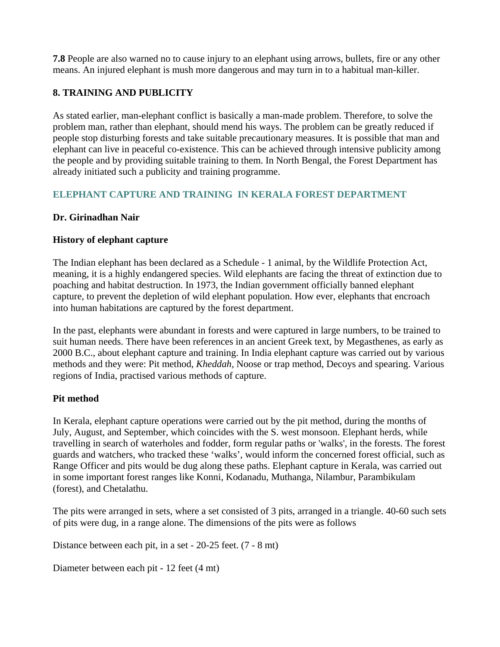**7.8** People are also warned no to cause injury to an elephant using arrows, bullets, fire or any other means. An injured elephant is mush more dangerous and may turn in to a habitual man-killer.

## **8. TRAINING AND PUBLICITY**

As stated earlier, man-elephant conflict is basically a man-made problem. Therefore, to solve the problem man, rather than elephant, should mend his ways. The problem can be greatly reduced if people stop disturbing forests and take suitable precautionary measures. It is possible that man and elephant can live in peaceful co-existence. This can be achieved through intensive publicity among the people and by providing suitable training to them. In North Bengal, the Forest Department has already initiated such a publicity and training programme.

## **ELEPHANT CAPTURE AND TRAINING IN KERALA FOREST DEPARTMENT**

## **Dr. Girinadhan Nair**

## **History of elephant capture**

The Indian elephant has been declared as a Schedule - 1 animal, by the Wildlife Protection Act, meaning, it is a highly endangered species. Wild elephants are facing the threat of extinction due to poaching and habitat destruction. In 1973, the Indian government officially banned elephant capture, to prevent the depletion of wild elephant population. How ever, elephants that encroach into human habitations are captured by the forest department.

In the past, elephants were abundant in forests and were captured in large numbers, to be trained to suit human needs. There have been references in an ancient Greek text, by Megasthenes, as early as 2000 B.C., about elephant capture and training. In India elephant capture was carried out by various methods and they were: Pit method, *Kheddah,* Noose or trap method, Decoys and spearing. Various regions of India, practised various methods of capture.

## **Pit method**

In Kerala, elephant capture operations were carried out by the pit method, during the months of July, August, and September, which coincides with the S. west monsoon. Elephant herds, while travelling in search of waterholes and fodder, form regular paths or 'walks', in the forests. The forest guards and watchers, who tracked these 'walks', would inform the concerned forest official, such as Range Officer and pits would be dug along these paths. Elephant capture in Kerala, was carried out in some important forest ranges like Konni, Kodanadu, Muthanga, Nilambur, Parambikulam (forest), and Chetalathu.

The pits were arranged in sets, where a set consisted of 3 pits, arranged in a triangle. 40-60 such sets of pits were dug, in a range alone. The dimensions of the pits were as follows

Distance between each pit, in a set - 20-25 feet. (7 - 8 mt)

Diameter between each pit - 12 feet (4 mt)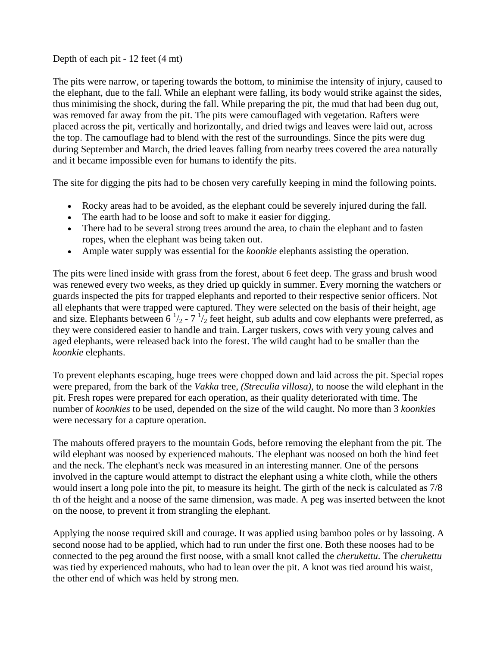#### Depth of each pit - 12 feet (4 mt)

The pits were narrow, or tapering towards the bottom, to minimise the intensity of injury, caused to the elephant, due to the fall. While an elephant were falling, its body would strike against the sides, thus minimising the shock, during the fall. While preparing the pit, the mud that had been dug out, was removed far away from the pit. The pits were camouflaged with vegetation. Rafters were placed across the pit, vertically and horizontally, and dried twigs and leaves were laid out, across the top. The camouflage had to blend with the rest of the surroundings. Since the pits were dug during September and March, the dried leaves falling from nearby trees covered the area naturally and it became impossible even for humans to identify the pits.

The site for digging the pits had to be chosen very carefully keeping in mind the following points.

- Rocky areas had to be avoided, as the elephant could be severely injured during the fall.
- The earth had to be loose and soft to make it easier for digging.
- There had to be several strong trees around the area, to chain the elephant and to fasten ropes, when the elephant was being taken out.
- Ample water supply was essential for the *koonkie* elephants assisting the operation.

The pits were lined inside with grass from the forest, about 6 feet deep. The grass and brush wood was renewed every two weeks, as they dried up quickly in summer. Every morning the watchers or guards inspected the pits for trapped elephants and reported to their respective senior officers. Not all elephants that were trapped were captured. They were selected on the basis of their height, age and size. Elephants between 6<sup> $1/2$ </sup> - 7<sup> $1/2$ </sup> feet height, sub adults and cow elephants were preferred, as they were considered easier to handle and train. Larger tuskers, cows with very young calves and aged elephants, were released back into the forest. The wild caught had to be smaller than the *koonkie* elephants.

To prevent elephants escaping, huge trees were chopped down and laid across the pit. Special ropes were prepared, from the bark of the *Vakka* tree, *(Streculia villosa)*, to noose the wild elephant in the pit. Fresh ropes were prepared for each operation, as their quality deteriorated with time. The number of *koonkies* to be used, depended on the size of the wild caught. No more than 3 *koonkies* were necessary for a capture operation.

The mahouts offered prayers to the mountain Gods, before removing the elephant from the pit. The wild elephant was noosed by experienced mahouts. The elephant was noosed on both the hind feet and the neck. The elephant's neck was measured in an interesting manner. One of the persons involved in the capture would attempt to distract the elephant using a white cloth, while the others would insert a long pole into the pit, to measure its height. The girth of the neck is calculated as 7/8 th of the height and a noose of the same dimension, was made. A peg was inserted between the knot on the noose, to prevent it from strangling the elephant.

Applying the noose required skill and courage. It was applied using bamboo poles or by lassoing. A second noose had to be applied, which had to run under the first one. Both these nooses had to be connected to the peg around the first noose, with a small knot called the *cherukettu*. The *cherukettu*  was tied by experienced mahouts, who had to lean over the pit. A knot was tied around his waist, the other end of which was held by strong men.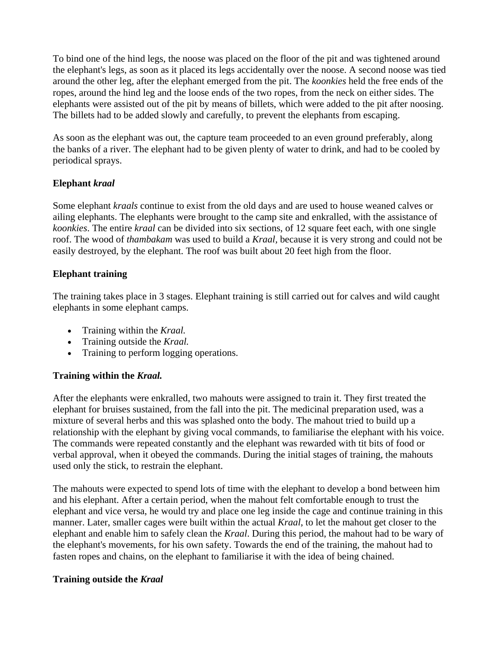To bind one of the hind legs, the noose was placed on the floor of the pit and was tightened around the elephant's legs, as soon as it placed its legs accidentally over the noose. A second noose was tied around the other leg, after the elephant emerged from the pit. The *koonkies* held the free ends of the ropes, around the hind leg and the loose ends of the two ropes, from the neck on either sides. The elephants were assisted out of the pit by means of billets, which were added to the pit after noosing. The billets had to be added slowly and carefully, to prevent the elephants from escaping.

As soon as the elephant was out, the capture team proceeded to an even ground preferably, along the banks of a river. The elephant had to be given plenty of water to drink, and had to be cooled by periodical sprays.

## **Elephant** *kraal*

Some elephant *kraals* continue to exist from the old days and are used to house weaned calves or ailing elephants. The elephants were brought to the camp site and enkralled, with the assistance of *koonkies*. The entire *kraal* can be divided into six sections, of 12 square feet each, with one single roof. The wood of *thambakam* was used to build a *Kraal,* because it is very strong and could not be easily destroyed, by the elephant. The roof was built about 20 feet high from the floor.

## **Elephant training**

The training takes place in 3 stages. Elephant training is still carried out for calves and wild caught elephants in some elephant camps.

- Training within the *Kraal.*
- Training outside the *Kraal.*
- Training to perform logging operations.

## **Training within the** *Kraal.*

After the elephants were enkralled, two mahouts were assigned to train it. They first treated the elephant for bruises sustained, from the fall into the pit. The medicinal preparation used, was a mixture of several herbs and this was splashed onto the body. The mahout tried to build up a relationship with the elephant by giving vocal commands, to familiarise the elephant with his voice. The commands were repeated constantly and the elephant was rewarded with tit bits of food or verbal approval, when it obeyed the commands. During the initial stages of training, the mahouts used only the stick, to restrain the elephant.

The mahouts were expected to spend lots of time with the elephant to develop a bond between him and his elephant. After a certain period, when the mahout felt comfortable enough to trust the elephant and vice versa, he would try and place one leg inside the cage and continue training in this manner. Later, smaller cages were built within the actual *Kraal*, to let the mahout get closer to the elephant and enable him to safely clean the *Kraal*. During this period, the mahout had to be wary of the elephant's movements, for his own safety. Towards the end of the training, the mahout had to fasten ropes and chains, on the elephant to familiarise it with the idea of being chained.

## **Training outside the** *Kraal*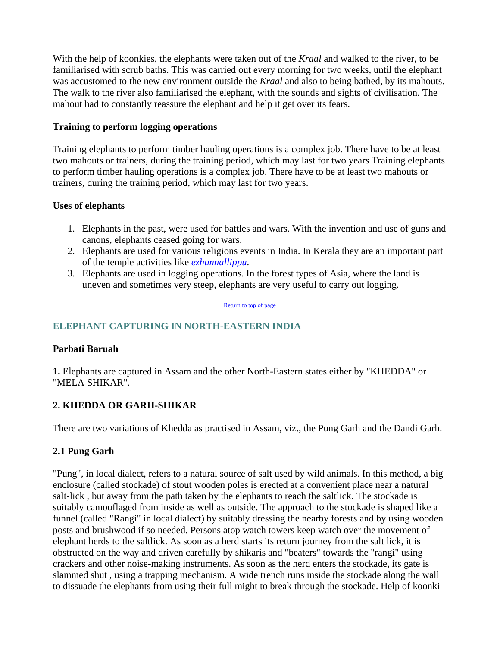With the help of koonkies, the elephants were taken out of the *Kraal* and walked to the river, to be familiarised with scrub baths. This was carried out every morning for two weeks, until the elephant was accustomed to the new environment outside the *Kraal* and also to being bathed, by its mahouts. The walk to the river also familiarised the elephant, with the sounds and sights of civilisation. The mahout had to constantly reassure the elephant and help it get over its fears.

#### **Training to perform logging operations**

Training elephants to perform timber hauling operations is a complex job. There have to be at least two mahouts or trainers, during the training period, which may last for two years Training elephants to perform timber hauling operations is a complex job. There have to be at least two mahouts or trainers, during the training period, which may last for two years.

#### **Uses of elephants**

- 1. Elephants in the past, were used for battles and wars. With the invention and use of guns and canons, elephants ceased going for wars.
- 2. Elephants are used for various religions events in India. In Kerala they are an important part of the temple activities like *ezhunnallippu*.
- 3. Elephants are used in logging operations. In the forest types of Asia, where the land is uneven and sometimes very steep, elephants are very useful to carry out logging.

#### Return to top of page

## **ELEPHANT CAPTURING IN NORTH-EASTERN INDIA**

#### **Parbati Baruah**

**1.** Elephants are captured in Assam and the other North-Eastern states either by "KHEDDA" or "MELA SHIKAR".

## **2. KHEDDA OR GARH-SHIKAR**

There are two variations of Khedda as practised in Assam, viz., the Pung Garh and the Dandi Garh.

## **2.1 Pung Garh**

"Pung", in local dialect, refers to a natural source of salt used by wild animals. In this method, a big enclosure (called stockade) of stout wooden poles is erected at a convenient place near a natural salt-lick , but away from the path taken by the elephants to reach the saltlick. The stockade is suitably camouflaged from inside as well as outside. The approach to the stockade is shaped like a funnel (called "Rangi" in local dialect) by suitably dressing the nearby forests and by using wooden posts and brushwood if so needed. Persons atop watch towers keep watch over the movement of elephant herds to the saltlick. As soon as a herd starts its return journey from the salt lick, it is obstructed on the way and driven carefully by shikaris and "beaters" towards the "rangi" using crackers and other noise-making instruments. As soon as the herd enters the stockade, its gate is slammed shut , using a trapping mechanism. A wide trench runs inside the stockade along the wall to dissuade the elephants from using their full might to break through the stockade. Help of koonki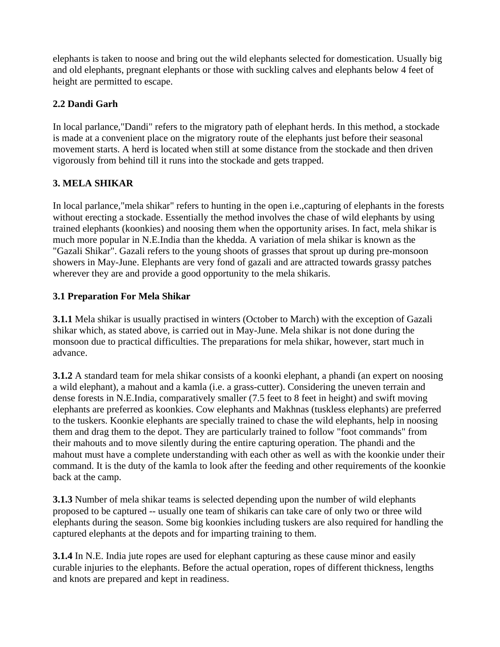elephants is taken to noose and bring out the wild elephants selected for domestication. Usually big and old elephants, pregnant elephants or those with suckling calves and elephants below 4 feet of height are permitted to escape.

## **2.2 Dandi Garh**

In local parlance,"Dandi" refers to the migratory path of elephant herds. In this method, a stockade is made at a convenient place on the migratory route of the elephants just before their seasonal movement starts. A herd is located when still at some distance from the stockade and then driven vigorously from behind till it runs into the stockade and gets trapped.

## **3. MELA SHIKAR**

In local parlance,"mela shikar" refers to hunting in the open i.e.,capturing of elephants in the forests without erecting a stockade. Essentially the method involves the chase of wild elephants by using trained elephants (koonkies) and noosing them when the opportunity arises. In fact, mela shikar is much more popular in N.E.India than the khedda. A variation of mela shikar is known as the "Gazali Shikar". Gazali refers to the young shoots of grasses that sprout up during pre-monsoon showers in May-June. Elephants are very fond of gazali and are attracted towards grassy patches wherever they are and provide a good opportunity to the mela shikaris.

## **3.1 Preparation For Mela Shikar**

**3.1.1** Mela shikar is usually practised in winters (October to March) with the exception of Gazali shikar which, as stated above, is carried out in May-June. Mela shikar is not done during the monsoon due to practical difficulties. The preparations for mela shikar, however, start much in advance.

**3.1.2** A standard team for mela shikar consists of a koonki elephant, a phandi (an expert on noosing a wild elephant), a mahout and a kamla (i.e. a grass-cutter). Considering the uneven terrain and dense forests in N.E.India, comparatively smaller (7.5 feet to 8 feet in height) and swift moving elephants are preferred as koonkies. Cow elephants and Makhnas (tuskless elephants) are preferred to the tuskers. Koonkie elephants are specially trained to chase the wild elephants, help in noosing them and drag them to the depot. They are particularly trained to follow "foot commands" from their mahouts and to move silently during the entire capturing operation. The phandi and the mahout must have a complete understanding with each other as well as with the koonkie under their command. It is the duty of the kamla to look after the feeding and other requirements of the koonkie back at the camp.

**3.1.3** Number of mela shikar teams is selected depending upon the number of wild elephants proposed to be captured -- usually one team of shikaris can take care of only two or three wild elephants during the season. Some big koonkies including tuskers are also required for handling the captured elephants at the depots and for imparting training to them.

**3.1.4** In N.E. India jute ropes are used for elephant capturing as these cause minor and easily curable injuries to the elephants. Before the actual operation, ropes of different thickness, lengths and knots are prepared and kept in readiness.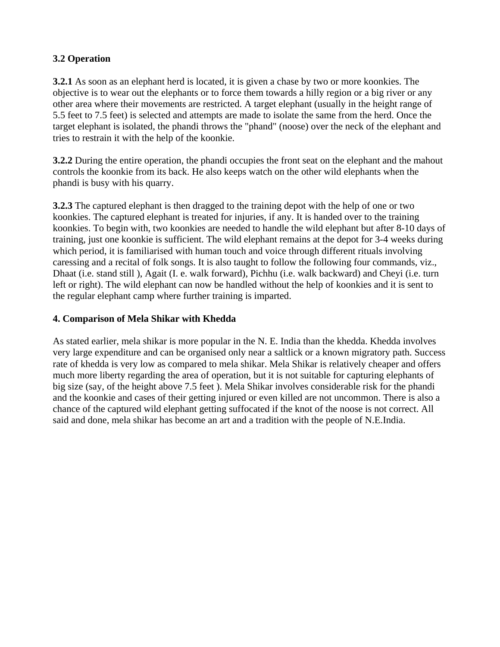## **3.2 Operation**

**3.2.1** As soon as an elephant herd is located, it is given a chase by two or more koonkies. The objective is to wear out the elephants or to force them towards a hilly region or a big river or any other area where their movements are restricted. A target elephant (usually in the height range of 5.5 feet to 7.5 feet) is selected and attempts are made to isolate the same from the herd. Once the target elephant is isolated, the phandi throws the "phand" (noose) over the neck of the elephant and tries to restrain it with the help of the koonkie.

**3.2.2** During the entire operation, the phandi occupies the front seat on the elephant and the mahout controls the koonkie from its back. He also keeps watch on the other wild elephants when the phandi is busy with his quarry.

**3.2.3** The captured elephant is then dragged to the training depot with the help of one or two koonkies. The captured elephant is treated for injuries, if any. It is handed over to the training koonkies. To begin with, two koonkies are needed to handle the wild elephant but after 8-10 days of training, just one koonkie is sufficient. The wild elephant remains at the depot for 3-4 weeks during which period, it is familiarised with human touch and voice through different rituals involving caressing and a recital of folk songs. It is also taught to follow the following four commands, viz., Dhaat (i.e. stand still ), Agait (I. e. walk forward), Pichhu (i.e. walk backward) and Cheyi (i.e. turn left or right). The wild elephant can now be handled without the help of koonkies and it is sent to the regular elephant camp where further training is imparted.

## **4. Comparison of Mela Shikar with Khedda**

As stated earlier, mela shikar is more popular in the N. E. India than the khedda. Khedda involves very large expenditure and can be organised only near a saltlick or a known migratory path. Success rate of khedda is very low as compared to mela shikar. Mela Shikar is relatively cheaper and offers much more liberty regarding the area of operation, but it is not suitable for capturing elephants of big size (say, of the height above 7.5 feet ). Mela Shikar involves considerable risk for the phandi and the koonkie and cases of their getting injured or even killed are not uncommon. There is also a chance of the captured wild elephant getting suffocated if the knot of the noose is not correct. All said and done, mela shikar has become an art and a tradition with the people of N.E.India.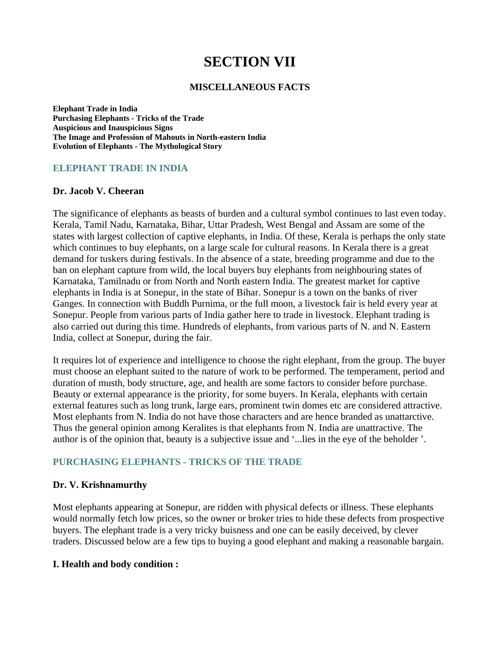# **SECTION VII**

#### **MISCELLANEOUS FACTS**

**Elephant Trade in India Purchasing Elephants - Tricks of the Trade Auspicious and Inauspicious Signs The Image and Profession of Mahouts in North-eastern India Evolution of Elephants - The Mythological Story**

#### **ELEPHANT TRADE IN INDIA**

#### **Dr. Jacob V. Cheeran**

The significance of elephants as beasts of burden and a cultural symbol continues to last even today. Kerala, Tamil Nadu, Karnataka, Bihar, Uttar Pradesh, West Bengal and Assam are some of the states with largest collection of captive elephants, in India. Of these, Kerala is perhaps the only state which continues to buy elephants, on a large scale for cultural reasons. In Kerala there is a great demand for tuskers during festivals. In the absence of a state, breeding programme and due to the ban on elephant capture from wild, the local buyers buy elephants from neighbouring states of Karnataka, Tamilnadu or from North and North eastern India. The greatest market for captive elephants in India is at Sonepur, in the state of Bihar. Sonepur is a town on the banks of river Ganges. In connection with Buddh Purnima, or the full moon, a livestock fair is held every year at Sonepur. People from various parts of India gather here to trade in livestock. Elephant trading is also carried out during this time. Hundreds of elephants, from various parts of N. and N. Eastern India, collect at Sonepur, during the fair.

It requires lot of experience and intelligence to choose the right elephant, from the group. The buyer must choose an elephant suited to the nature of work to be performed. The temperament, period and duration of musth, body structure, age, and health are some factors to consider before purchase. Beauty or external appearance is the priority, for some buyers. In Kerala, elephants with certain external features such as long trunk, large ears, prominent twin domes etc are considered attractive. Most elephants from N. India do not have those characters and are hence branded as unattarctive. Thus the general opinion among Keralites is that elephants from N. India are unattractive. The author is of the opinion that, beauty is a subjective issue and '...lies in the eye of the beholder '.

#### **PURCHASING ELEPHANTS - TRICKS OF THE TRADE**

#### **Dr. V. Krishnamurthy**

Most elephants appearing at Sonepur, are ridden with physical defects or illness. These elephants would normally fetch low prices, so the owner or broker tries to hide these defects from prospective buyers. The elephant trade is a very tricky buisness and one can be easily deceived, by clever traders. Discussed below are a few tips to buying a good elephant and making a reasonable bargain.

#### **I. Health and body condition :**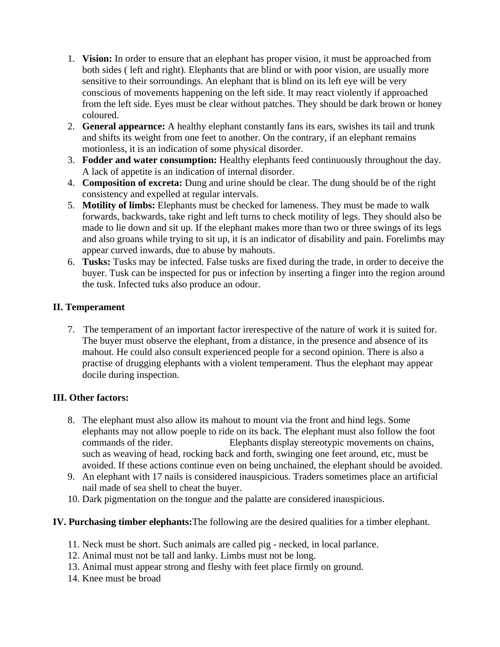- 1. **Vision:** In order to ensure that an elephant has proper vision, it must be approached from both sides ( left and right). Elephants that are blind or with poor vision, are usually more sensitive to their sorroundings. An elephant that is blind on its left eye will be very conscious of movements happening on the left side. It may react violently if approached from the left side. Eyes must be clear without patches. They should be dark brown or honey coloured.
- 2. **General appearnce:** A healthy elephant constantly fans its ears, swishes its tail and trunk and shifts its weight from one feet to another. On the contrary, if an elephant remains motionless, it is an indication of some physical disorder.
- 3. **Fodder and water consumption:** Healthy elephants feed continuously throughout the day. A lack of appetite is an indication of internal disorder.
- 4. **Composition of excreta:** Dung and urine should be clear. The dung should be of the right consistency and expelled at regular intervals.
- 5. **Motility of limbs:** Elephants must be checked for lameness. They must be made to walk forwards, backwards, take right and left turns to check motility of legs. They should also be made to lie down and sit up. If the elephant makes more than two or three swings of its legs and also groans while trying to sit up, it is an indicator of disability and pain. Forelimbs may appear curved inwards, due to abuse by mahouts.
- 6. **Tusks:** Tusks may be infected. False tusks are fixed during the trade, in order to deceive the buyer. Tusk can be inspected for pus or infection by inserting a finger into the region around the tusk. Infected tuks also produce an odour.

## **II. Temperament**

7. The temperament of an important factor irerespective of the nature of work it is suited for. The buyer must observe the elephant, from a distance, in the presence and absence of its mahout. He could also consult experienced people for a second opinion. There is also a practise of drugging elephants with a violent temperament. Thus the elephant may appear docile during inspection.

## **III. Other factors:**

- 8. The elephant must also allow its mahout to mount via the front and hind legs. Some elephants may not allow poeple to ride on its back. The elephant must also follow the foot commands of the rider. Elephants display stereotypic movements on chains, such as weaving of head, rocking back and forth, swinging one feet around, etc, must be avoided. If these actions continue even on being unchained, the elephant should be avoided.
- 9. An elephant with 17 nails is considered inauspicious. Traders sometimes place an artificial nail made of sea shell to cheat the buyer.
- 10. Dark pigmentation on the tongue and the palatte are considered inauspicious.

## **IV. Purchasing timber elephants:**The following are the desired qualities for a timber elephant.

- 11. Neck must be short. Such animals are called pig necked, in local parlance.
- 12. Animal must not be tall and lanky. Limbs must not be long.
- 13. Animal must appear strong and fleshy with feet place firmly on ground.
- 14. Knee must be broad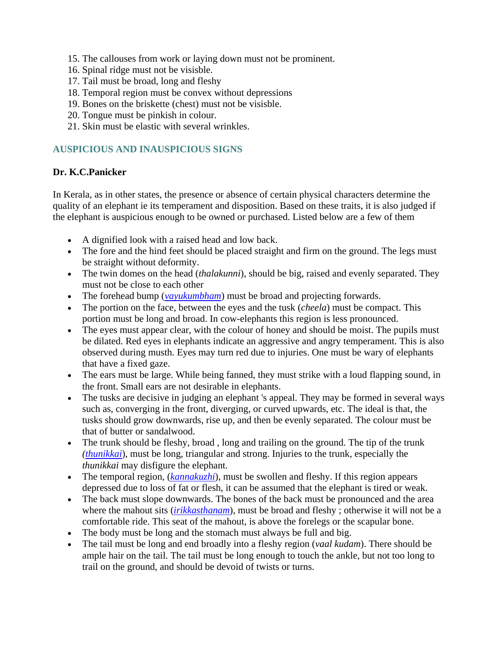- 15. The callouses from work or laying down must not be prominent.
- 16. Spinal ridge must not be visisble.
- 17. Tail must be broad, long and fleshy
- 18. Temporal region must be convex without depressions
- 19. Bones on the briskette (chest) must not be visisble.
- 20. Tongue must be pinkish in colour.
- 21. Skin must be elastic with several wrinkles.

## **AUSPICIOUS AND INAUSPICIOUS SIGNS**

## **Dr. K.C.Panicker**

In Kerala, as in other states, the presence or absence of certain physical characters determine the quality of an elephant ie its temperament and disposition. Based on these traits, it is also judged if the elephant is auspicious enough to be owned or purchased. Listed below are a few of them

- A dignified look with a raised head and low back.
- The fore and the hind feet should be placed straight and firm on the ground. The legs must be straight without deformity.
- The twin domes on the head (*thalakunni*), should be big, raised and evenly separated. They must not be close to each other
- The forehead bump (*vayukumbham*) must be broad and projecting forwards.
- The portion on the face, between the eyes and the tusk (*cheela*) must be compact. This portion must be long and broad. In cow-elephants this region is less pronounced.
- The eyes must appear clear, with the colour of honey and should be moist. The pupils must be dilated. Red eyes in elephants indicate an aggressive and angry temperament. This is also observed during musth. Eyes may turn red due to injuries. One must be wary of elephants that have a fixed gaze.
- The ears must be large. While being fanned, they must strike with a loud flapping sound, in the front. Small ears are not desirable in elephants.
- The tusks are decisive in judging an elephant 's appeal. They may be formed in several ways such as, converging in the front, diverging, or curved upwards, etc. The ideal is that, the tusks should grow downwards, rise up, and then be evenly separated. The colour must be that of butter or sandalwood.
- The trunk should be fleshy, broad , long and trailing on the ground. The tip of the trunk *(thunikkai*), must be long, triangular and strong. Injuries to the trunk, especially the *thunikkai* may disfigure the elephant.
- The temporal region, *(kannakuzhi)*, must be swollen and fleshy. If this region appears depressed due to loss of fat or flesh, it can be assumed that the elephant is tired or weak.
- The back must slope downwards. The bones of the back must be pronounced and the area where the mahout sits (*irikkasthanam*), must be broad and fleshy ; otherwise it will not be a comfortable ride. This seat of the mahout, is above the forelegs or the scapular bone.
- The body must be long and the stomach must always be full and big.
- The tail must be long and end broadly into a fleshy region (*vaal kudam*). There should be ample hair on the tail. The tail must be long enough to touch the ankle, but not too long to trail on the ground, and should be devoid of twists or turns.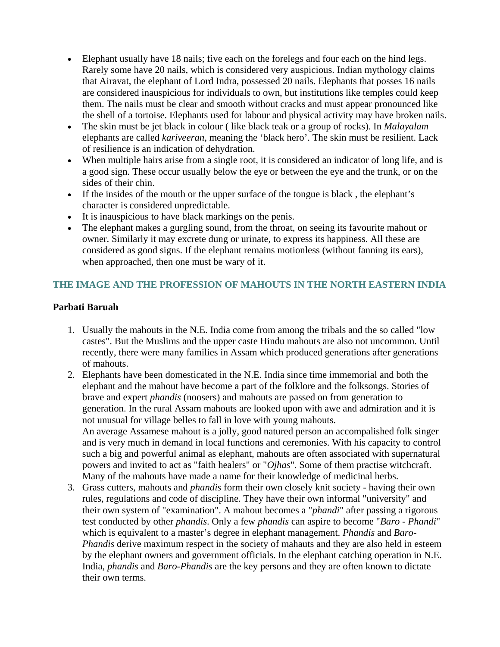- Elephant usually have 18 nails; five each on the forelegs and four each on the hind legs. Rarely some have 20 nails, which is considered very auspicious. Indian mythology claims that Airavat, the elephant of Lord Indra, possessed 20 nails. Elephants that posses 16 nails are considered inauspicious for individuals to own, but institutions like temples could keep them. The nails must be clear and smooth without cracks and must appear pronounced like the shell of a tortoise. Elephants used for labour and physical activity may have broken nails.
- The skin must be jet black in colour ( like black teak or a group of rocks). In *Malayalam* elephants are called *kariveeran*, meaning the 'black hero'. The skin must be resilient. Lack of resilience is an indication of dehydration.
- When multiple hairs arise from a single root, it is considered an indicator of long life, and is a good sign. These occur usually below the eye or between the eye and the trunk, or on the sides of their chin.
- If the insides of the mouth or the upper surface of the tongue is black, the elephant's character is considered unpredictable.
- It is inauspicious to have black markings on the penis.
- The elephant makes a gurgling sound, from the throat, on seeing its favourite mahout or owner. Similarly it may excrete dung or urinate, to express its happiness. All these are considered as good signs. If the elephant remains motionless (without fanning its ears), when approached, then one must be wary of it.

## **THE IMAGE AND THE PROFESSION OF MAHOUTS IN THE NORTH EASTERN INDIA**

## **Parbati Baruah**

- 1. Usually the mahouts in the N.E. India come from among the tribals and the so called "low castes". But the Muslims and the upper caste Hindu mahouts are also not uncommon. Until recently, there were many families in Assam which produced generations after generations of mahouts.
- 2. Elephants have been domesticated in the N.E. India since time immemorial and both the elephant and the mahout have become a part of the folklore and the folksongs. Stories of brave and expert *phandis* (noosers) and mahouts are passed on from generation to generation. In the rural Assam mahouts are looked upon with awe and admiration and it is not unusual for village belles to fall in love with young mahouts. An average Assamese mahout is a jolly, good natured person an accompalished folk singer and is very much in demand in local functions and ceremonies. With his capacity to control such a big and powerful animal as elephant, mahouts are often associated with supernatural powers and invited to act as "faith healers" or "*Ojhas*". Some of them practise witchcraft. Many of the mahouts have made a name for their knowledge of medicinal herbs.
- 3. Grass cutters, mahouts and *phandis* form their own closely knit society having their own rules, regulations and code of discipline. They have their own informal "university" and their own system of "examination". A mahout becomes a "*phandi*" after passing a rigorous test conducted by other *phandis*. Only a few *phandis* can aspire to become "*Baro - Phandi*" which is equivalent to a master's degree in elephant management. *Phandis* and *Baro-Phandis* derive maximum respect in the society of mahauts and they are also held in esteem by the elephant owners and government officials. In the elephant catching operation in N.E. India, *phandis* and *Baro-Phandis* are the key persons and they are often known to dictate their own terms.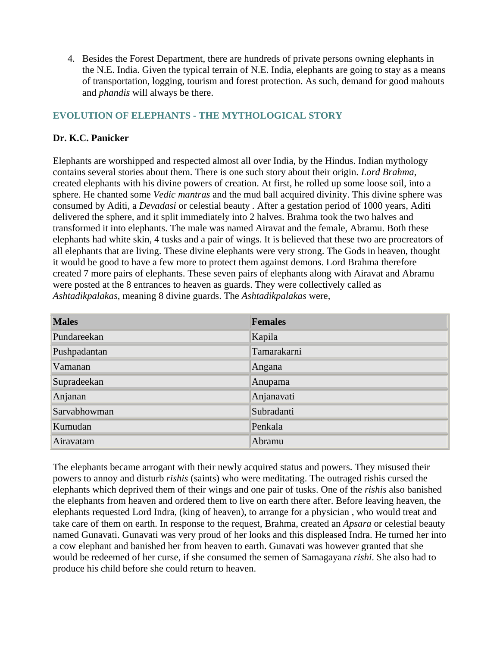4. Besides the Forest Department, there are hundreds of private persons owning elephants in the N.E. India. Given the typical terrain of N.E. India, elephants are going to stay as a means of transportation, logging, tourism and forest protection. As such, demand for good mahouts and *phandis* will always be there.

## **EVOLUTION OF ELEPHANTS - THE MYTHOLOGICAL STORY**

## **Dr. K.C. Panicker**

Elephants are worshipped and respected almost all over India, by the Hindus. Indian mythology contains several stories about them. There is one such story about their origin. *Lord Brahma*, created elephants with his divine powers of creation. At first, he rolled up some loose soil, into a sphere. He chanted some *Vedic mantras* and the mud ball acquired divinity. This divine sphere was consumed by Aditi, a *Devadasi* or celestial beauty *.* After a gestation period of 1000 years, Aditi delivered the sphere, and it split immediately into 2 halves. Brahma took the two halves and transformed it into elephants. The male was named Airavat and the female, Abramu. Both these elephants had white skin, 4 tusks and a pair of wings. It is believed that these two are procreators of all elephants that are living. These divine elephants were very strong. The Gods in heaven, thought it would be good to have a few more to protect them against demons. Lord Brahma therefore created 7 more pairs of elephants. These seven pairs of elephants along with Airavat and Abramu were posted at the 8 entrances to heaven as guards. They were collectively called as *Ashtadikpalakas*, meaning 8 divine guards. The *Ashtadikpalakas* were,

| <b>Males</b> | <b>Females</b> |
|--------------|----------------|
| Pundareekan  | Kapila         |
| Pushpadantan | Tamarakarni    |
| Vamanan      | Angana         |
| Supradeekan  | Anupama        |
| Anjanan      | Anjanavati     |
| Sarvabhowman | Subradanti     |
| Kumudan      | Penkala        |
| Airavatam    | Abramu         |

The elephants became arrogant with their newly acquired status and powers. They misused their powers to annoy and disturb *rishis* (saints) who were meditating. The outraged rishis cursed the elephants which deprived them of their wings and one pair of tusks. One of the *rishis* also banished the elephants from heaven and ordered them to live on earth there after. Before leaving heaven, the elephants requested Lord Indra, (king of heaven), to arrange for a physician , who would treat and take care of them on earth. In response to the request, Brahma, created an *Apsara* or celestial beauty named Gunavati. Gunavati was very proud of her looks and this displeased Indra. He turned her into a cow elephant and banished her from heaven to earth. Gunavati was however granted that she would be redeemed of her curse, if she consumed the semen of Samagayana *rishi*. She also had to produce his child before she could return to heaven.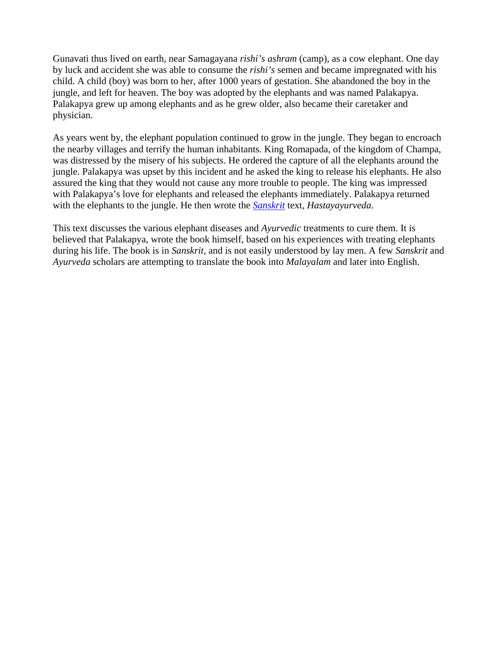Gunavati thus lived on earth, near Samagayana *rishi's ashram* (camp), as a cow elephant. One day by luck and accident she was able to consume the *rishi's* semen and became impregnated with his child. A child (boy) was born to her, after 1000 years of gestation. She abandoned the boy in the jungle, and left for heaven. The boy was adopted by the elephants and was named Palakapya. Palakapya grew up among elephants and as he grew older, also became their caretaker and physician.

As years went by, the elephant population continued to grow in the jungle. They began to encroach the nearby villages and terrify the human inhabitants. King Romapada, of the kingdom of Champa, was distressed by the misery of his subjects. He ordered the capture of all the elephants around the jungle. Palakapya was upset by this incident and he asked the king to release his elephants. He also assured the king that they would not cause any more trouble to people. The king was impressed with Palakapya's love for elephants and released the elephants immediately. Palakapya returned with the elephants to the jungle. He then wrote the *Sanskrit* text, *Hastayayurveda*.

This text discusses the various elephant diseases and *Ayurvedic* treatments to cure them. It is believed that Palakapya, wrote the book himself, based on his experiences with treating elephants during his life. The book is in *Sanskrit,* and is not easily understood by lay men. A few *Sanskrit* and *Ayurveda* scholars are attempting to translate the book into *Malayalam* and later into English.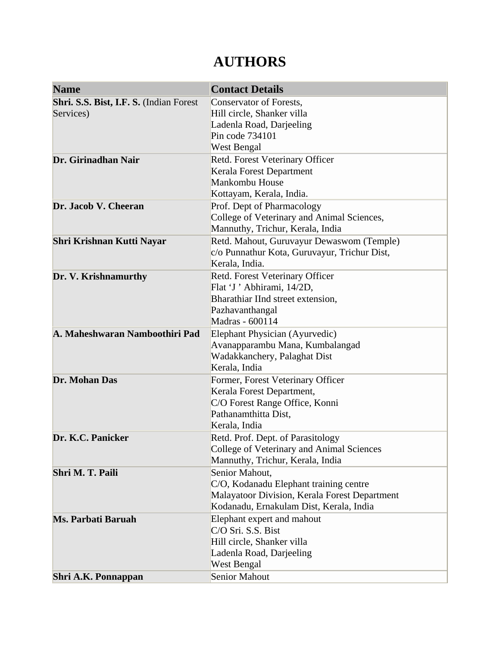# **AUTHORS**

| <b>Name</b>                             | <b>Contact Details</b>                        |
|-----------------------------------------|-----------------------------------------------|
| Shri. S.S. Bist, I.F. S. (Indian Forest | Conservator of Forests,                       |
| Services)                               | Hill circle, Shanker villa                    |
|                                         | Ladenla Road, Darjeeling                      |
|                                         | Pin code 734101                               |
|                                         | West Bengal                                   |
| Dr. Girinadhan Nair                     | Retd. Forest Veterinary Officer               |
|                                         | Kerala Forest Department                      |
|                                         | Mankombu House                                |
|                                         | Kottayam, Kerala, India.                      |
| Dr. Jacob V. Cheeran                    | Prof. Dept of Pharmacology                    |
|                                         | College of Veterinary and Animal Sciences,    |
|                                         | Mannuthy, Trichur, Kerala, India              |
| <b>Shri Krishnan Kutti Nayar</b>        | Retd. Mahout, Guruvayur Dewaswom (Temple)     |
|                                         | c/o Punnathur Kota, Guruvayur, Trichur Dist,  |
|                                         | Kerala, India.                                |
| Dr. V. Krishnamurthy                    | Retd. Forest Veterinary Officer               |
|                                         | Flat 'J' Abhirami, 14/2D,                     |
|                                         | Bharathiar IInd street extension,             |
|                                         | Pazhavanthangal                               |
|                                         | Madras - 600114                               |
| A. Maheshwaran Namboothiri Pad          | Elephant Physician (Ayurvedic)                |
|                                         | Avanapparambu Mana, Kumbalangad               |
|                                         | Wadakkanchery, Palaghat Dist                  |
|                                         | Kerala, India                                 |
| Dr. Mohan Das                           | Former, Forest Veterinary Officer             |
|                                         | Kerala Forest Department,                     |
|                                         | C/O Forest Range Office, Konni                |
|                                         | Pathanamthitta Dist,                          |
|                                         | Kerala, India                                 |
| Dr. K.C. Panicker                       | Retd. Prof. Dept. of Parasitology             |
|                                         | College of Veterinary and Animal Sciences     |
|                                         | Mannuthy, Trichur, Kerala, India              |
| Shri M. T. Paili                        | Senior Mahout,                                |
|                                         | C/O, Kodanadu Elephant training centre        |
|                                         | Malayatoor Division, Kerala Forest Department |
|                                         | Kodanadu, Ernakulam Dist, Kerala, India       |
| Ms. Parbati Baruah                      | Elephant expert and mahout                    |
|                                         | C/O Sri. S.S. Bist                            |
|                                         | Hill circle, Shanker villa                    |
|                                         | Ladenla Road, Darjeeling                      |
|                                         | West Bengal                                   |
| Shri A.K. Ponnappan                     | <b>Senior Mahout</b>                          |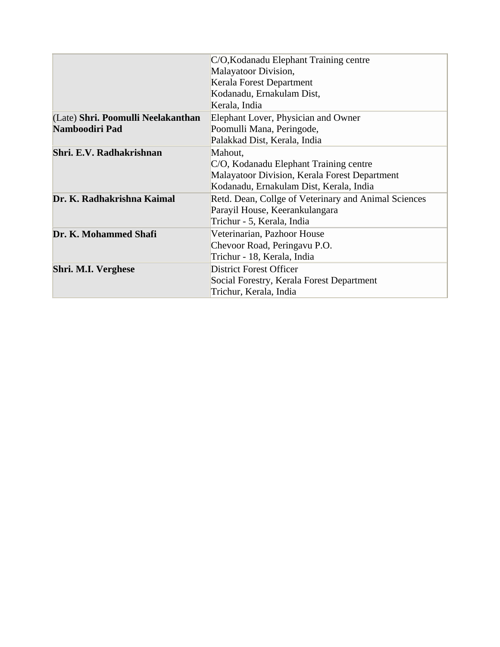|                                    | C/O, Kodanadu Elephant Training centre               |  |
|------------------------------------|------------------------------------------------------|--|
|                                    | Malayatoor Division,                                 |  |
|                                    | Kerala Forest Department                             |  |
|                                    | Kodanadu, Ernakulam Dist,                            |  |
|                                    | Kerala, India                                        |  |
| (Late) Shri. Poomulli Neelakanthan | Elephant Lover, Physician and Owner                  |  |
| Namboodiri Pad                     | Poomulli Mana, Peringode,                            |  |
|                                    | Palakkad Dist, Kerala, India                         |  |
| Shri. E.V. Radhakrishnan           | Mahout,                                              |  |
|                                    | C/O, Kodanadu Elephant Training centre               |  |
|                                    | Malayatoor Division, Kerala Forest Department        |  |
|                                    | Kodanadu, Ernakulam Dist, Kerala, India              |  |
| Dr. K. Radhakrishna Kaimal         | Retd. Dean, Collge of Veterinary and Animal Sciences |  |
|                                    | Parayil House, Keerankulangara                       |  |
|                                    | Trichur - 5, Kerala, India                           |  |
| Dr. K. Mohammed Shafi              | Veterinarian, Pazhoor House                          |  |
|                                    | Chevoor Road, Peringavu P.O.                         |  |
|                                    | Trichur - 18, Kerala, India                          |  |
| Shri. M.I. Verghese                | <b>District Forest Officer</b>                       |  |
|                                    | Social Forestry, Kerala Forest Department            |  |
|                                    | Trichur, Kerala, India                               |  |